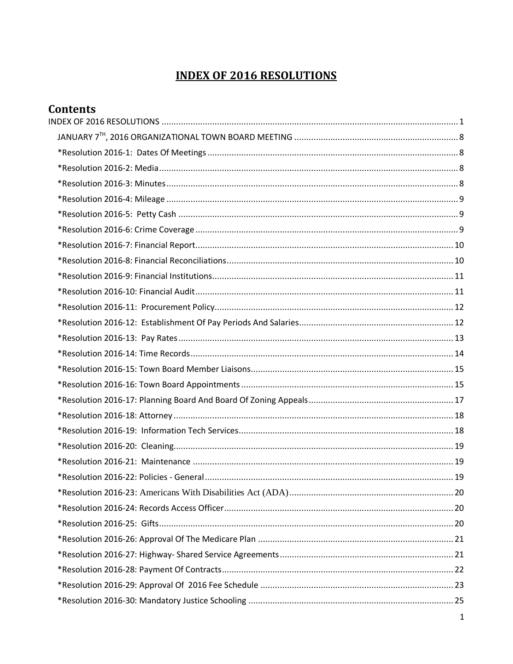# **INDEX OF 2016 RESOLUTIONS**

<span id="page-0-0"></span>

| <b>Contents</b> |  |
|-----------------|--|
|                 |  |
|                 |  |
|                 |  |
|                 |  |
|                 |  |
|                 |  |
|                 |  |
|                 |  |
|                 |  |
|                 |  |
|                 |  |
|                 |  |
|                 |  |
|                 |  |
|                 |  |
|                 |  |
|                 |  |
|                 |  |
|                 |  |
|                 |  |
|                 |  |
|                 |  |
|                 |  |
|                 |  |
|                 |  |
|                 |  |
|                 |  |
|                 |  |
|                 |  |
|                 |  |
|                 |  |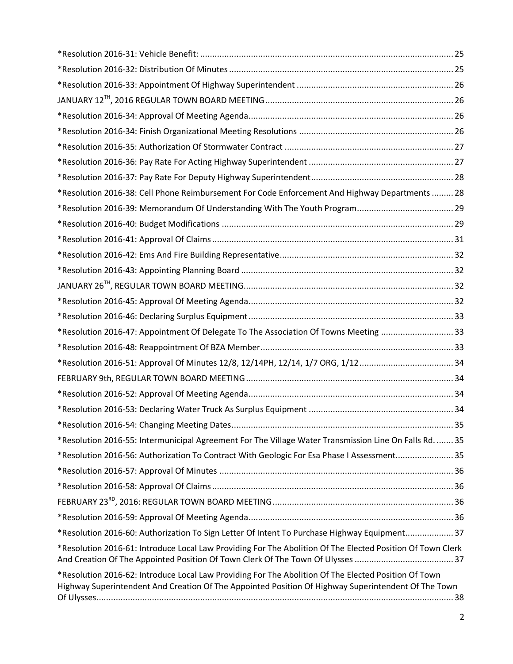| *Resolution 2016-38: Cell Phone Reimbursement For Code Enforcement And Highway Departments  28                                                                                                              |  |
|-------------------------------------------------------------------------------------------------------------------------------------------------------------------------------------------------------------|--|
|                                                                                                                                                                                                             |  |
|                                                                                                                                                                                                             |  |
|                                                                                                                                                                                                             |  |
|                                                                                                                                                                                                             |  |
|                                                                                                                                                                                                             |  |
|                                                                                                                                                                                                             |  |
|                                                                                                                                                                                                             |  |
|                                                                                                                                                                                                             |  |
| *Resolution 2016-47: Appointment Of Delegate To The Association Of Towns Meeting 33                                                                                                                         |  |
|                                                                                                                                                                                                             |  |
| *Resolution 2016-51: Approval Of Minutes 12/8, 12/14PH, 12/14, 1/7 ORG, 1/1234                                                                                                                              |  |
|                                                                                                                                                                                                             |  |
|                                                                                                                                                                                                             |  |
|                                                                                                                                                                                                             |  |
|                                                                                                                                                                                                             |  |
| *Resolution 2016-55: Intermunicipal Agreement For The Village Water Transmission Line On Falls Rd.  35                                                                                                      |  |
| *Resolution 2016-56: Authorization To Contract With Geologic For Esa Phase I Assessment 35                                                                                                                  |  |
|                                                                                                                                                                                                             |  |
|                                                                                                                                                                                                             |  |
|                                                                                                                                                                                                             |  |
|                                                                                                                                                                                                             |  |
| *Resolution 2016-60: Authorization To Sign Letter Of Intent To Purchase Highway Equipment37                                                                                                                 |  |
| *Resolution 2016-61: Introduce Local Law Providing For The Abolition Of The Elected Position Of Town Clerk                                                                                                  |  |
| *Resolution 2016-62: Introduce Local Law Providing For The Abolition Of The Elected Position Of Town<br>Highway Superintendent And Creation Of The Appointed Position Of Highway Superintendent Of The Town |  |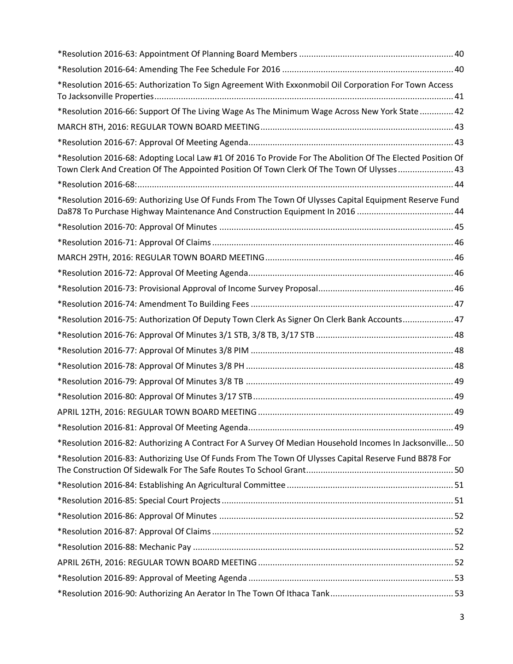| *Resolution 2016-65: Authorization To Sign Agreement With Exxonmobil Oil Corporation For Town Access                                                                                                    |  |
|---------------------------------------------------------------------------------------------------------------------------------------------------------------------------------------------------------|--|
| *Resolution 2016-66: Support Of The Living Wage As The Minimum Wage Across New York State  42                                                                                                           |  |
|                                                                                                                                                                                                         |  |
|                                                                                                                                                                                                         |  |
| *Resolution 2016-68: Adopting Local Law #1 Of 2016 To Provide For The Abolition Of The Elected Position Of<br>Town Clerk And Creation Of The Appointed Position Of Town Clerk Of The Town Of Ulysses 43 |  |
|                                                                                                                                                                                                         |  |
| *Resolution 2016-69: Authorizing Use Of Funds From The Town Of Ulysses Capital Equipment Reserve Fund                                                                                                   |  |
|                                                                                                                                                                                                         |  |
|                                                                                                                                                                                                         |  |
|                                                                                                                                                                                                         |  |
|                                                                                                                                                                                                         |  |
|                                                                                                                                                                                                         |  |
|                                                                                                                                                                                                         |  |
| *Resolution 2016-75: Authorization Of Deputy Town Clerk As Signer On Clerk Bank Accounts 47                                                                                                             |  |
|                                                                                                                                                                                                         |  |
|                                                                                                                                                                                                         |  |
|                                                                                                                                                                                                         |  |
|                                                                                                                                                                                                         |  |
|                                                                                                                                                                                                         |  |
|                                                                                                                                                                                                         |  |
|                                                                                                                                                                                                         |  |
| *Resolution 2016-82: Authorizing A Contract For A Survey Of Median Household Incomes In Jacksonville 50                                                                                                 |  |
| *Resolution 2016-83: Authorizing Use Of Funds From The Town Of Ulysses Capital Reserve Fund B878 For                                                                                                    |  |
|                                                                                                                                                                                                         |  |
|                                                                                                                                                                                                         |  |
|                                                                                                                                                                                                         |  |
|                                                                                                                                                                                                         |  |
|                                                                                                                                                                                                         |  |
|                                                                                                                                                                                                         |  |
|                                                                                                                                                                                                         |  |
|                                                                                                                                                                                                         |  |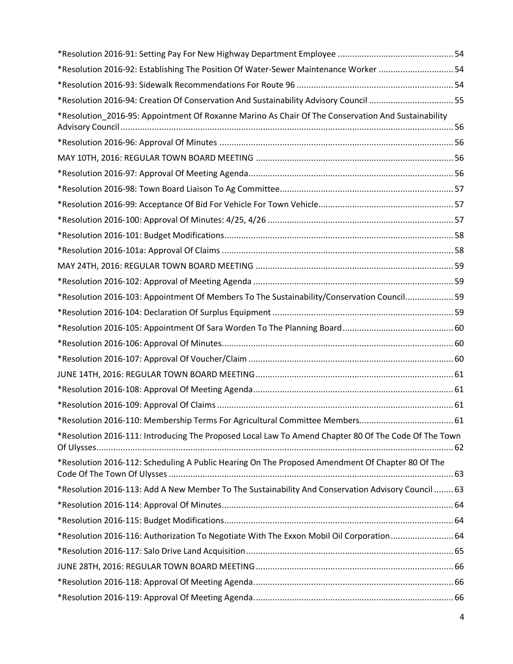| *Resolution 2016-92: Establishing The Position Of Water-Sewer Maintenance Worker  54                 |  |
|------------------------------------------------------------------------------------------------------|--|
|                                                                                                      |  |
| *Resolution 2016-94: Creation Of Conservation And Sustainability Advisory Council 55                 |  |
| *Resolution_2016-95: Appointment Of Roxanne Marino As Chair Of The Conservation And Sustainability   |  |
|                                                                                                      |  |
|                                                                                                      |  |
|                                                                                                      |  |
|                                                                                                      |  |
|                                                                                                      |  |
|                                                                                                      |  |
|                                                                                                      |  |
|                                                                                                      |  |
|                                                                                                      |  |
|                                                                                                      |  |
| *Resolution 2016-103: Appointment Of Members To The Sustainability/Conservation Council 59           |  |
|                                                                                                      |  |
|                                                                                                      |  |
|                                                                                                      |  |
|                                                                                                      |  |
|                                                                                                      |  |
|                                                                                                      |  |
|                                                                                                      |  |
|                                                                                                      |  |
| *Resolution 2016-111: Introducing The Proposed Local Law To Amend Chapter 80 Of The Code Of The Town |  |
| *Resolution 2016-112: Scheduling A Public Hearing On The Proposed Amendment Of Chapter 80 Of The     |  |
| *Resolution 2016-113: Add A New Member To The Sustainability And Conservation Advisory Council  63   |  |
|                                                                                                      |  |
|                                                                                                      |  |
| *Resolution 2016-116: Authorization To Negotiate With The Exxon Mobil Oil Corporation 64             |  |
|                                                                                                      |  |
|                                                                                                      |  |
|                                                                                                      |  |
|                                                                                                      |  |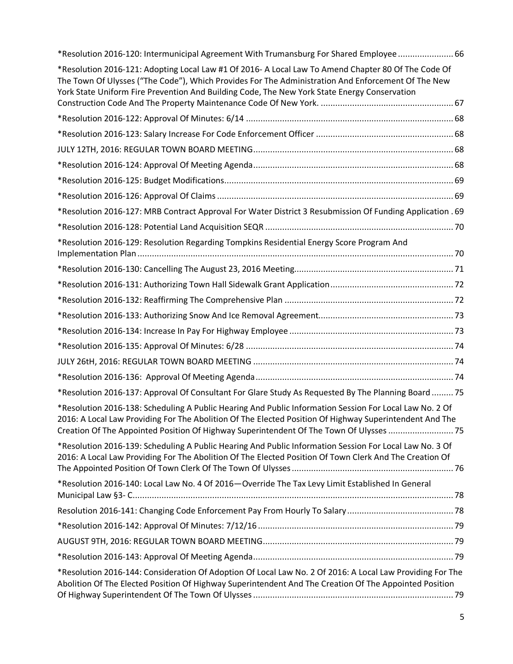| *Resolution 2016-120: Intermunicipal Agreement With Trumansburg For Shared Employee  66                                                                                                                                                                                                                       |  |
|---------------------------------------------------------------------------------------------------------------------------------------------------------------------------------------------------------------------------------------------------------------------------------------------------------------|--|
| *Resolution 2016-121: Adopting Local Law #1 Of 2016- A Local Law To Amend Chapter 80 Of The Code Of<br>The Town Of Ulysses ("The Code"), Which Provides For The Administration And Enforcement Of The New<br>York State Uniform Fire Prevention And Building Code, The New York State Energy Conservation     |  |
|                                                                                                                                                                                                                                                                                                               |  |
|                                                                                                                                                                                                                                                                                                               |  |
|                                                                                                                                                                                                                                                                                                               |  |
|                                                                                                                                                                                                                                                                                                               |  |
|                                                                                                                                                                                                                                                                                                               |  |
|                                                                                                                                                                                                                                                                                                               |  |
|                                                                                                                                                                                                                                                                                                               |  |
| *Resolution 2016-127: MRB Contract Approval For Water District 3 Resubmission Of Funding Application . 69                                                                                                                                                                                                     |  |
|                                                                                                                                                                                                                                                                                                               |  |
| *Resolution 2016-129: Resolution Regarding Tompkins Residential Energy Score Program And                                                                                                                                                                                                                      |  |
|                                                                                                                                                                                                                                                                                                               |  |
|                                                                                                                                                                                                                                                                                                               |  |
|                                                                                                                                                                                                                                                                                                               |  |
|                                                                                                                                                                                                                                                                                                               |  |
|                                                                                                                                                                                                                                                                                                               |  |
|                                                                                                                                                                                                                                                                                                               |  |
|                                                                                                                                                                                                                                                                                                               |  |
|                                                                                                                                                                                                                                                                                                               |  |
| *Resolution 2016-137: Approval Of Consultant For Glare Study As Requested By The Planning Board  75                                                                                                                                                                                                           |  |
| *Resolution 2016-138: Scheduling A Public Hearing And Public Information Session For Local Law No. 2 Of<br>2016: A Local Law Providing For The Abolition Of The Elected Position Of Highway Superintendent And The<br>Creation Of The Appointed Position Of Highway Superintendent Of The Town Of Ulysses  75 |  |
| *Resolution 2016-139: Scheduling A Public Hearing And Public Information Session For Local Law No. 3 Of<br>2016: A Local Law Providing For The Abolition Of The Elected Position Of Town Clerk And The Creation Of                                                                                            |  |
| *Resolution 2016-140: Local Law No. 4 Of 2016-Override The Tax Levy Limit Established In General                                                                                                                                                                                                              |  |
|                                                                                                                                                                                                                                                                                                               |  |
|                                                                                                                                                                                                                                                                                                               |  |
|                                                                                                                                                                                                                                                                                                               |  |
|                                                                                                                                                                                                                                                                                                               |  |
| *Resolution 2016-144: Consideration Of Adoption Of Local Law No. 2 Of 2016: A Local Law Providing For The<br>Abolition Of The Elected Position Of Highway Superintendent And The Creation Of The Appointed Position                                                                                           |  |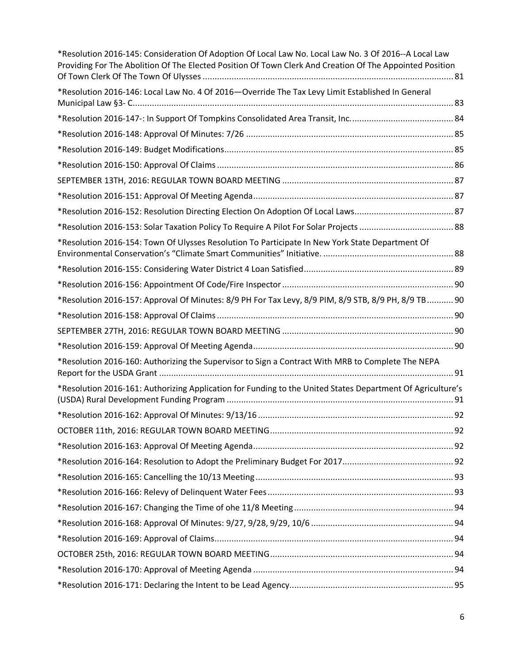| *Resolution 2016-145: Consideration Of Adoption Of Local Law No. Local Law No. 3 Of 2016--A Local Law<br>Providing For The Abolition Of The Elected Position Of Town Clerk And Creation Of The Appointed Position |  |
|-------------------------------------------------------------------------------------------------------------------------------------------------------------------------------------------------------------------|--|
| *Resolution 2016-146: Local Law No. 4 Of 2016-Override The Tax Levy Limit Established In General                                                                                                                  |  |
|                                                                                                                                                                                                                   |  |
|                                                                                                                                                                                                                   |  |
|                                                                                                                                                                                                                   |  |
|                                                                                                                                                                                                                   |  |
|                                                                                                                                                                                                                   |  |
|                                                                                                                                                                                                                   |  |
|                                                                                                                                                                                                                   |  |
|                                                                                                                                                                                                                   |  |
|                                                                                                                                                                                                                   |  |
| *Resolution 2016-154: Town Of Ulysses Resolution To Participate In New York State Department Of                                                                                                                   |  |
|                                                                                                                                                                                                                   |  |
|                                                                                                                                                                                                                   |  |
| *Resolution 2016-157: Approval Of Minutes: 8/9 PH For Tax Levy, 8/9 PIM, 8/9 STB, 8/9 PH, 8/9 TB 90                                                                                                               |  |
|                                                                                                                                                                                                                   |  |
|                                                                                                                                                                                                                   |  |
|                                                                                                                                                                                                                   |  |
| *Resolution 2016-160: Authorizing the Supervisor to Sign a Contract With MRB to Complete The NEPA                                                                                                                 |  |
| *Resolution 2016-161: Authorizing Application for Funding to the United States Department Of Agriculture's                                                                                                        |  |
|                                                                                                                                                                                                                   |  |
|                                                                                                                                                                                                                   |  |
|                                                                                                                                                                                                                   |  |
|                                                                                                                                                                                                                   |  |
|                                                                                                                                                                                                                   |  |
|                                                                                                                                                                                                                   |  |
|                                                                                                                                                                                                                   |  |
|                                                                                                                                                                                                                   |  |
|                                                                                                                                                                                                                   |  |
|                                                                                                                                                                                                                   |  |
|                                                                                                                                                                                                                   |  |
|                                                                                                                                                                                                                   |  |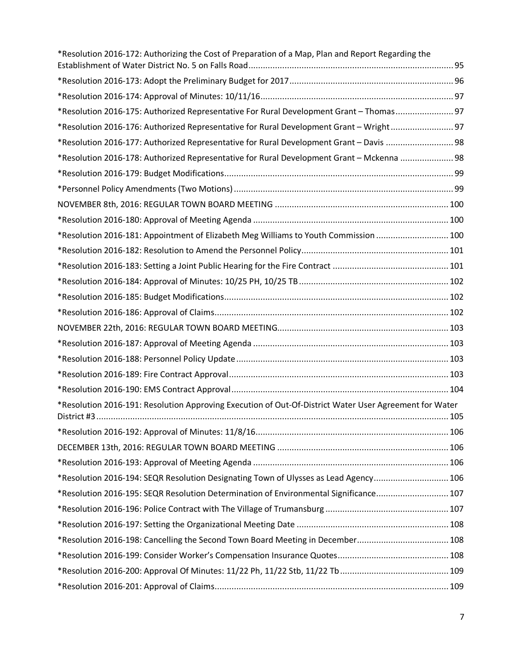| *Resolution 2016-172: Authorizing the Cost of Preparation of a Map, Plan and Report Regarding the      |  |
|--------------------------------------------------------------------------------------------------------|--|
|                                                                                                        |  |
|                                                                                                        |  |
| *Resolution 2016-175: Authorized Representative For Rural Development Grant - Thomas 97                |  |
| *Resolution 2016-176: Authorized Representative for Rural Development Grant - Wright 97                |  |
| *Resolution 2016-177: Authorized Representative for Rural Development Grant - Davis  98                |  |
| *Resolution 2016-178: Authorized Representative for Rural Development Grant - Mckenna  98              |  |
|                                                                                                        |  |
|                                                                                                        |  |
|                                                                                                        |  |
|                                                                                                        |  |
| *Resolution 2016-181: Appointment of Elizabeth Meg Williams to Youth Commission  100                   |  |
|                                                                                                        |  |
|                                                                                                        |  |
|                                                                                                        |  |
|                                                                                                        |  |
|                                                                                                        |  |
|                                                                                                        |  |
|                                                                                                        |  |
|                                                                                                        |  |
|                                                                                                        |  |
|                                                                                                        |  |
| *Resolution 2016-191: Resolution Approving Execution of Out-Of-District Water User Agreement for Water |  |
|                                                                                                        |  |
|                                                                                                        |  |
|                                                                                                        |  |
| *Resolution 2016-194: SEQR Resolution Designating Town of Ulysses as Lead Agency 106                   |  |
| *Resolution 2016-195: SEQR Resolution Determination of Environmental Significance 107                  |  |
|                                                                                                        |  |
|                                                                                                        |  |
|                                                                                                        |  |
|                                                                                                        |  |
|                                                                                                        |  |
|                                                                                                        |  |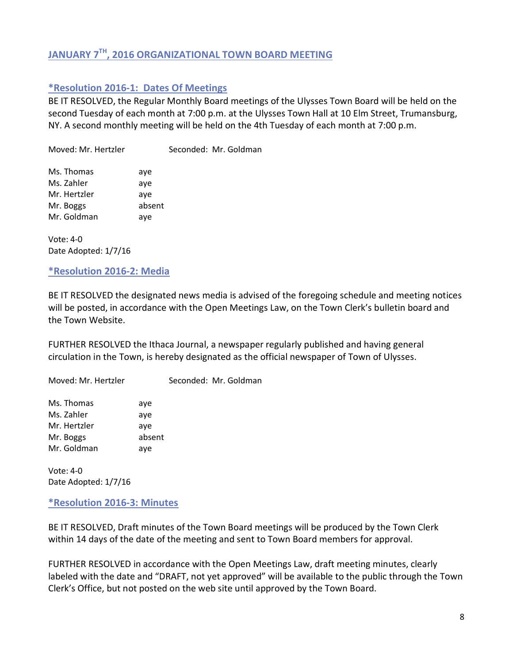# <span id="page-7-0"></span>**JANUARY 7TH, 2016 ORGANIZATIONAL TOWN BOARD MEETING**

# <span id="page-7-1"></span>**\*Resolution 2016-1: Dates Of Meetings**

BE IT RESOLVED, the Regular Monthly Board meetings of the Ulysses Town Board will be held on the second Tuesday of each month at 7:00 p.m. at the Ulysses Town Hall at 10 Elm Street, Trumansburg, NY. A second monthly meeting will be held on the 4th Tuesday of each month at 7:00 p.m.

Moved: Mr. Hertzler Seconded: Mr. Goldman Ms. Thomas aye Ms. Zahler aye Mr. Hertzler aye Mr. Boggs absent Mr. Goldman aye

Vote: 4-0 Date Adopted: 1/7/16

#### <span id="page-7-2"></span>**\*Resolution 2016-2: Media**

BE IT RESOLVED the designated news media is advised of the foregoing schedule and meeting notices will be posted, in accordance with the Open Meetings Law, on the Town Clerk's bulletin board and the Town Website.

FURTHER RESOLVED the Ithaca Journal, a newspaper regularly published and having general circulation in the Town, is hereby designated as the official newspaper of Town of Ulysses.

Moved: Mr. Hertzler Seconded: Mr. Goldman

Ms. Thomas aye Ms. Zahler aye Mr. Hertzler aye Mr. Boggs absent Mr. Goldman aye

Vote: 4-0 Date Adopted: 1/7/16

<span id="page-7-3"></span>**\*Resolution 2016-3: Minutes**

BE IT RESOLVED, Draft minutes of the Town Board meetings will be produced by the Town Clerk within 14 days of the date of the meeting and sent to Town Board members for approval.

FURTHER RESOLVED in accordance with the Open Meetings Law, draft meeting minutes, clearly labeled with the date and "DRAFT, not yet approved" will be available to the public through the Town Clerk's Office, but not posted on the web site until approved by the Town Board.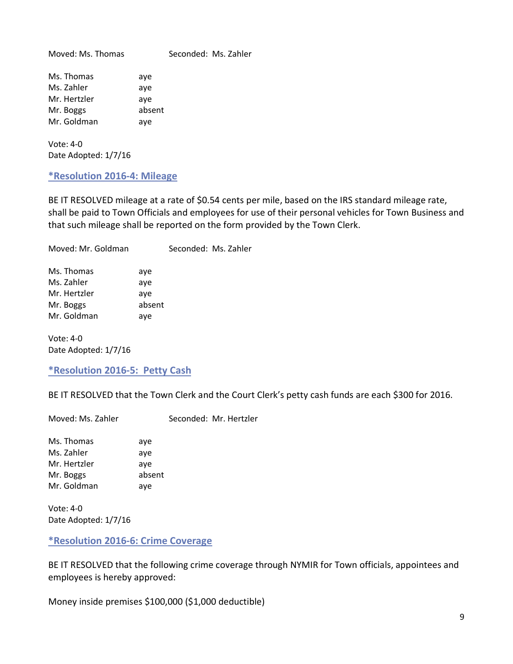Moved: Ms. Thomas Seconded: Ms. Zahler Ms. Thomas aye Ms. Zahler aye Mr. Hertzler aye Mr. Boggs absent Mr. Goldman aye

Vote: 4-0 Date Adopted: 1/7/16

<span id="page-8-0"></span>**\*Resolution 2016-4: Mileage** 

BE IT RESOLVED mileage at a rate of \$0.54 cents per mile, based on the IRS standard mileage rate, shall be paid to Town Officials and employees for use of their personal vehicles for Town Business and that such mileage shall be reported on the form provided by the Town Clerk.

Vote: 4-0 Date Adopted: 1/7/16

<span id="page-8-1"></span>**\*Resolution 2016-5: Petty Cash**

BE IT RESOLVED that the Town Clerk and the Court Clerk's petty cash funds are each \$300 for 2016.

Moved: Ms. Zahler Seconded: Mr. Hertzler

Ms. Thomas aye Ms. Zahler aye Mr. Hertzler aye Mr. Boggs absent Mr. Goldman aye

Vote: 4-0 Date Adopted: 1/7/16

<span id="page-8-2"></span>**\*Resolution 2016-6: Crime Coverage**

BE IT RESOLVED that the following crime coverage through NYMIR for Town officials, appointees and employees is hereby approved:

Money inside premises \$100,000 (\$1,000 deductible)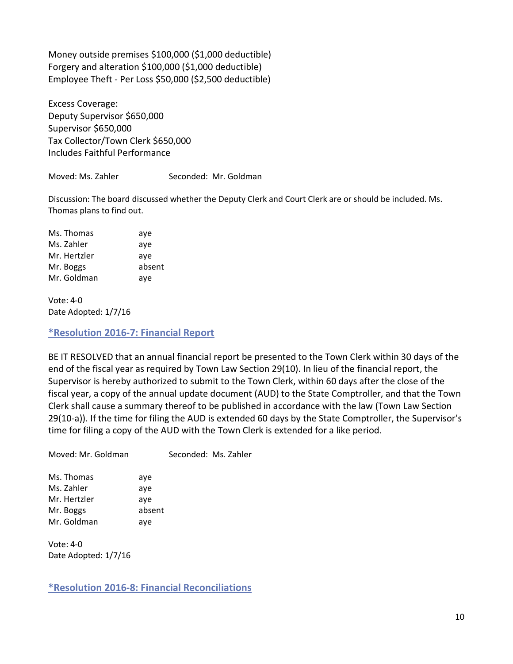Money outside premises \$100,000 (\$1,000 deductible) Forgery and alteration \$100,000 (\$1,000 deductible) Employee Theft - Per Loss \$50,000 (\$2,500 deductible)

Excess Coverage: Deputy Supervisor \$650,000 Supervisor \$650,000 Tax Collector/Town Clerk \$650,000 Includes Faithful Performance

Moved: Ms. Zahler Seconded: Mr. Goldman

Discussion: The board discussed whether the Deputy Clerk and Court Clerk are or should be included. Ms. Thomas plans to find out.

Ms. Thomas aye Ms. Zahler aye Mr. Hertzler aye Mr. Boggs absent Mr. Goldman aye

Vote: 4-0 Date Adopted: 1/7/16

<span id="page-9-0"></span>**\*Resolution 2016-7: Financial Report**

BE IT RESOLVED that an annual financial report be presented to the Town Clerk within 30 days of the end of the fiscal year as required by Town Law Section 29(10). In lieu of the financial report, the Supervisor is hereby authorized to submit to the Town Clerk, within 60 days after the close of the fiscal year, a copy of the annual update document (AUD) to the State Comptroller, and that the Town Clerk shall cause a summary thereof to be published in accordance with the law (Town Law Section 29(10-a)). If the time for filing the AUD is extended 60 days by the State Comptroller, the Supervisor's time for filing a copy of the AUD with the Town Clerk is extended for a like period.

Moved: Mr. Goldman Seconded: Ms. Zahler

Ms. Thomas aye Ms. Zahler aye Mr. Hertzler aye Mr. Boggs absent Mr. Goldman aye

Vote: 4-0 Date Adopted: 1/7/16

<span id="page-9-1"></span>**\*Resolution 2016-8: Financial Reconciliations**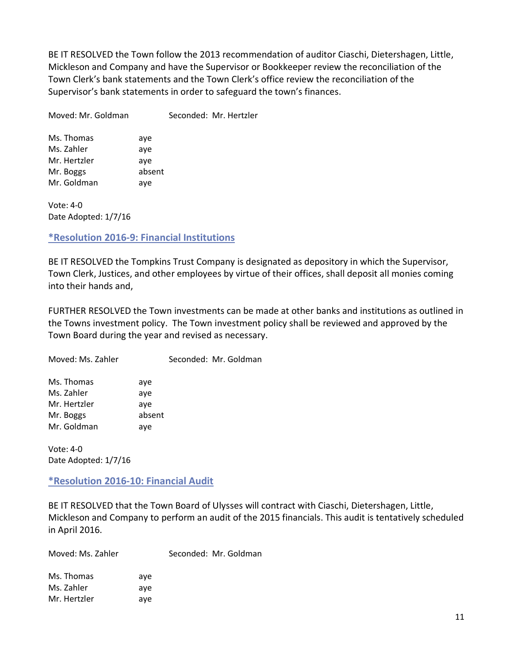BE IT RESOLVED the Town follow the 2013 recommendation of auditor Ciaschi, Dietershagen, Little, Mickleson and Company and have the Supervisor or Bookkeeper review the reconciliation of the Town Clerk's bank statements and the Town Clerk's office review the reconciliation of the Supervisor's bank statements in order to safeguard the town's finances.

Moved: Mr. Goldman Seconded: Mr. Hertzler

Ms. Thomas aye Ms. Zahler aye Mr. Hertzler aye Mr. Boggs absent Mr. Goldman aye

Vote: 4-0 Date Adopted: 1/7/16

# <span id="page-10-0"></span>**\*Resolution 2016-9: Financial Institutions**

BE IT RESOLVED the Tompkins Trust Company is designated as depository in which the Supervisor, Town Clerk, Justices, and other employees by virtue of their offices, shall deposit all monies coming into their hands and,

FURTHER RESOLVED the Town investments can be made at other banks and institutions as outlined in the Towns investment policy. The Town investment policy shall be reviewed and approved by the Town Board during the year and revised as necessary.

Moved: Ms. Zahler Seconded: Mr. Goldman

| Ms. Thomas   | aye    |
|--------------|--------|
| Ms. Zahler   | aye    |
| Mr. Hertzler | aye    |
| Mr. Boggs    | absent |
| Mr. Goldman  | aye    |

Vote: 4-0 Date Adopted: 1/7/16

<span id="page-10-1"></span>**\*Resolution 2016-10: Financial Audit**

BE IT RESOLVED that the Town Board of Ulysses will contract with Ciaschi, Dietershagen, Little, Mickleson and Company to perform an audit of the 2015 financials. This audit is tentatively scheduled in April 2016.

| Moved: Ms. Zahler |     | Seconded: Mr. Goldman |
|-------------------|-----|-----------------------|
| Ms. Thomas        | ave |                       |
| Ms. Zahler        | ave |                       |
| Mr. Hertzler      | ave |                       |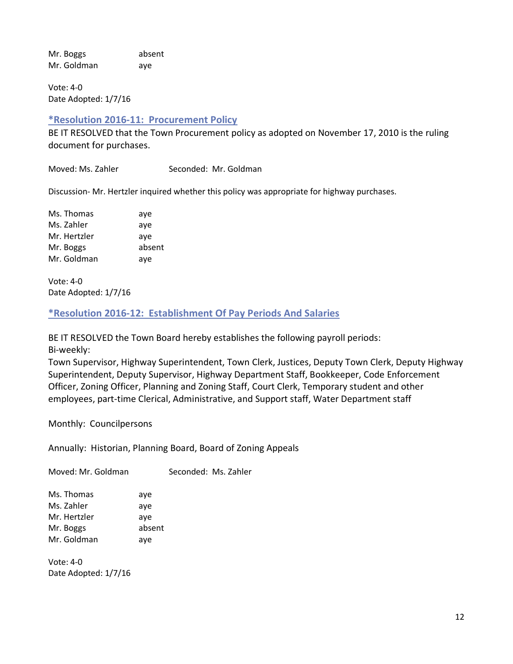Mr. Boggs absent Mr. Goldman aye

Vote: 4-0 Date Adopted: 1/7/16

## <span id="page-11-0"></span>**\*Resolution 2016-11: Procurement Policy**

BE IT RESOLVED that the Town Procurement policy as adopted on November 17, 2010 is the ruling document for purchases.

Moved: Ms. Zahler Seconded: Mr. Goldman

Discussion- Mr. Hertzler inquired whether this policy was appropriate for highway purchases.

Ms. Thomas aye Ms. Zahler aye Mr. Hertzler ave Mr. Boggs absent Mr. Goldman aye

Vote: 4-0 Date Adopted: 1/7/16

## <span id="page-11-1"></span>**\*Resolution 2016-12: Establishment Of Pay Periods And Salaries**

BE IT RESOLVED the Town Board hereby establishes the following payroll periods:

Bi-weekly:

Town Supervisor, Highway Superintendent, Town Clerk, Justices, Deputy Town Clerk, Deputy Highway Superintendent, Deputy Supervisor, Highway Department Staff, Bookkeeper, Code Enforcement Officer, Zoning Officer, Planning and Zoning Staff, Court Clerk, Temporary student and other employees, part-time Clerical, Administrative, and Support staff, Water Department staff

Monthly: Councilpersons

Annually: Historian, Planning Board, Board of Zoning Appeals

Moved: Mr. Goldman Seconded: Ms. Zahler Ms. Thomas aye Ms. Zahler aye Mr. Hertzler aye Mr. Boggs absent Mr. Goldman aye

Vote: 4-0 Date Adopted: 1/7/16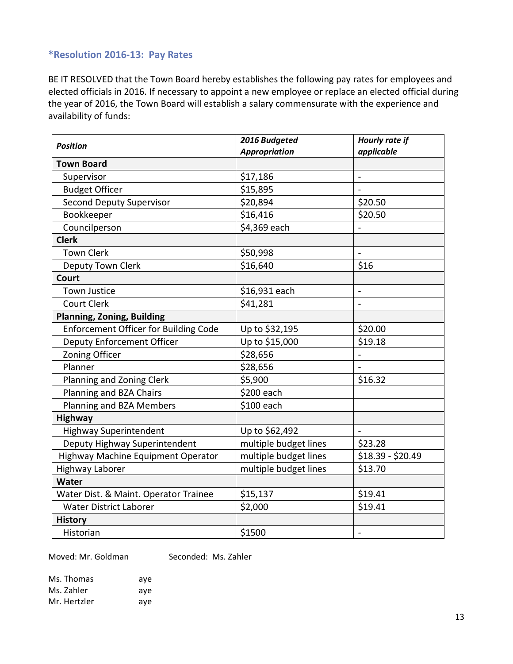# <span id="page-12-0"></span>**\*Resolution 2016-13: Pay Rates**

BE IT RESOLVED that the Town Board hereby establishes the following pay rates for employees and elected officials in 2016. If necessary to appoint a new employee or replace an elected official during the year of 2016, the Town Board will establish a salary commensurate with the experience and availability of funds:

| <b>Position</b>                              | 2016 Budgeted         | Hourly rate if           |
|----------------------------------------------|-----------------------|--------------------------|
|                                              | <b>Appropriation</b>  | applicable               |
| <b>Town Board</b>                            |                       |                          |
| Supervisor                                   | \$17,186              |                          |
| <b>Budget Officer</b>                        | \$15,895              |                          |
| <b>Second Deputy Supervisor</b>              | \$20,894              | \$20.50                  |
| Bookkeeper                                   | \$16,416              | \$20.50                  |
| Councilperson                                | \$4,369 each          |                          |
| <b>Clerk</b>                                 |                       |                          |
| <b>Town Clerk</b>                            | \$50,998              |                          |
| Deputy Town Clerk                            | \$16,640              | \$16                     |
| <b>Court</b>                                 |                       |                          |
| <b>Town Justice</b>                          | \$16,931 each         | $\frac{1}{2}$            |
| <b>Court Clerk</b>                           | \$41,281              | $\overline{\phantom{a}}$ |
| <b>Planning, Zoning, Building</b>            |                       |                          |
| <b>Enforcement Officer for Building Code</b> | Up to \$32,195        | \$20.00                  |
| <b>Deputy Enforcement Officer</b>            | Up to \$15,000        | \$19.18                  |
| <b>Zoning Officer</b>                        | \$28,656              |                          |
| Planner                                      | \$28,656              |                          |
| Planning and Zoning Clerk                    | \$5,900               | \$16.32                  |
| Planning and BZA Chairs                      | \$200 each            |                          |
| Planning and BZA Members                     | \$100 each            |                          |
| <b>Highway</b>                               |                       |                          |
| <b>Highway Superintendent</b>                | Up to \$62,492        |                          |
| Deputy Highway Superintendent                | multiple budget lines | \$23.28                  |
| Highway Machine Equipment Operator           | multiple budget lines | $$18.39 - $20.49$        |
| <b>Highway Laborer</b>                       | multiple budget lines | \$13.70                  |
| <b>Water</b>                                 |                       |                          |
| Water Dist. & Maint. Operator Trainee        | \$15,137              | \$19.41                  |
| <b>Water District Laborer</b>                | \$2,000               | \$19.41                  |
| <b>History</b>                               |                       |                          |
| Historian                                    | \$1500                |                          |

Moved: Mr. Goldman Seconded: Ms. Zahler

| Ms. Thomas   | ave |
|--------------|-----|
| Ms. Zahler   | ave |
| Mr. Hertzler | ave |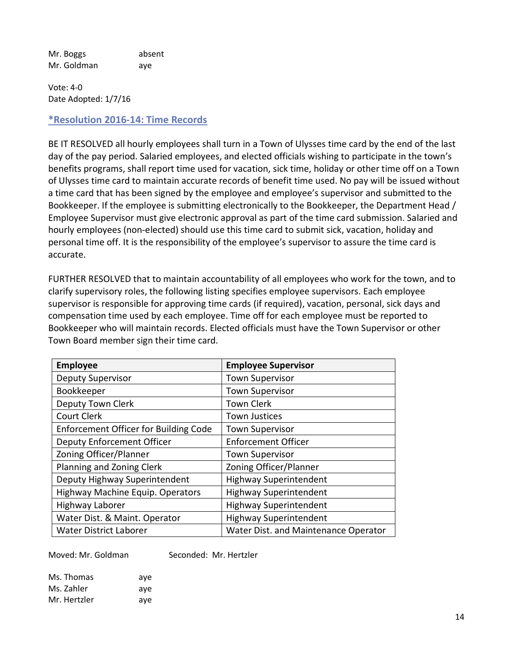Mr. Boggs absent Mr. Goldman aye

Vote: 4-0 Date Adopted: 1/7/16

## <span id="page-13-0"></span>**\*Resolution 2016-14: Time Records**

BE IT RESOLVED all hourly employees shall turn in a Town of Ulysses time card by the end of the last day of the pay period. Salaried employees, and elected officials wishing to participate in the town's benefits programs, shall report time used for vacation, sick time, holiday or other time off on a Town of Ulysses time card to maintain accurate records of benefit time used. No pay will be issued without a time card that has been signed by the employee and employee's supervisor and submitted to the Bookkeeper. If the employee is submitting electronically to the Bookkeeper, the Department Head / Employee Supervisor must give electronic approval as part of the time card submission. Salaried and hourly employees (non-elected) should use this time card to submit sick, vacation, holiday and personal time off. It is the responsibility of the employee's supervisor to assure the time card is accurate.

FURTHER RESOLVED that to maintain accountability of all employees who work for the town, and to clarify supervisory roles, the following listing specifies employee supervisors. Each employee supervisor is responsible for approving time cards (if required), vacation, personal, sick days and compensation time used by each employee. Time off for each employee must be reported to Bookkeeper who will maintain records. Elected officials must have the Town Supervisor or other Town Board member sign their time card.

| <b>Employee</b>                              | <b>Employee Supervisor</b>           |
|----------------------------------------------|--------------------------------------|
| <b>Deputy Supervisor</b>                     | <b>Town Supervisor</b>               |
| Bookkeeper                                   | <b>Town Supervisor</b>               |
| Deputy Town Clerk                            | <b>Town Clerk</b>                    |
| Court Clerk                                  | <b>Town Justices</b>                 |
| <b>Enforcement Officer for Building Code</b> | <b>Town Supervisor</b>               |
| <b>Deputy Enforcement Officer</b>            | <b>Enforcement Officer</b>           |
| Zoning Officer/Planner                       | <b>Town Supervisor</b>               |
| Planning and Zoning Clerk                    | Zoning Officer/Planner               |
| Deputy Highway Superintendent                | <b>Highway Superintendent</b>        |
| Highway Machine Equip. Operators             | <b>Highway Superintendent</b>        |
| Highway Laborer                              | <b>Highway Superintendent</b>        |
| Water Dist. & Maint. Operator                | <b>Highway Superintendent</b>        |
| <b>Water District Laborer</b>                | Water Dist. and Maintenance Operator |

Moved: Mr. Goldman Seconded: Mr. Hertzler

| Ms. Thomas   | ave |
|--------------|-----|
| Ms. Zahler   | ave |
| Mr. Hertzler | aye |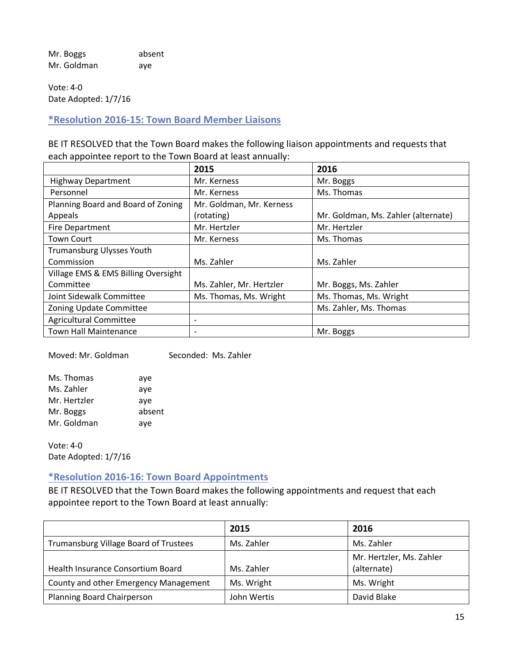Mr. Boggs absent Mr. Goldman aye

Vote: 4-0 Date Adopted: 1/7/16

<span id="page-14-0"></span>**\*Resolution 2016-15: Town Board Member Liaisons** 

BE IT RESOLVED that the Town Board makes the following liaison appointments and requests that each appointee report to the Town Board at least annually:

|                                     | 2015                     | 2016                                |
|-------------------------------------|--------------------------|-------------------------------------|
| <b>Highway Department</b>           | Mr. Kerness              | Mr. Boggs                           |
| Personnel                           | Mr. Kerness              | Ms. Thomas                          |
| Planning Board and Board of Zoning  | Mr. Goldman, Mr. Kerness |                                     |
| Appeals                             | (rotating)               | Mr. Goldman, Ms. Zahler (alternate) |
| <b>Fire Department</b>              | Mr. Hertzler             | Mr. Hertzler                        |
| <b>Town Court</b>                   | Mr. Kerness              | Ms. Thomas                          |
| Trumansburg Ulysses Youth           |                          |                                     |
| Commission                          | Ms. Zahler               | Ms. Zahler                          |
| Village EMS & EMS Billing Oversight |                          |                                     |
| Committee                           | Ms. Zahler, Mr. Hertzler | Mr. Boggs, Ms. Zahler               |
| Joint Sidewalk Committee            | Ms. Thomas, Ms. Wright   | Ms. Thomas, Ms. Wright              |
| Zoning Update Committee             |                          | Ms. Zahler, Ms. Thomas              |
| <b>Agricultural Committee</b>       | $\overline{\phantom{a}}$ |                                     |
| <b>Town Hall Maintenance</b>        | $\overline{\phantom{a}}$ | Mr. Boggs                           |

Moved: Mr. Goldman Seconded: Ms. Zahler

| Ms. Thomas   | aye    |
|--------------|--------|
| Ms. Zahler   | aye    |
| Mr. Hertzler | aye    |
| Mr. Boggs    | absent |
| Mr. Goldman  | aye    |
|              |        |

Vote: 4-0 Date Adopted: 1/7/16

# <span id="page-14-1"></span>**\*Resolution 2016-16: Town Board Appointments**

BE IT RESOLVED that the Town Board makes the following appointments and request that each appointee report to the Town Board at least annually:

|                                       | 2015        | 2016                                    |
|---------------------------------------|-------------|-----------------------------------------|
| Trumansburg Village Board of Trustees | Ms. Zahler  | Ms. Zahler                              |
| Health Insurance Consortium Board     | Ms. Zahler  | Mr. Hertzler, Ms. Zahler<br>(alternate) |
| County and other Emergency Management | Ms. Wright  | Ms. Wright                              |
| Planning Board Chairperson            | John Wertis | David Blake                             |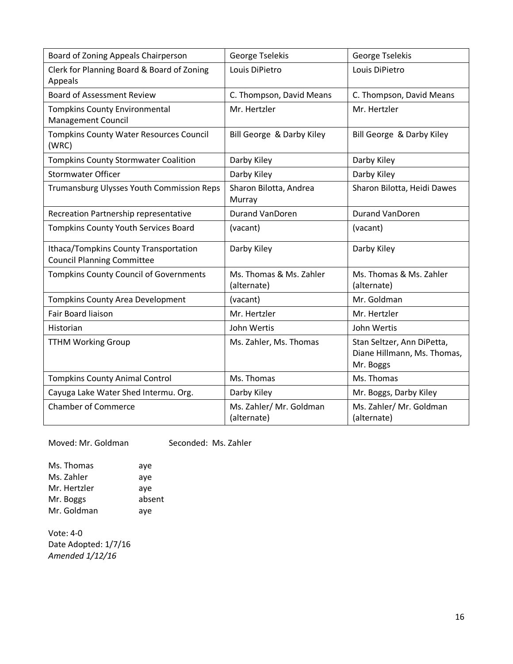| Board of Zoning Appeals Chairperson                                        | George Tselekis                        | George Tselekis                                                        |
|----------------------------------------------------------------------------|----------------------------------------|------------------------------------------------------------------------|
| Clerk for Planning Board & Board of Zoning<br>Appeals                      | Louis DiPietro                         | Louis DiPietro                                                         |
| <b>Board of Assessment Review</b>                                          | C. Thompson, David Means               | C. Thompson, David Means                                               |
| <b>Tompkins County Environmental</b><br><b>Management Council</b>          | Mr. Hertzler                           | Mr. Hertzler                                                           |
| <b>Tompkins County Water Resources Council</b><br>(WRC)                    | Bill George & Darby Kiley              | Bill George & Darby Kiley                                              |
| <b>Tompkins County Stormwater Coalition</b>                                | Darby Kiley                            | Darby Kiley                                                            |
| <b>Stormwater Officer</b>                                                  | Darby Kiley                            | Darby Kiley                                                            |
| Trumansburg Ulysses Youth Commission Reps                                  | Sharon Bilotta, Andrea<br>Murray       | Sharon Bilotta, Heidi Dawes                                            |
| Recreation Partnership representative                                      | <b>Durand VanDoren</b>                 | <b>Durand VanDoren</b>                                                 |
| Tompkins County Youth Services Board                                       | (vacant)                               | (vacant)                                                               |
| Ithaca/Tompkins County Transportation<br><b>Council Planning Committee</b> | Darby Kiley                            | Darby Kiley                                                            |
| <b>Tompkins County Council of Governments</b>                              | Ms. Thomas & Ms. Zahler<br>(alternate) | Ms. Thomas & Ms. Zahler<br>(alternate)                                 |
| <b>Tompkins County Area Development</b>                                    | (vacant)                               | Mr. Goldman                                                            |
| Fair Board liaison                                                         | Mr. Hertzler                           | Mr. Hertzler                                                           |
| Historian                                                                  | John Wertis                            | John Wertis                                                            |
| <b>TTHM Working Group</b>                                                  | Ms. Zahler, Ms. Thomas                 | Stan Seltzer, Ann DiPetta,<br>Diane Hillmann, Ms. Thomas,<br>Mr. Boggs |
| <b>Tompkins County Animal Control</b>                                      | Ms. Thomas                             | Ms. Thomas                                                             |
| Cayuga Lake Water Shed Intermu. Org.                                       | Darby Kiley                            | Mr. Boggs, Darby Kiley                                                 |
| <b>Chamber of Commerce</b>                                                 | Ms. Zahler/ Mr. Goldman<br>(alternate) | Ms. Zahler/ Mr. Goldman<br>(alternate)                                 |

Moved: Mr. Goldman Seconded: Ms. Zahler

Ms. Thomas aye Ms. Zahler aye Mr. Hertzler aye Mr. Boggs absent Mr. Goldman aye

Vote: 4-0 Date Adopted: 1/7/16 *Amended 1/12/16*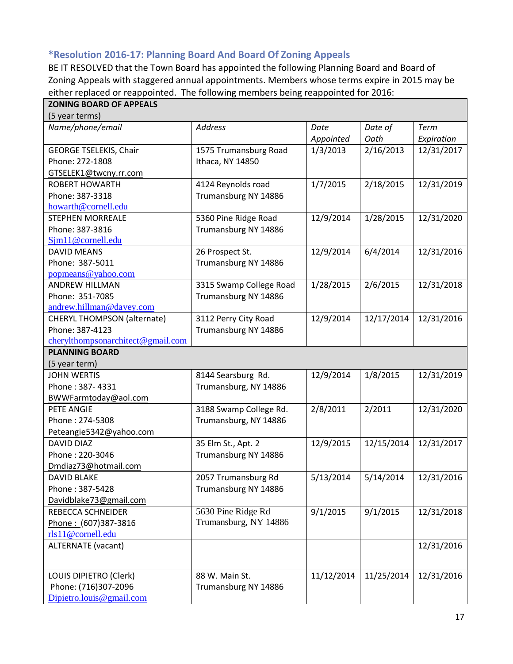# <span id="page-16-0"></span>**\*Resolution 2016-17: Planning Board And Board Of Zoning Appeals**

BE IT RESOLVED that the Town Board has appointed the following Planning Board and Board of Zoning Appeals with staggered annual appointments. Members whose terms expire in 2015 may be either replaced or reappointed. The following members being reappointed for 2016:

| <b>ZONING BOARD OF APPEALS</b>     |                         |            |            |            |
|------------------------------------|-------------------------|------------|------------|------------|
| (5 year terms)                     |                         |            |            |            |
| Name/phone/email                   | <b>Address</b>          | Date       | Date of    | Term       |
|                                    |                         | Appointed  | Oath       | Expiration |
| <b>GEORGE TSELEKIS, Chair</b>      | 1575 Trumansburg Road   | 1/3/2013   | 2/16/2013  | 12/31/2017 |
| Phone: 272-1808                    | Ithaca, NY 14850        |            |            |            |
| GTSELEK1@twcny.rr.com              |                         |            |            |            |
| <b>ROBERT HOWARTH</b>              | 4124 Reynolds road      | 1/7/2015   | 2/18/2015  | 12/31/2019 |
| Phone: 387-3318                    | Trumansburg NY 14886    |            |            |            |
| howarth@cornell.edu                |                         |            |            |            |
| <b>STEPHEN MORREALE</b>            | 5360 Pine Ridge Road    | 12/9/2014  | 1/28/2015  | 12/31/2020 |
| Phone: 387-3816                    | Trumansburg NY 14886    |            |            |            |
| Sjm11@cornell.edu                  |                         |            |            |            |
| <b>DAVID MEANS</b>                 | 26 Prospect St.         | 12/9/2014  | 6/4/2014   | 12/31/2016 |
| Phone: 387-5011                    | Trumansburg NY 14886    |            |            |            |
| popmeans@yahoo.com                 |                         |            |            |            |
| <b>ANDREW HILLMAN</b>              | 3315 Swamp College Road | 1/28/2015  | 2/6/2015   | 12/31/2018 |
| Phone: 351-7085                    | Trumansburg NY 14886    |            |            |            |
| andrew.hillman@davey.com           |                         |            |            |            |
| <b>CHERYL THOMPSON (alternate)</b> | 3112 Perry City Road    | 12/9/2014  | 12/17/2014 | 12/31/2016 |
| Phone: 387-4123                    | Trumansburg NY 14886    |            |            |            |
| cherylthompsonarchitect@gmail.com  |                         |            |            |            |
| <b>PLANNING BOARD</b>              |                         |            |            |            |
| (5 year term)                      |                         |            |            |            |
| <b>JOHN WERTIS</b>                 | 8144 Searsburg Rd.      | 12/9/2014  | 1/8/2015   | 12/31/2019 |
| Phone: 387-4331                    | Trumansburg, NY 14886   |            |            |            |
| BWWFarmtoday@aol.com               |                         |            |            |            |
| PETE ANGIE                         | 3188 Swamp College Rd.  | 2/8/2011   | 2/2011     | 12/31/2020 |
| Phone: 274-5308                    | Trumansburg, NY 14886   |            |            |            |
| Peteangie5342@yahoo.com            |                         |            |            |            |
| DAVID DIAZ                         | 35 Elm St., Apt. 2      | 12/9/2015  | 12/15/2014 | 12/31/2017 |
| Phone: 220-3046                    | Trumansburg NY 14886    |            |            |            |
| Dmdiaz73@hotmail.com               |                         |            |            |            |
| DAVID BLAKE                        | 2057 Trumansburg Rd     | 5/13/2014  | 5/14/2014  | 12/31/2016 |
| Phone: 387-5428                    | Trumansburg NY 14886    |            |            |            |
| Davidblake73@gmail.com             |                         |            |            |            |
| <b>REBECCA SCHNEIDER</b>           | 5630 Pine Ridge Rd      | 9/1/2015   | 9/1/2015   | 12/31/2018 |
| Phone: (607)387-3816               | Trumansburg, NY 14886   |            |            |            |
| rls11@cornell.edu                  |                         |            |            |            |
| <b>ALTERNATE</b> (vacant)          |                         |            |            | 12/31/2016 |
|                                    |                         |            |            |            |
| LOUIS DIPIETRO (Clerk)             | 88 W. Main St.          | 11/12/2014 | 11/25/2014 | 12/31/2016 |
| Phone: (716)307-2096               | Trumansburg NY 14886    |            |            |            |
| Dipietro.louis@gmail.com           |                         |            |            |            |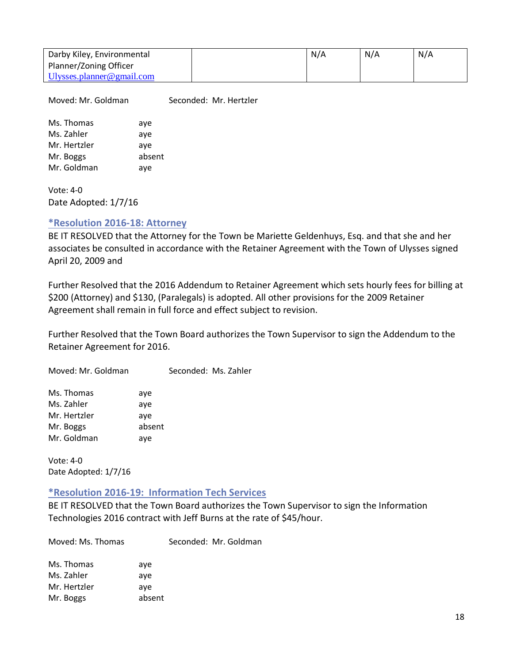| Darby Kiley, Environmental | N/A | N/A | N/A |
|----------------------------|-----|-----|-----|
| Planner/Zoning Officer     |     |     |     |
| Ulysses.planner@gmail.com  |     |     |     |

Moved: Mr. Goldman Seconded: Mr. Hertzler

Ms. Thomas aye Ms. Zahler aye Mr. Hertzler aye Mr. Boggs absent Mr. Goldman ave

Vote: 4-0 Date Adopted: 1/7/16

## <span id="page-17-0"></span>**\*Resolution 2016-18: Attorney**

BE IT RESOLVED that the Attorney for the Town be Mariette Geldenhuys, Esq. and that she and her associates be consulted in accordance with the Retainer Agreement with the Town of Ulysses signed April 20, 2009 and

Further Resolved that the 2016 Addendum to Retainer Agreement which sets hourly fees for billing at \$200 (Attorney) and \$130, (Paralegals) is adopted. All other provisions for the 2009 Retainer Agreement shall remain in full force and effect subject to revision.

Further Resolved that the Town Board authorizes the Town Supervisor to sign the Addendum to the Retainer Agreement for 2016.

Moved: Mr. Goldman Seconded: Ms. Zahler

| Ms. Thomas   | aye    |
|--------------|--------|
| Ms. Zahler   | aye    |
| Mr. Hertzler | aye    |
| Mr. Boggs    | absent |
| Mr. Goldman  | aye    |

Vote: 4-0 Date Adopted: 1/7/16

#### <span id="page-17-1"></span>**\*Resolution 2016-19: Information Tech Services**

BE IT RESOLVED that the Town Board authorizes the Town Supervisor to sign the Information Technologies 2016 contract with Jeff Burns at the rate of \$45/hour.

Moved: Ms. Thomas Seconded: Mr. Goldman

| Ms. Thomas   | aye    |
|--------------|--------|
| Ms. Zahler   | aye    |
| Mr. Hertzler | ave    |
| Mr. Boggs    | absent |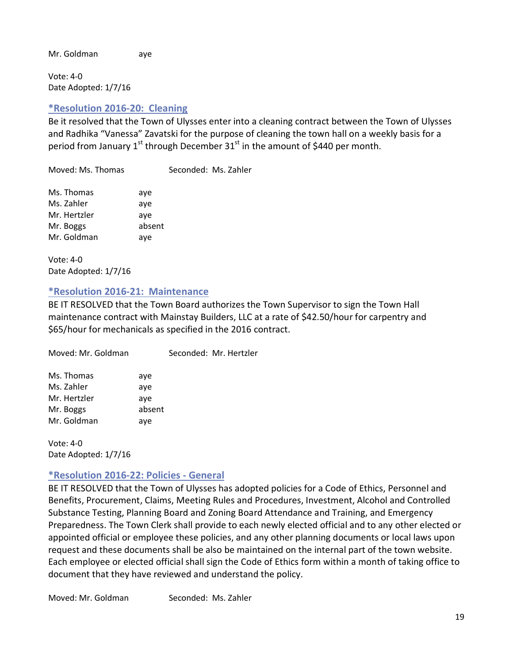Mr. Goldman aye

Vote: 4-0 Date Adopted: 1/7/16

# <span id="page-18-0"></span>**\*Resolution 2016-20: Cleaning**

Be it resolved that the Town of Ulysses enter into a cleaning contract between the Town of Ulysses and Radhika "Vanessa" Zavatski for the purpose of cleaning the town hall on a weekly basis for a period from January  $1^{st}$  through December  $31^{st}$  in the amount of \$440 per month.

Moved: Ms. Thomas Seconded: Ms. Zahler

| Ms. Thomas   | aye    |
|--------------|--------|
| Ms. Zahler   | aye    |
| Mr. Hertzler | ave    |
| Mr. Boggs    | absent |
| Mr. Goldman  | aye    |

Vote: 4-0 Date Adopted: 1/7/16

## <span id="page-18-1"></span>**\*Resolution 2016-21: Maintenance**

BE IT RESOLVED that the Town Board authorizes the Town Supervisor to sign the Town Hall maintenance contract with Mainstay Builders, LLC at a rate of \$42.50/hour for carpentry and \$65/hour for mechanicals as specified in the 2016 contract.

| Moved: Mr. Goldman |        | Seconded: Mr. Hertzler |
|--------------------|--------|------------------------|
| Ms. Thomas         | aye    |                        |
| Ms. Zahler         | aye    |                        |
| Mr. Hertzler       | aye    |                        |
| Mr. Boggs          | absent |                        |
| Mr. Goldman        | aye    |                        |

Vote: 4-0 Date Adopted: 1/7/16

# <span id="page-18-2"></span>**\*Resolution 2016-22: Policies - General**

BE IT RESOLVED that the Town of Ulysses has adopted policies for a Code of Ethics, Personnel and Benefits, Procurement, Claims, Meeting Rules and Procedures, Investment, Alcohol and Controlled Substance Testing, Planning Board and Zoning Board Attendance and Training, and Emergency Preparedness. The Town Clerk shall provide to each newly elected official and to any other elected or appointed official or employee these policies, and any other planning documents or local laws upon request and these documents shall be also be maintained on the internal part of the town website. Each employee or elected official shall sign the Code of Ethics form within a month of taking office to document that they have reviewed and understand the policy.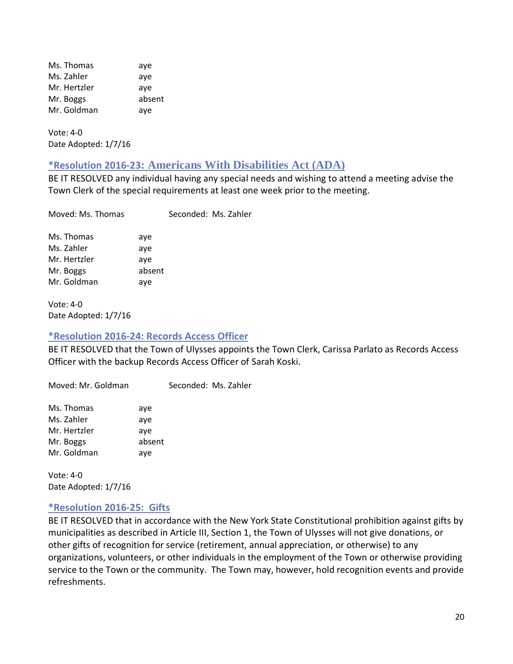Ms. Thomas aye Ms. Zahler aye Mr. Hertzler aye Mr. Boggs absent Mr. Goldman aye

Vote: 4-0 Date Adopted: 1/7/16

# <span id="page-19-0"></span>**\*Resolution 2016-23: Americans With Disabilities Act (ADA)**

BE IT RESOLVED any individual having any special needs and wishing to attend a meeting advise the Town Clerk of the special requirements at least one week prior to the meeting.

| Moved: Ms. Thomas |        | Seconded: Ms. Zahler |
|-------------------|--------|----------------------|
| Ms. Thomas        | aye    |                      |
| Ms. Zahler        | aye    |                      |
| Mr. Hertzler      | aye    |                      |
| Mr. Boggs         | absent |                      |
| Mr. Goldman       | aye    |                      |
|                   |        |                      |

Vote: 4-0 Date Adopted: 1/7/16

#### <span id="page-19-1"></span>**\*Resolution 2016-24: Records Access Officer**

BE IT RESOLVED that the Town of Ulysses appoints the Town Clerk, Carissa Parlato as Records Access Officer with the backup Records Access Officer of Sarah Koski.

Moved: Mr. Goldman Seconded: Ms. Zahler Ms. Thomas aye Ms. Zahler aye Mr. Hertzler ave Mr. Boggs absent Mr. Goldman aye

Vote: 4-0 Date Adopted: 1/7/16

# <span id="page-19-2"></span>**\*Resolution 2016-25: Gifts**

BE IT RESOLVED that in accordance with the New York State Constitutional prohibition against gifts by municipalities as described in Article III, Section 1, the Town of Ulysses will not give donations, or other gifts of recognition for service (retirement, annual appreciation, or otherwise) to any organizations, volunteers, or other individuals in the employment of the Town or otherwise providing service to the Town or the community. The Town may, however, hold recognition events and provide refreshments.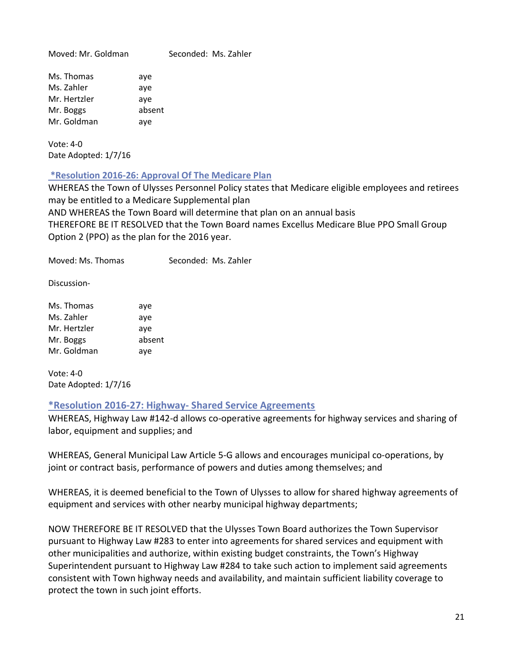Moved: Mr. Goldman Seconded: Ms. Zahler Ms. Thomas aye

Ms. Zahler aye Mr. Hertzler aye Mr. Boggs absent Mr. Goldman aye

Vote: 4-0 Date Adopted: 1/7/16

<span id="page-20-0"></span>**\*Resolution 2016-26: Approval Of The Medicare Plan**

WHEREAS the Town of Ulysses Personnel Policy states that Medicare eligible employees and retirees may be entitled to a Medicare Supplemental plan AND WHEREAS the Town Board will determine that plan on an annual basis THEREFORE BE IT RESOLVED that the Town Board names Excellus Medicare Blue PPO Small Group Option 2 (PPO) as the plan for the 2016 year.

Moved: Ms. Thomas Seconded: Ms. Zahler

Discussion-

| Ms. Thomas   | aye    |
|--------------|--------|
| Ms. Zahler   | aye    |
| Mr. Hertzler | aye    |
| Mr. Boggs    | absent |
| Mr. Goldman  | aye    |

Vote: 4-0 Date Adopted: 1/7/16

# <span id="page-20-1"></span>**\*Resolution 2016-27: Highway- Shared Service Agreements**

WHEREAS, Highway Law #142-d allows co-operative agreements for highway services and sharing of labor, equipment and supplies; and

WHEREAS, General Municipal Law Article 5-G allows and encourages municipal co-operations, by joint or contract basis, performance of powers and duties among themselves; and

WHEREAS, it is deemed beneficial to the Town of Ulysses to allow for shared highway agreements of equipment and services with other nearby municipal highway departments;

NOW THEREFORE BE IT RESOLVED that the Ulysses Town Board authorizes the Town Supervisor pursuant to Highway Law #283 to enter into agreements for shared services and equipment with other municipalities and authorize, within existing budget constraints, the Town's Highway Superintendent pursuant to Highway Law #284 to take such action to implement said agreements consistent with Town highway needs and availability, and maintain sufficient liability coverage to protect the town in such joint efforts.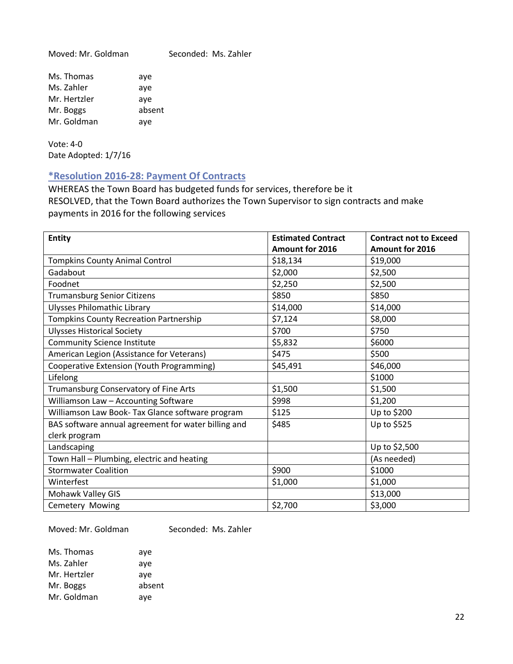Moved: Mr. Goldman Seconded: Ms. Zahler

| Ms. Thomas   | aye    |
|--------------|--------|
| Ms. Zahler   | aye    |
| Mr. Hertzler | aye    |
| Mr. Boggs    | absent |
| Mr. Goldman  | aye    |

Vote: 4-0 Date Adopted: 1/7/16

## <span id="page-21-0"></span>**\*Resolution 2016-28: Payment Of Contracts**

WHEREAS the Town Board has budgeted funds for services, therefore be it RESOLVED, that the Town Board authorizes the Town Supervisor to sign contracts and make payments in 2016 for the following services

| <b>Entity</b>                                       | <b>Estimated Contract</b> | <b>Contract not to Exceed</b> |
|-----------------------------------------------------|---------------------------|-------------------------------|
|                                                     | Amount for 2016           | Amount for 2016               |
| <b>Tompkins County Animal Control</b>               | \$18,134                  | \$19,000                      |
| Gadabout                                            | \$2,000                   | \$2,500                       |
| Foodnet                                             | \$2,250                   | \$2,500                       |
| <b>Trumansburg Senior Citizens</b>                  | \$850                     | \$850                         |
| <b>Ulysses Philomathic Library</b>                  | \$14,000                  | \$14,000                      |
| <b>Tompkins County Recreation Partnership</b>       | \$7,124                   | \$8,000                       |
| <b>Ulysses Historical Society</b>                   | \$700                     | \$750                         |
| <b>Community Science Institute</b>                  | \$5,832                   | \$6000                        |
| American Legion (Assistance for Veterans)           | \$475                     | \$500                         |
| Cooperative Extension (Youth Programming)           | \$45,491                  | \$46,000                      |
| Lifelong                                            |                           | \$1000                        |
| Trumansburg Conservatory of Fine Arts               | \$1,500                   | \$1,500                       |
| Williamson Law - Accounting Software                | \$998                     | \$1,200                       |
| Williamson Law Book- Tax Glance software program    | \$125                     | Up to \$200                   |
| BAS software annual agreement for water billing and | \$485                     | Up to \$525                   |
| clerk program                                       |                           |                               |
| Landscaping                                         |                           | Up to \$2,500                 |
| Town Hall - Plumbing, electric and heating          |                           | (As needed)                   |
| <b>Stormwater Coalition</b>                         | \$900                     | \$1000                        |
| Winterfest                                          | \$1,000                   | \$1,000                       |
| Mohawk Valley GIS                                   |                           | \$13,000                      |
| Cemetery Mowing                                     | \$2,700                   | \$3,000                       |

Moved: Mr. Goldman Seconded: Ms. Zahler

| aye    |
|--------|
| aye    |
| aye    |
| absent |
| aye    |
|        |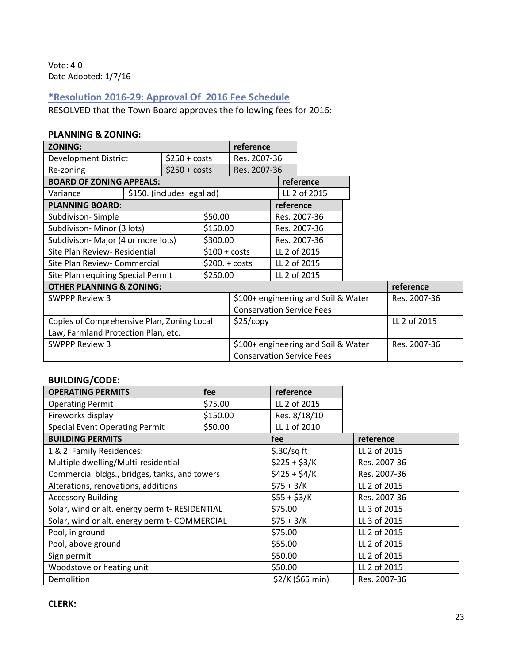Vote: 4-0 Date Adopted: 1/7/16

# <span id="page-22-0"></span>**\*Resolution 2016-29: Approval Of 2016 Fee Schedule**

RESOLVED that the Town Board approves the following fees for 2016:

#### **PLANNING & ZONING:**

| <b>ZONING:</b>                             |  |                                     |                                  | reference    |           |              |            |           |
|--------------------------------------------|--|-------------------------------------|----------------------------------|--------------|-----------|--------------|------------|-----------|
| <b>Development District</b>                |  | $$250 + costs$                      |                                  | Res. 2007-36 |           |              |            |           |
| Re-zoning                                  |  | $$250 + costs$                      |                                  | Res. 2007-36 |           |              |            |           |
| <b>BOARD OF ZONING APPEALS:</b>            |  |                                     |                                  |              |           | reference    |            |           |
| Variance                                   |  | \$150. (includes legal ad)          |                                  |              |           | LL 2 of 2015 |            |           |
| <b>PLANNING BOARD:</b>                     |  |                                     |                                  |              | reference |              |            |           |
| Subdivison-Simple                          |  |                                     | \$50.00                          |              |           | Res. 2007-36 |            |           |
| Subdivison-Minor (3 lots)                  |  | \$150.00                            |                                  |              |           | Res. 2007-36 |            |           |
| Subdivison-Major (4 or more lots)          |  |                                     | \$300.00                         |              |           | Res. 2007-36 |            |           |
| Site Plan Review- Residential              |  | $$100 + costs$                      |                                  |              |           | LL 2 of 2015 |            |           |
| Site Plan Review- Commercial               |  | $$200.+costs$                       |                                  |              |           | LL 2 of 2015 |            |           |
| Site Plan requiring Special Permit         |  |                                     | \$250.00                         |              |           | LL 2 of 2015 |            |           |
| <b>OTHER PLANNING &amp; ZONING:</b>        |  |                                     |                                  |              |           |              |            | reference |
| <b>SWPPP Review 3</b>                      |  | \$100+ engineering and Soil & Water |                                  |              | Res. 2007 |              |            |           |
|                                            |  |                                     | <b>Conservation Service Fees</b> |              |           |              |            |           |
| Copies of Comprehensive Plan, Zoning Local |  |                                     | \$25/copy                        |              |           |              | LL 2 of 20 |           |

|                                            | Conservation Service Fees           |              |
|--------------------------------------------|-------------------------------------|--------------|
| Copies of Comprehensive Plan, Zoning Local | \$25/copy                           | LL 2 of 2015 |
| Law, Farmland Protection Plan, etc.        |                                     |              |
| SWPPP Review 3                             | \$100+ engineering and Soil & Water | Res. 2007-36 |
|                                            | <b>Conservation Service Fees</b>    |              |

## **BUILDING/CODE:**

| <b>OPERATING PERMITS</b>                       | fee      | reference        |              |
|------------------------------------------------|----------|------------------|--------------|
| <b>Operating Permit</b>                        | \$75.00  | LL 2 of 2015     |              |
| Fireworks display                              | \$150.00 | Res. 8/18/10     |              |
| <b>Special Event Operating Permit</b>          | \$50.00  | LL 1 of 2010     |              |
| <b>BUILDING PERMITS</b>                        |          | fee              | reference    |
| 1 & 2 Family Residences:                       |          | $$.30/sq$ ft     | LL 2 of 2015 |
| Multiple dwelling/Multi-residential            |          | $$225 + $3/K$    | Res. 2007-36 |
| Commercial bldgs., bridges, tanks, and towers  |          | $$425 + $4/K$$   | Res. 2007-36 |
| Alterations, renovations, additions            |          | $$75 + 3/K$      | LL 2 of 2015 |
| <b>Accessory Building</b>                      |          | $$55 + $3/K$     | Res. 2007-36 |
| Solar, wind or alt. energy permit- RESIDENTIAL |          | \$75.00          | LL 3 of 2015 |
| Solar, wind or alt. energy permit- COMMERCIAL  |          | $$75 + 3/K$      | LL 3 of 2015 |
| Pool, in ground                                |          | \$75.00          | LL 2 of 2015 |
| Pool, above ground                             |          | \$55.00          | LL 2 of 2015 |
| Sign permit                                    |          | \$50.00          | LL 2 of 2015 |
| Woodstove or heating unit                      |          | \$50.00          | LL 2 of 2015 |
| Demolition                                     |          | \$2/K (\$65 min) | Res. 2007-36 |

Res. 2007-36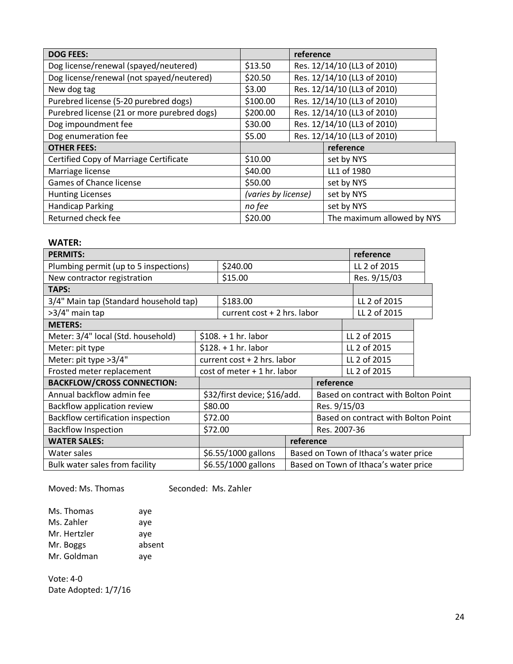| <b>DOG FEES:</b>                              |                                         | reference                   |                             |
|-----------------------------------------------|-----------------------------------------|-----------------------------|-----------------------------|
| Dog license/renewal (spayed/neutered)         | \$13.50                                 |                             | Res. 12/14/10 (LL3 of 2010) |
| Dog license/renewal (not spayed/neutered)     | \$20.50                                 |                             | Res. 12/14/10 (LL3 of 2010) |
| New dog tag                                   | \$3.00                                  |                             | Res. 12/14/10 (LL3 of 2010) |
| Purebred license (5-20 purebred dogs)         | \$100.00                                |                             | Res. 12/14/10 (LL3 of 2010) |
| Purebred license (21 or more purebred dogs)   | Res. 12/14/10 (LL3 of 2010)<br>\$200.00 |                             |                             |
| Dog impoundment fee                           | \$30.00                                 | Res. 12/14/10 (LL3 of 2010) |                             |
| Dog enumeration fee                           | Res. 12/14/10 (LL3 of 2010)<br>\$5.00   |                             |                             |
| <b>OTHER FEES:</b>                            |                                         |                             | reference                   |
| <b>Certified Copy of Marriage Certificate</b> | \$10.00                                 |                             | set by NYS                  |
| Marriage license                              | \$40.00                                 |                             | LL1 of 1980                 |
| Games of Chance license                       | \$50.00                                 |                             | set by NYS                  |
| <b>Hunting Licenses</b>                       | (varies by license)                     |                             | set by NYS                  |
| <b>Handicap Parking</b>                       | no fee                                  |                             | set by NYS                  |
| Returned check fee                            | \$20.00                                 |                             | The maximum allowed by NYS  |

#### **WATER:**

| <b>PERMITS:</b>                        |                               |                             |              |                                       | reference    |  |
|----------------------------------------|-------------------------------|-----------------------------|--------------|---------------------------------------|--------------|--|
| Plumbing permit (up to 5 inspections)  | \$240.00                      |                             |              |                                       | LL 2 of 2015 |  |
| New contractor registration            |                               | \$15.00                     |              |                                       | Res. 9/15/03 |  |
| <b>TAPS:</b>                           |                               |                             |              |                                       |              |  |
| 3/4" Main tap (Standard household tap) |                               | \$183.00                    |              |                                       | LL 2 of 2015 |  |
| >3/4" main tap                         |                               | current cost + 2 hrs. labor |              |                                       | LL 2 of 2015 |  |
| <b>METERS:</b>                         |                               |                             |              |                                       |              |  |
| Meter: 3/4" local (Std. household)     |                               | $$108. + 1 hr.$ labor       |              |                                       | LL 2 of 2015 |  |
| Meter: pit type                        |                               | $$128.+1 hr.$ labor         |              |                                       | LL 2 of 2015 |  |
| Meter: pit type >3/4"                  |                               | current cost + 2 hrs. labor |              |                                       | LL 2 of 2015 |  |
| Frosted meter replacement              | $cost$ of meter + 1 hr. labor |                             |              | LL 2 of 2015                          |              |  |
| <b>BACKFLOW/CROSS CONNECTION:</b>      |                               |                             |              | reference                             |              |  |
| Annual backflow admin fee              | \$32/first device; \$16/add.  |                             |              | Based on contract with Bolton Point   |              |  |
| Backflow application review            |                               | \$80.00                     |              | Res. 9/15/03                          |              |  |
| Backflow certification inspection      | \$72.00                       |                             |              | Based on contract with Bolton Point   |              |  |
| <b>Backflow Inspection</b>             | \$72.00                       |                             | Res. 2007-36 |                                       |              |  |
| <b>WATER SALES:</b>                    |                               |                             | reference    |                                       |              |  |
| Water sales                            | \$6.55/1000 gallons           |                             |              | Based on Town of Ithaca's water price |              |  |
| Bulk water sales from facility         | \$6.55/1000 gallons           |                             |              | Based on Town of Ithaca's water price |              |  |

Moved: Ms. Thomas Seconded: Ms. Zahler

| Ms. Thomas   | aye    |
|--------------|--------|
| Ms. Zahler   | aye    |
| Mr. Hertzler | aye    |
| Mr. Boggs    | absent |
| Mr. Goldman  | aye    |
|              |        |

Vote: 4-0 Date Adopted: 1/7/16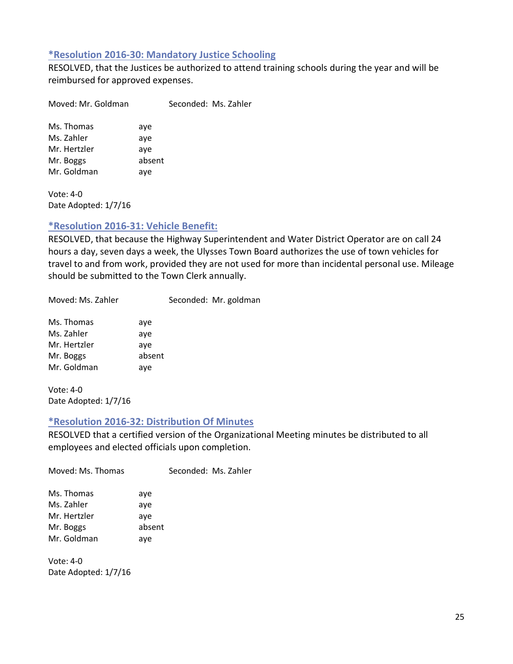#### <span id="page-24-0"></span>**\*Resolution 2016-30: Mandatory Justice Schooling**

RESOLVED, that the Justices be authorized to attend training schools during the year and will be reimbursed for approved expenses.

Moved: Mr. Goldman Seconded: Ms. Zahler Ms. Thomas aye Ms. Zahler aye Mr. Hertzler aye

Mr. Boggs absent Mr. Goldman aye

Vote: 4-0 Date Adopted: 1/7/16

# <span id="page-24-1"></span>**\*Resolution 2016-31: Vehicle Benefit:**

RESOLVED, that because the Highway Superintendent and Water District Operator are on call 24 hours a day, seven days a week, the Ulysses Town Board authorizes the use of town vehicles for travel to and from work, provided they are not used for more than incidental personal use. Mileage should be submitted to the Town Clerk annually.

Moved: Ms. Zahler Seconded: Mr. goldman

| Ms. Thomas   | aye    |
|--------------|--------|
| Ms. Zahler   | aye    |
| Mr. Hertzler | aye    |
| Mr. Boggs    | absent |
| Mr. Goldman  | aye    |

Vote: 4-0 Date Adopted: 1/7/16

# <span id="page-24-2"></span>**\*Resolution 2016-32: Distribution Of Minutes**

RESOLVED that a certified version of the Organizational Meeting minutes be distributed to all employees and elected officials upon completion.

| Moved: Ms. Thomas                                     |                             | Seconded: Ms. Zahler |
|-------------------------------------------------------|-----------------------------|----------------------|
| Ms. Thomas<br>Ms. Zahler<br>Mr. Hertzler<br>Mr. Boggs | aye<br>aye<br>aye<br>absent |                      |
| Mr. Goldman                                           | aye                         |                      |

Vote: 4-0 Date Adopted: 1/7/16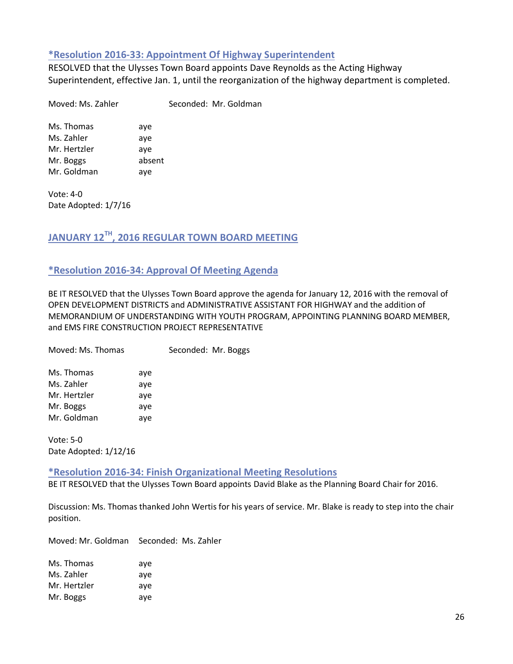#### <span id="page-25-0"></span>**\*Resolution 2016-33: Appointment Of Highway Superintendent**

RESOLVED that the Ulysses Town Board appoints Dave Reynolds as the Acting Highway Superintendent, effective Jan. 1, until the reorganization of the highway department is completed.

Moved: Ms. Zahler Seconded: Mr. Goldman

Ms. Thomas aye Ms. Zahler aye Mr. Hertzler aye Mr. Boggs absent Mr. Goldman aye

Vote: 4-0 Date Adopted: 1/7/16

# <span id="page-25-1"></span>**JANUARY 12TH, 2016 REGULAR TOWN BOARD MEETING**

# <span id="page-25-2"></span>**\*Resolution 2016-34: Approval Of Meeting Agenda**

BE IT RESOLVED that the Ulysses Town Board approve the agenda for January 12, 2016 with the removal of OPEN DEVELOPMENT DISTRICTS and ADMINISTRATIVE ASSISTANT FOR HIGHWAY and the addition of MEMORANDIUM OF UNDERSTANDING WITH YOUTH PROGRAM, APPOINTING PLANNING BOARD MEMBER, and EMS FIRE CONSTRUCTION PROJECT REPRESENTATIVE

| Moved: Ms. Thomas |     | Seconded: Mr. Boggs |
|-------------------|-----|---------------------|
| Ms. Thomas        | aye |                     |
| Ms. Zahler        | aye |                     |
| Mr. Hertzler      | aye |                     |
| Mr. Boggs         | aye |                     |
| Mr. Goldman       | aye |                     |
|                   |     |                     |

Vote: 5-0 Date Adopted: 1/12/16

<span id="page-25-3"></span>**\*Resolution 2016-34: Finish Organizational Meeting Resolutions**

BE IT RESOLVED that the Ulysses Town Board appoints David Blake as the Planning Board Chair for 2016.

Discussion: Ms. Thomas thanked John Wertis for his years of service. Mr. Blake is ready to step into the chair position.

Moved: Mr. Goldman Seconded: Ms. Zahler

| Ms. Thomas   | ave |
|--------------|-----|
| Ms. Zahler   | ave |
| Mr. Hertzler | ave |
| Mr. Boggs    | ave |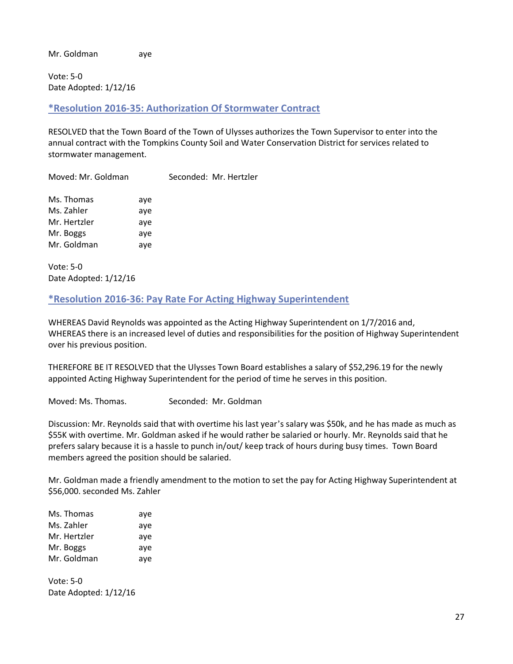Mr. Goldman aye

Vote: 5-0 Date Adopted: 1/12/16

<span id="page-26-0"></span>**\*Resolution 2016-35: Authorization Of Stormwater Contract**

RESOLVED that the Town Board of the Town of Ulysses authorizes the Town Supervisor to enter into the annual contract with the Tompkins County Soil and Water Conservation District for services related to stormwater management.

Moved: Mr. Goldman Seconded: Mr. Hertzler

| Ms. Thomas   | aye |
|--------------|-----|
| Ms. Zahler   | aye |
| Mr. Hertzler | aye |
| Mr. Boggs    | ave |
| Mr. Goldman  | aye |

Vote: 5-0 Date Adopted: 1/12/16

# <span id="page-26-1"></span>**\*Resolution 2016-36: Pay Rate For Acting Highway Superintendent**

WHEREAS David Reynolds was appointed as the Acting Highway Superintendent on 1/7/2016 and, WHEREAS there is an increased level of duties and responsibilities for the position of Highway Superintendent over his previous position.

THEREFORE BE IT RESOLVED that the Ulysses Town Board establishes a salary of \$52,296.19 for the newly appointed Acting Highway Superintendent for the period of time he serves in this position.

Moved: Ms. Thomas. Seconded: Mr. Goldman

Discussion: Mr. Reynolds said that with overtime his last year's salary was \$50k, and he has made as much as \$55K with overtime. Mr. Goldman asked if he would rather be salaried or hourly. Mr. Reynolds said that he prefers salary because it is a hassle to punch in/out/ keep track of hours during busy times. Town Board members agreed the position should be salaried.

Mr. Goldman made a friendly amendment to the motion to set the pay for Acting Highway Superintendent at \$56,000. seconded Ms. Zahler

| Ms. Thomas   | aye |
|--------------|-----|
| Ms. Zahler   | aye |
| Mr. Hertzler | aye |
| Mr. Boggs    | aye |
| Mr. Goldman  | aye |

Vote: 5-0 Date Adopted: 1/12/16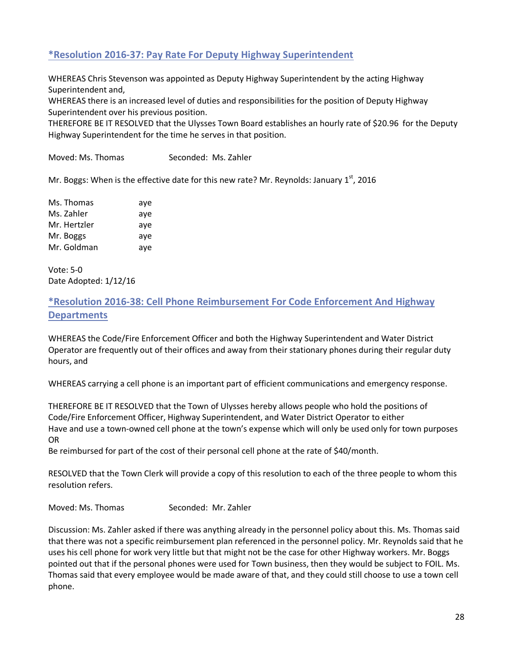# <span id="page-27-0"></span>**\*Resolution 2016-37: Pay Rate For Deputy Highway Superintendent**

WHEREAS Chris Stevenson was appointed as Deputy Highway Superintendent by the acting Highway Superintendent and,

WHEREAS there is an increased level of duties and responsibilities for the position of Deputy Highway Superintendent over his previous position.

THEREFORE BE IT RESOLVED that the Ulysses Town Board establishes an hourly rate of \$20.96 for the Deputy Highway Superintendent for the time he serves in that position.

Moved: Ms. Thomas Seconded: Ms. Zahler

Mr. Boggs: When is the effective date for this new rate? Mr. Reynolds: January  $1<sup>st</sup>$ , 2016

| Ms. Thomas   | aye |
|--------------|-----|
| Ms. Zahler   | aye |
| Mr. Hertzler | aye |
| Mr. Boggs    | aye |
| Mr. Goldman  | aye |

Vote: 5-0 Date Adopted: 1/12/16

# <span id="page-27-1"></span>**\*Resolution 2016-38: Cell Phone Reimbursement For Code Enforcement And Highway Departments**

WHEREAS the Code/Fire Enforcement Officer and both the Highway Superintendent and Water District Operator are frequently out of their offices and away from their stationary phones during their regular duty hours, and

WHEREAS carrying a cell phone is an important part of efficient communications and emergency response.

THEREFORE BE IT RESOLVED that the Town of Ulysses hereby allows people who hold the positions of Code/Fire Enforcement Officer, Highway Superintendent, and Water District Operator to either Have and use a town-owned cell phone at the town's expense which will only be used only for town purposes OR

Be reimbursed for part of the cost of their personal cell phone at the rate of \$40/month.

RESOLVED that the Town Clerk will provide a copy of this resolution to each of the three people to whom this resolution refers.

Moved: Ms. Thomas Seconded: Mr. Zahler

Discussion: Ms. Zahler asked if there was anything already in the personnel policy about this. Ms. Thomas said that there was not a specific reimbursement plan referenced in the personnel policy. Mr. Reynolds said that he uses his cell phone for work very little but that might not be the case for other Highway workers. Mr. Boggs pointed out that if the personal phones were used for Town business, then they would be subject to FOIL. Ms. Thomas said that every employee would be made aware of that, and they could still choose to use a town cell phone.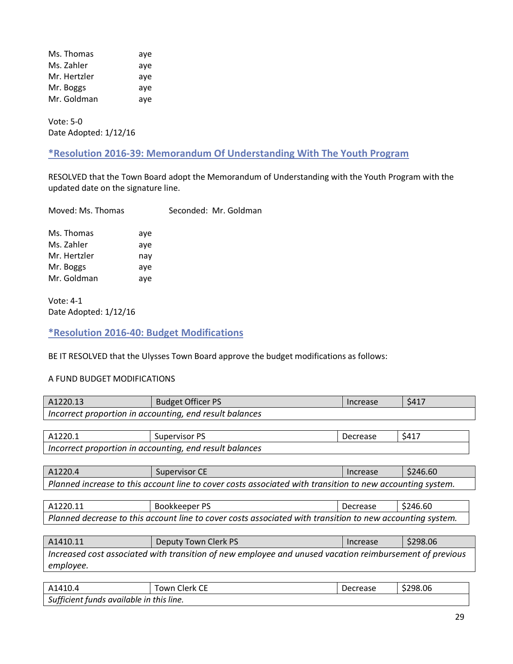| Ms. Thomas   | aye |
|--------------|-----|
| Ms. Zahler   | aye |
| Mr. Hertzler | aye |
| Mr. Boggs    | aye |
| Mr. Goldman  | aye |

Vote: 5-0 Date Adopted: 1/12/16

# <span id="page-28-0"></span>**\*Resolution 2016-39: Memorandum Of Understanding With The Youth Program**

RESOLVED that the Town Board adopt the Memorandum of Understanding with the Youth Program with the updated date on the signature line.

| Moved: Ms. Thomas |  | Seconded: Mr. Goldman |
|-------------------|--|-----------------------|
|                   |  |                       |

| Ms. Thomas   | aye |
|--------------|-----|
| Ms. Zahler   | aye |
| Mr. Hertzler | nay |
| Mr. Boggs    | aye |
| Mr. Goldman  | aye |

Vote: 4-1 Date Adopted: 1/12/16

#### <span id="page-28-1"></span>**\*Resolution 2016-40: Budget Modifications**

BE IT RESOLVED that the Ulysses Town Board approve the budget modifications as follows:

#### A FUND BUDGET MODIFICATIONS

| A1220.13                                                                                                  | <b>Budget Officer PS</b>                                                                                  | Increase | \$417    |
|-----------------------------------------------------------------------------------------------------------|-----------------------------------------------------------------------------------------------------------|----------|----------|
|                                                                                                           | Incorrect proportion in accounting, end result balances                                                   |          |          |
|                                                                                                           |                                                                                                           |          |          |
| A1220.1                                                                                                   | <b>Supervisor PS</b>                                                                                      | Decrease | \$417    |
|                                                                                                           | Incorrect proportion in accounting, end result balances                                                   |          |          |
|                                                                                                           |                                                                                                           |          |          |
| A1220.4                                                                                                   | <b>Supervisor CE</b>                                                                                      | Increase | \$246.60 |
|                                                                                                           | Planned increase to this account line to cover costs associated with transition to new accounting system. |          |          |
|                                                                                                           |                                                                                                           |          |          |
| A1220.11                                                                                                  | Bookkeeper PS                                                                                             | Decrease | \$246.60 |
| Planned decrease to this account line to cover costs associated with transition to new accounting system. |                                                                                                           |          |          |
|                                                                                                           |                                                                                                           |          |          |
| A1410.11                                                                                                  | Deputy Town Clerk PS                                                                                      | Increase | \$298.06 |
| Increased cost associated with transition of new employee and unused vacation reimbursement of previous   |                                                                                                           |          |          |
| employee.                                                                                                 |                                                                                                           |          |          |
|                                                                                                           |                                                                                                           |          |          |

| A1410.4                                  | $\sim$<br>Llerk -<br>own<br>◡ | rease -<br>ec. | \$298.06 |  |
|------------------------------------------|-------------------------------|----------------|----------|--|
| Sufficient funds available in this line. |                               |                |          |  |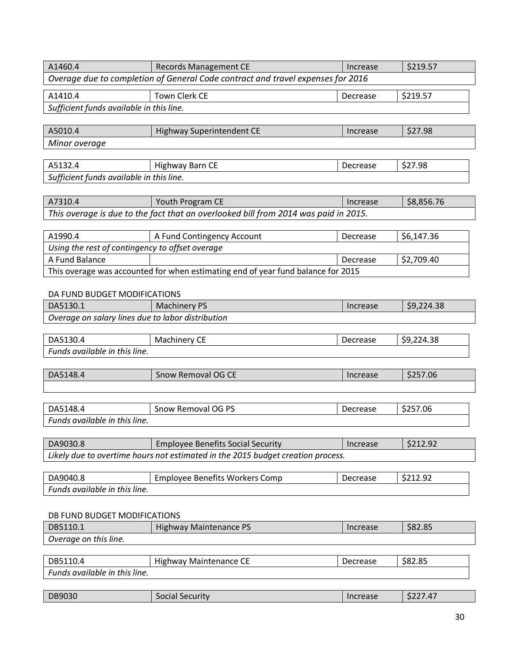| A1460.4                                                                         | <b>Records Management CE</b>                                                        | Increase | \$219.57   |
|---------------------------------------------------------------------------------|-------------------------------------------------------------------------------------|----------|------------|
| Overage due to completion of General Code contract and travel expenses for 2016 |                                                                                     |          |            |
| A1410.4                                                                         | <b>Town Clerk CE</b>                                                                | Decrease | \$219.57   |
| Sufficient funds available in this line.                                        |                                                                                     |          |            |
|                                                                                 |                                                                                     |          |            |
| A5010.4                                                                         | <b>Highway Superintendent CE</b>                                                    | Increase | \$27.98    |
| Minor overage                                                                   |                                                                                     |          |            |
|                                                                                 |                                                                                     |          |            |
| A5132.4                                                                         | Highway Barn CE                                                                     | Decrease | \$27.98    |
| Sufficient funds available in this line.                                        |                                                                                     |          |            |
|                                                                                 |                                                                                     |          |            |
| A7310.4                                                                         | Youth Program CE                                                                    | Increase | \$8,856.76 |
|                                                                                 | This overage is due to the fact that an overlooked bill from 2014 was paid in 2015. |          |            |
|                                                                                 |                                                                                     |          |            |
| A1990.4                                                                         | A Fund Contingency Account                                                          | Decrease | \$6,147.36 |
| Using the rest of contingency to offset overage                                 |                                                                                     |          |            |
| A Fund Balance                                                                  |                                                                                     | Decrease | \$2,709.40 |
|                                                                                 | This overage was accounted for when estimating end of year fund balance for 2015    |          |            |
| DA FUND BUDGET MODIFICATIONS                                                    |                                                                                     |          |            |
| DA5130.1                                                                        | <b>Machinery PS</b>                                                                 | Increase | \$9,224.38 |
| Overage on salary lines due to labor distribution                               |                                                                                     |          |            |
|                                                                                 |                                                                                     |          |            |
| DA5130.4                                                                        | Machinery CE                                                                        | Decrease | \$9,224.38 |
| Funds available in this line.                                                   |                                                                                     |          |            |
|                                                                                 |                                                                                     |          |            |
| DA5148.4                                                                        | Snow Removal OG CE                                                                  | Increase | \$257.06   |
|                                                                                 |                                                                                     |          |            |
| DA5148.4                                                                        | Snow Removal OG PS                                                                  |          | \$257.06   |
| Funds available in this line.                                                   |                                                                                     | Decrease |            |
|                                                                                 |                                                                                     |          |            |
| DA9030.8                                                                        | <b>Employee Benefits Social Security</b>                                            | Increase | \$212.92   |
|                                                                                 | Likely due to overtime hours not estimated in the 2015 budget creation process.     |          |            |
|                                                                                 |                                                                                     |          |            |
| DA9040.8                                                                        | <b>Employee Benefits Workers Comp</b>                                               | Decrease | \$212.92   |
| Funds available in this line.                                                   |                                                                                     |          |            |
|                                                                                 |                                                                                     |          |            |
| DB FUND BUDGET MODIFICATIONS                                                    |                                                                                     |          |            |
| DB5110.1                                                                        | <b>Highway Maintenance PS</b>                                                       | Increase | \$82.85    |
| Overage on this line.                                                           |                                                                                     |          |            |
|                                                                                 |                                                                                     |          |            |
| DB5110.4                                                                        | <b>Highway Maintenance CE</b>                                                       | Decrease | \$82.85    |
| Funds available in this line.                                                   |                                                                                     |          |            |
|                                                                                 |                                                                                     |          |            |
| DB9030                                                                          | <b>Social Security</b>                                                              | Increase | \$227.47   |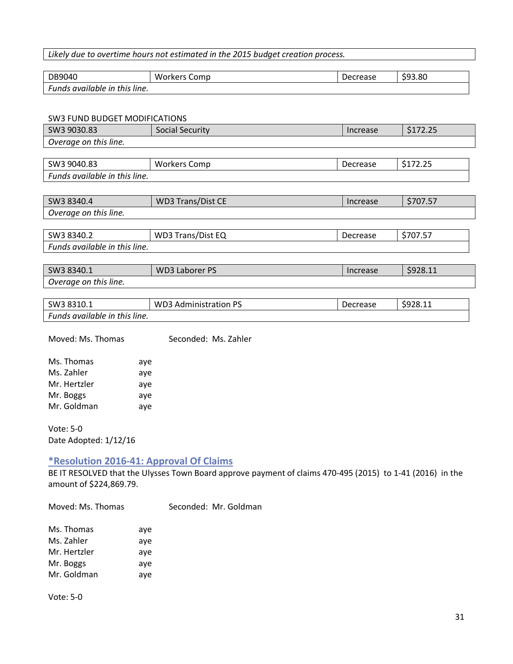#### *Likely due to overtime hours not estimated in the 2015 budget creation process.*

| DB9040                        | <b>Workers Comp</b> | Decrease | \$93.80 |
|-------------------------------|---------------------|----------|---------|
| Funds available in this line. |                     |          |         |

#### SW3 FUND BUDGET MODIFICATIONS

| SWS FUND BUDGET MUDIFICATIONS |                              |          |          |
|-------------------------------|------------------------------|----------|----------|
| SW3 9030.83                   | <b>Social Security</b>       | Increase | \$172.25 |
| Overage on this line.         |                              |          |          |
|                               |                              |          |          |
| SW3 9040.83                   | <b>Workers Comp</b>          | Decrease | \$172.25 |
| Funds available in this line. |                              |          |          |
|                               |                              |          |          |
| SW3 8340.4                    | <b>WD3 Trans/Dist CE</b>     | Increase | \$707.57 |
| Overage on this line.         |                              |          |          |
|                               |                              |          |          |
| SW3 8340.2                    | <b>WD3 Trans/Dist EQ</b>     | Decrease | \$707.57 |
| Funds available in this line. |                              |          |          |
|                               |                              |          |          |
| SW3 8340.1                    | <b>WD3 Laborer PS</b>        | Increase | \$928.11 |
| Overage on this line.         |                              |          |          |
|                               |                              |          |          |
| SW3 8310.1                    | <b>WD3 Administration PS</b> | Decrease | \$928.11 |

*Funds available in this line.*

Moved: Ms. Thomas Seconded: Ms. Zahler

| Ms. Thomas   | aye |
|--------------|-----|
| Ms. Zahler   | aye |
| Mr. Hertzler | aye |
| Mr. Boggs    | aye |
| Mr. Goldman  | aye |

Vote: 5-0 Date Adopted: 1/12/16

## <span id="page-30-0"></span>**\*Resolution 2016-41: Approval Of Claims**

BE IT RESOLVED that the Ulysses Town Board approve payment of claims 470-495 (2015) to 1-41 (2016) in the amount of \$224,869.79.

Moved: Ms. Thomas Seconded: Mr. Goldman

| Ms. Thomas   | aye |
|--------------|-----|
| Ms. Zahler   | aye |
| Mr. Hertzler | aye |
| Mr. Boggs    | aye |
| Mr. Goldman  | aye |

Vote: 5-0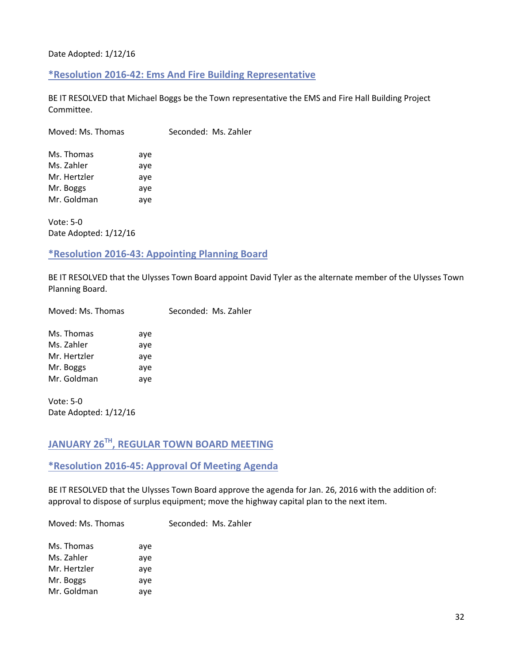#### <span id="page-31-0"></span>Date Adopted: 1/12/16

#### **\*Resolution 2016-42: Ems And Fire Building Representative**

BE IT RESOLVED that Michael Boggs be the Town representative the EMS and Fire Hall Building Project Committee.

| Ms. Thomas   | aye |
|--------------|-----|
| Ms. Zahler   | aye |
| Mr. Hertzler | aye |
| Mr. Boggs    | aye |
| Mr. Goldman  | aye |

Vote: 5-0 Date Adopted: 1/12/16

# <span id="page-31-1"></span>**\*Resolution 2016-43: Appointing Planning Board**

BE IT RESOLVED that the Ulysses Town Board appoint David Tyler as the alternate member of the Ulysses Town Planning Board.

| Moved: Ms. Thomas | Seconded: Ms. Zahler |  |
|-------------------|----------------------|--|
|                   |                      |  |

| Ms. Thomas   | aye |
|--------------|-----|
| Ms. Zahler   | aye |
| Mr. Hertzler | aye |
| Mr. Boggs    | aye |
| Mr. Goldman  | aye |

Vote: 5-0 Date Adopted: 1/12/16

# <span id="page-31-2"></span>**JANUARY 26TH, REGULAR TOWN BOARD MEETING**

#### <span id="page-31-3"></span>**\*Resolution 2016-45: Approval Of Meeting Agenda**

BE IT RESOLVED that the Ulysses Town Board approve the agenda for Jan. 26, 2016 with the addition of: approval to dispose of surplus equipment; move the highway capital plan to the next item.

Moved: Ms. Thomas Seconded: Ms. Zahler

| Ms. Thomas   | aye |
|--------------|-----|
| Ms. Zahler   | aye |
| Mr. Hertzler | ave |
| Mr. Boggs    | ave |
| Mr. Goldman  | ave |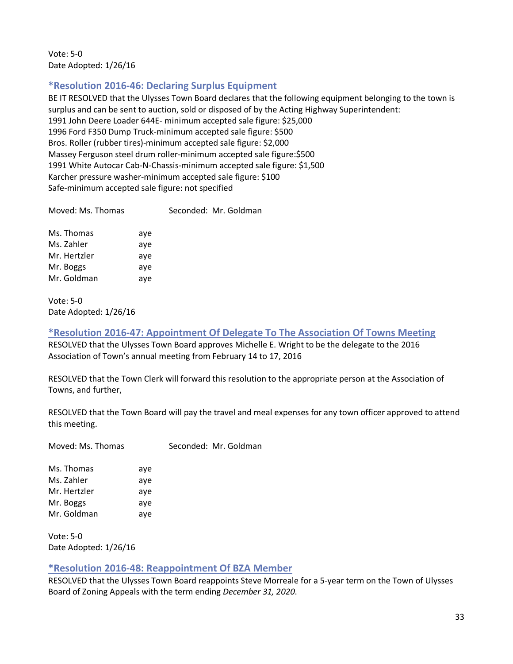Vote: 5-0 Date Adopted: 1/26/16

# <span id="page-32-0"></span>**\*Resolution 2016-46: Declaring Surplus Equipment**

BE IT RESOLVED that the Ulysses Town Board declares that the following equipment belonging to the town is surplus and can be sent to auction, sold or disposed of by the Acting Highway Superintendent: 1991 John Deere Loader 644E- minimum accepted sale figure: \$25,000 1996 Ford F350 Dump Truck-minimum accepted sale figure: \$500 Bros. Roller (rubber tires)-minimum accepted sale figure: \$2,000 Massey Ferguson steel drum roller-minimum accepted sale figure:\$500 1991 White Autocar Cab-N-Chassis-minimum accepted sale figure: \$1,500 Karcher pressure washer-minimum accepted sale figure: \$100 Safe-minimum accepted sale figure: not specified

| Moved: Ms. Thomas | Seconded: Mr. Goldman |
|-------------------|-----------------------|
|                   |                       |

| Ms. Thomas   | aye |
|--------------|-----|
| Ms. Zahler   | aye |
| Mr. Hertzler | aye |
| Mr. Boggs    | aye |
| Mr. Goldman  | aye |

Vote: 5-0 Date Adopted: 1/26/16

<span id="page-32-1"></span>**\*Resolution 2016-47: Appointment Of Delegate To The Association Of Towns Meeting** RESOLVED that the Ulysses Town Board approves Michelle E. Wright to be the delegate to the 2016 Association of Town's annual meeting from February 14 to 17, 2016

RESOLVED that the Town Clerk will forward this resolution to the appropriate person at the Association of Towns, and further,

RESOLVED that the Town Board will pay the travel and meal expenses for any town officer approved to attend this meeting.

Moved: Ms. Thomas Seconded: Mr. Goldman

Ms. Thomas aye Ms. Zahler aye Mr. Hertzler aye Mr. Boggs aye Mr. Goldman aye

Vote: 5-0 Date Adopted: 1/26/16

#### <span id="page-32-2"></span>**\*Resolution 2016-48: Reappointment Of BZA Member**

RESOLVED that the Ulysses Town Board reappoints Steve Morreale for a 5-year term on the Town of Ulysses Board of Zoning Appeals with the term ending *December 31, 2020*.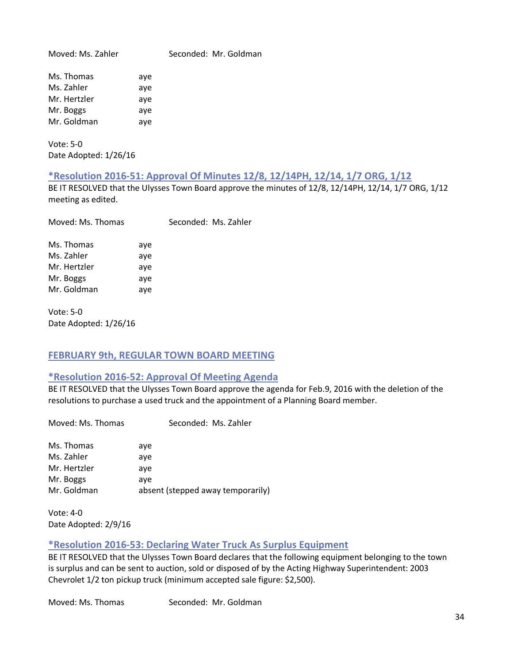Moved: Ms. Zahler Seconded: Mr. Goldman Ms. Thomas aye Ms. Zahler aye Mr. Hertzler aye Mr. Boggs aye Mr. Goldman aye

Vote: 5-0 Date Adopted: 1/26/16

## <span id="page-33-0"></span>**\*Resolution 2016-51: Approval Of Minutes 12/8, 12/14PH, 12/14, 1/7 ORG, 1/12**

BE IT RESOLVED that the Ulysses Town Board approve the minutes of 12/8, 12/14PH, 12/14, 1/7 ORG, 1/12 meeting as edited.

| Moved: Ms. Thomas |     | Seconded: Ms. Zahler |
|-------------------|-----|----------------------|
| Ms. Thomas        | aye |                      |
| Ms. Zahler        | aye |                      |
| Mr. Hertzler      | aye |                      |
| Mr. Boggs         | aye |                      |
| Mr. Goldman       | aye |                      |

Vote: 5-0 Date Adopted: 1/26/16

#### <span id="page-33-1"></span>**FEBRUARY 9th, REGULAR TOWN BOARD MEETING**

#### <span id="page-33-2"></span>**\*Resolution 2016-52: Approval Of Meeting Agenda**

BE IT RESOLVED that the Ulysses Town Board approve the agenda for Feb.9, 2016 with the deletion of the resolutions to purchase a used truck and the appointment of a Planning Board member.

| Seconded: Ms. Zahler              |
|-----------------------------------|
| aye                               |
| aye                               |
| aye                               |
| aye                               |
| absent (stepped away temporarily) |
|                                   |

Vote: 4-0 Date Adopted: 2/9/16

# <span id="page-33-3"></span>**\*Resolution 2016-53: Declaring Water Truck As Surplus Equipment**

BE IT RESOLVED that the Ulysses Town Board declares that the following equipment belonging to the town is surplus and can be sent to auction, sold or disposed of by the Acting Highway Superintendent: 2003 Chevrolet 1/2 ton pickup truck (minimum accepted sale figure: \$2,500).

Moved: Ms. Thomas Seconded: Mr. Goldman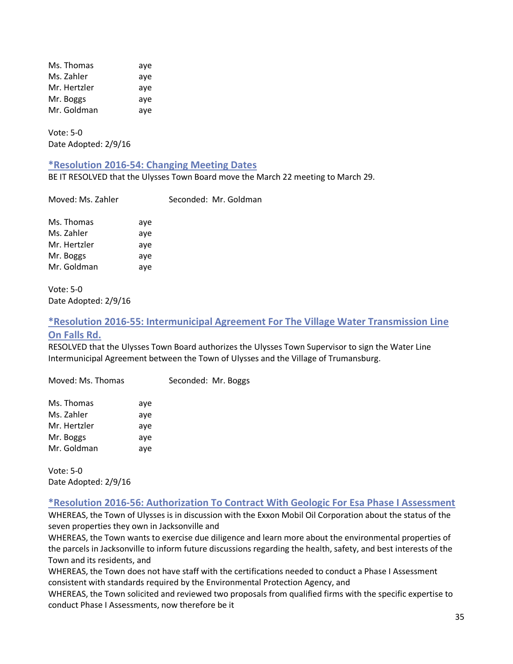| Ms. Thomas   | aye |
|--------------|-----|
| Ms. Zahler   | aye |
| Mr. Hertzler | aye |
| Mr. Boggs    | aye |
| Mr. Goldman  | aye |

Vote: 5-0 Date Adopted: 2/9/16

#### <span id="page-34-0"></span>**\*Resolution 2016-54: Changing Meeting Dates**

BE IT RESOLVED that the Ulysses Town Board move the March 22 meeting to March 29.

Mr. Goldman

| Moved: Ms. Zahler |     | Seconded: |
|-------------------|-----|-----------|
| Ms. Thomas        | aye |           |
| Ms. Zahler        | aye |           |
| Mr. Hertzler      | aye |           |
| Mr. Boggs         | aye |           |
| Mr. Goldman       | aye |           |

Vote: 5-0 Date Adopted: 2/9/16

## <span id="page-34-1"></span>**\*Resolution 2016-55: Intermunicipal Agreement For The Village Water Transmission Line On Falls Rd.**

RESOLVED that the Ulysses Town Board authorizes the Ulysses Town Supervisor to sign the Water Line Intermunicipal Agreement between the Town of Ulysses and the Village of Trumansburg.

Moved: Ms. Thomas Seconded: Mr. Boggs Ms. Thomas aye Ms. Zahler aye Mr. Hertzler aye Mr. Boggs aye Mr. Goldman aye

Vote: 5-0 Date Adopted: 2/9/16

#### <span id="page-34-2"></span>**\*Resolution 2016-56: Authorization To Contract With Geologic For Esa Phase I Assessment**

WHEREAS, the Town of Ulysses is in discussion with the Exxon Mobil Oil Corporation about the status of the seven properties they own in Jacksonville and

WHEREAS, the Town wants to exercise due diligence and learn more about the environmental properties of the parcels in Jacksonville to inform future discussions regarding the health, safety, and best interests of the Town and its residents, and

WHEREAS, the Town does not have staff with the certifications needed to conduct a Phase I Assessment consistent with standards required by the Environmental Protection Agency, and

WHEREAS, the Town solicited and reviewed two proposals from qualified firms with the specific expertise to conduct Phase I Assessments, now therefore be it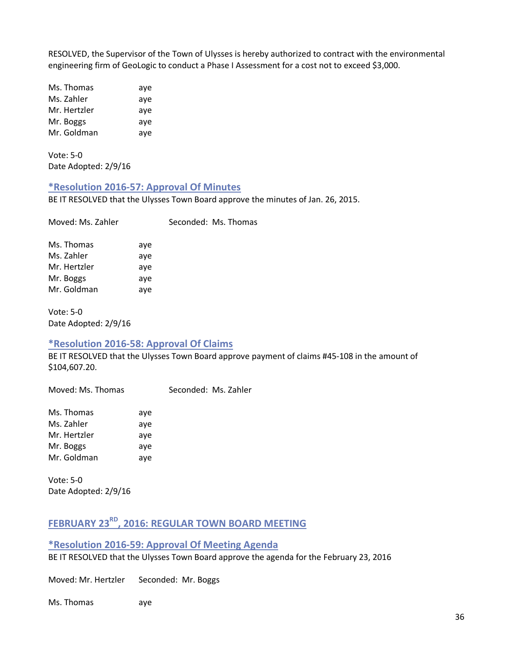RESOLVED, the Supervisor of the Town of Ulysses is hereby authorized to contract with the environmental engineering firm of GeoLogic to conduct a Phase I Assessment for a cost not to exceed \$3,000.

Ms. Thomas aye Ms. Zahler aye Mr. Hertzler aye Mr. Boggs aye Mr. Goldman aye

Vote: 5-0 Date Adopted: 2/9/16

# <span id="page-35-0"></span>**\*Resolution 2016-57: Approval Of Minutes**

BE IT RESOLVED that the Ulysses Town Board approve the minutes of Jan. 26, 2015.

| Moved: Ms. Zahler |     | Seconded: Ms. Thomas |
|-------------------|-----|----------------------|
| Ms. Thomas        | ave |                      |
| Ms. Zahler        | aye |                      |
| Mr. Hertzler      | ave |                      |
| Mr. Boggs         | aye |                      |
| Mr. Goldman       | aye |                      |

Vote: 5-0 Date Adopted: 2/9/16

# <span id="page-35-1"></span>**\*Resolution 2016-58: Approval Of Claims**

BE IT RESOLVED that the Ulysses Town Board approve payment of claims #45-108 in the amount of \$104,607.20.

Moved: Ms. Thomas Seconded: Ms. Zahler

| Ms. Thomas   | aye |
|--------------|-----|
| Ms. Zahler   | aye |
| Mr. Hertzler | aye |
| Mr. Boggs    | aye |
| Mr. Goldman  | aye |

Vote: 5-0 Date Adopted: 2/9/16

# <span id="page-35-2"></span>**FEBRUARY 23RD, 2016: REGULAR TOWN BOARD MEETING**

<span id="page-35-3"></span>**\*Resolution 2016-59: Approval Of Meeting Agenda** BE IT RESOLVED that the Ulysses Town Board approve the agenda for the February 23, 2016

Moved: Mr. Hertzler Seconded: Mr. Boggs

Ms. Thomas aye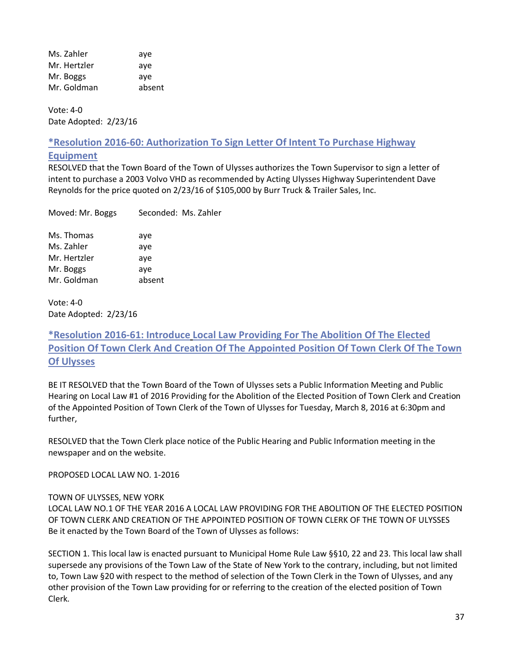Ms. Zahler aye Mr. Hertzler aye Mr. Boggs aye Mr. Goldman absent

Vote: 4-0 Date Adopted: 2/23/16

**\*Resolution 2016-60: Authorization To Sign Letter Of Intent To Purchase Highway** 

## **Equipment**

RESOLVED that the Town Board of the Town of Ulysses authorizes the Town Supervisor to sign a letter of intent to purchase a 2003 Volvo VHD as recommended by Acting Ulysses Highway Superintendent Dave Reynolds for the price quoted on 2/23/16 of \$105,000 by Burr Truck & Trailer Sales, Inc.

| Moved: Mr. Boggs | Seconded: Ms. Zahler |
|------------------|----------------------|
| Ms. Thomas       | aye                  |
| Ms. Zahler       | aye                  |
| Mr. Hertzler     | aye                  |
| Mr. Boggs        | aye                  |

Vote: 4-0 Date Adopted: 2/23/16

Mr. Goldman absent

# **\*Resolution 2016-61: Introduce Local Law Providing For The Abolition Of The Elected Position Of Town Clerk And Creation Of The Appointed Position Of Town Clerk Of The Town Of Ulysses**

BE IT RESOLVED that the Town Board of the Town of Ulysses sets a Public Information Meeting and Public Hearing on Local Law #1 of 2016 Providing for the Abolition of the Elected Position of Town Clerk and Creation of the Appointed Position of Town Clerk of the Town of Ulysses for Tuesday, March 8, 2016 at 6:30pm and further,

RESOLVED that the Town Clerk place notice of the Public Hearing and Public Information meeting in the newspaper and on the website.

PROPOSED LOCAL LAW NO. 1-2016

## TOWN OF ULYSSES, NEW YORK

LOCAL LAW NO.1 OF THE YEAR 2016 A LOCAL LAW PROVIDING FOR THE ABOLITION OF THE ELECTED POSITION OF TOWN CLERK AND CREATION OF THE APPOINTED POSITION OF TOWN CLERK OF THE TOWN OF ULYSSES Be it enacted by the Town Board of the Town of Ulysses as follows:

SECTION 1. This local law is enacted pursuant to Municipal Home Rule Law §§10, 22 and 23. This local law shall supersede any provisions of the Town Law of the State of New York to the contrary, including, but not limited to, Town Law §20 with respect to the method of selection of the Town Clerk in the Town of Ulysses, and any other provision of the Town Law providing for or referring to the creation of the elected position of Town Clerk.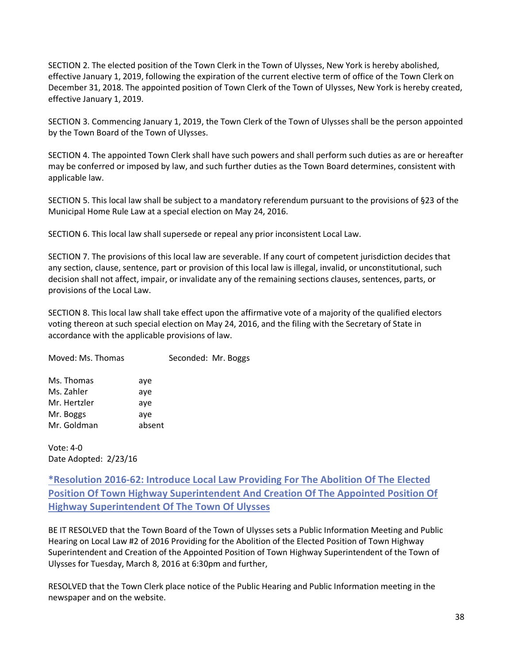SECTION 2. The elected position of the Town Clerk in the Town of Ulysses, New York is hereby abolished, effective January 1, 2019, following the expiration of the current elective term of office of the Town Clerk on December 31, 2018. The appointed position of Town Clerk of the Town of Ulysses, New York is hereby created, effective January 1, 2019.

SECTION 3. Commencing January 1, 2019, the Town Clerk of the Town of Ulysses shall be the person appointed by the Town Board of the Town of Ulysses.

SECTION 4. The appointed Town Clerk shall have such powers and shall perform such duties as are or hereafter may be conferred or imposed by law, and such further duties as the Town Board determines, consistent with applicable law.

SECTION 5. This local law shall be subject to a mandatory referendum pursuant to the provisions of §23 of the Municipal Home Rule Law at a special election on May 24, 2016.

SECTION 6. This local law shall supersede or repeal any prior inconsistent Local Law.

SECTION 7. The provisions of this local law are severable. If any court of competent jurisdiction decides that any section, clause, sentence, part or provision of this local law is illegal, invalid, or unconstitutional, such decision shall not affect, impair, or invalidate any of the remaining sections clauses, sentences, parts, or provisions of the Local Law.

SECTION 8. This local law shall take effect upon the affirmative vote of a majority of the qualified electors voting thereon at such special election on May 24, 2016, and the filing with the Secretary of State in accordance with the applicable provisions of law.

| Moved: Ms. Thomas |        | Seconded: Mr. Boggs |  |
|-------------------|--------|---------------------|--|
| Ms. Thomas        | aye    |                     |  |
| Ms. Zahler        | aye    |                     |  |
| Mr. Hertzler      | ave    |                     |  |
| Mr. Boggs         | aye    |                     |  |
| Mr. Goldman       | absent |                     |  |
|                   |        |                     |  |

Vote: 4-0 Date Adopted: 2/23/16

**\*Resolution 2016-62: Introduce Local Law Providing For The Abolition Of The Elected Position Of Town Highway Superintendent And Creation Of The Appointed Position Of Highway Superintendent Of The Town Of Ulysses**

BE IT RESOLVED that the Town Board of the Town of Ulysses sets a Public Information Meeting and Public Hearing on Local Law #2 of 2016 Providing for the Abolition of the Elected Position of Town Highway Superintendent and Creation of the Appointed Position of Town Highway Superintendent of the Town of Ulysses for Tuesday, March 8, 2016 at 6:30pm and further,

RESOLVED that the Town Clerk place notice of the Public Hearing and Public Information meeting in the newspaper and on the website.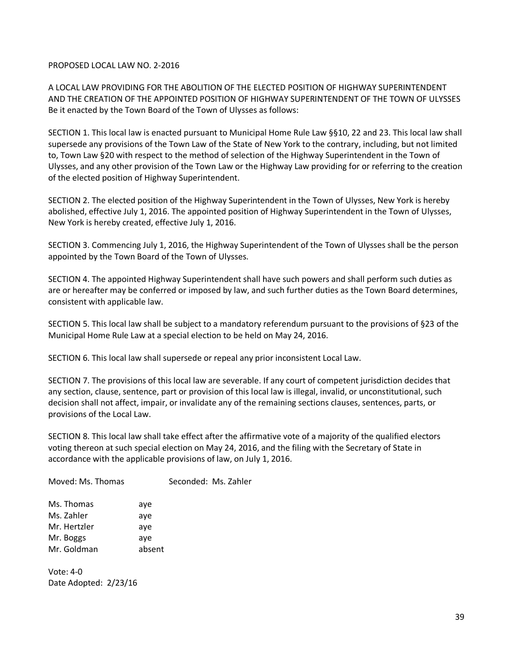#### PROPOSED LOCAL LAW NO. 2-2016

A LOCAL LAW PROVIDING FOR THE ABOLITION OF THE ELECTED POSITION OF HIGHWAY SUPERINTENDENT AND THE CREATION OF THE APPOINTED POSITION OF HIGHWAY SUPERINTENDENT OF THE TOWN OF ULYSSES Be it enacted by the Town Board of the Town of Ulysses as follows:

SECTION 1. This local law is enacted pursuant to Municipal Home Rule Law §§10, 22 and 23. This local law shall supersede any provisions of the Town Law of the State of New York to the contrary, including, but not limited to, Town Law §20 with respect to the method of selection of the Highway Superintendent in the Town of Ulysses, and any other provision of the Town Law or the Highway Law providing for or referring to the creation of the elected position of Highway Superintendent.

SECTION 2. The elected position of the Highway Superintendent in the Town of Ulysses, New York is hereby abolished, effective July 1, 2016. The appointed position of Highway Superintendent in the Town of Ulysses, New York is hereby created, effective July 1, 2016.

SECTION 3. Commencing July 1, 2016, the Highway Superintendent of the Town of Ulysses shall be the person appointed by the Town Board of the Town of Ulysses.

SECTION 4. The appointed Highway Superintendent shall have such powers and shall perform such duties as are or hereafter may be conferred or imposed by law, and such further duties as the Town Board determines, consistent with applicable law.

SECTION 5. This local law shall be subject to a mandatory referendum pursuant to the provisions of §23 of the Municipal Home Rule Law at a special election to be held on May 24, 2016.

SECTION 6. This local law shall supersede or repeal any prior inconsistent Local Law.

SECTION 7. The provisions of this local law are severable. If any court of competent jurisdiction decides that any section, clause, sentence, part or provision of this local law is illegal, invalid, or unconstitutional, such decision shall not affect, impair, or invalidate any of the remaining sections clauses, sentences, parts, or provisions of the Local Law.

SECTION 8. This local law shall take effect after the affirmative vote of a majority of the qualified electors voting thereon at such special election on May 24, 2016, and the filing with the Secretary of State in accordance with the applicable provisions of law, on July 1, 2016.

| Moved: Ms. Thomas |        | Seconded: Ms. Zahler |
|-------------------|--------|----------------------|
| Ms. Thomas        | aye    |                      |
| Ms. Zahler        | aye    |                      |
| Mr. Hertzler      | aye    |                      |
| Mr. Boggs         | aye    |                      |
| Mr. Goldman       | absent |                      |
|                   |        |                      |

Vote: 4-0 Date Adopted: 2/23/16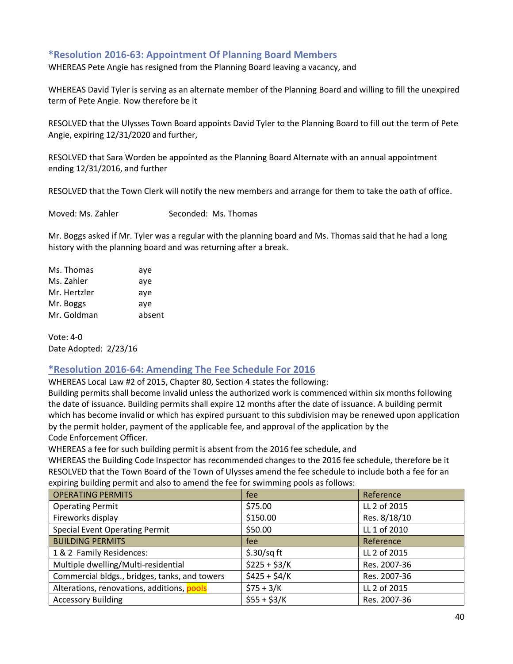## **\*Resolution 2016-63: Appointment Of Planning Board Members**

WHEREAS Pete Angie has resigned from the Planning Board leaving a vacancy, and

WHEREAS David Tyler is serving as an alternate member of the Planning Board and willing to fill the unexpired term of Pete Angie. Now therefore be it

RESOLVED that the Ulysses Town Board appoints David Tyler to the Planning Board to fill out the term of Pete Angie, expiring 12/31/2020 and further,

RESOLVED that Sara Worden be appointed as the Planning Board Alternate with an annual appointment ending 12/31/2016, and further

RESOLVED that the Town Clerk will notify the new members and arrange for them to take the oath of office.

Moved: Ms. Zahler Seconded: Ms. Thomas

Mr. Boggs asked if Mr. Tyler was a regular with the planning board and Ms. Thomas said that he had a long history with the planning board and was returning after a break.

Ms. Thomas aye Ms. Zahler aye Mr. Hertzler aye Mr. Boggs aye Mr. Goldman absent

Vote: 4-0 Date Adopted: 2/23/16

## **\*Resolution 2016-64: Amending The Fee Schedule For 2016**

WHEREAS Local Law #2 of 2015, Chapter 80, Section 4 states the following:

Building permits shall become invalid unless the authorized work is commenced within six months following the date of issuance. Building permits shall expire 12 months after the date of issuance. A building permit which has become invalid or which has expired pursuant to this subdivision may be renewed upon application by the permit holder, payment of the applicable fee, and approval of the application by the Code Enforcement Officer.

WHEREAS a fee for such building permit is absent from the 2016 fee schedule, and

WHEREAS the Building Code Inspector has recommended changes to the 2016 fee schedule, therefore be it RESOLVED that the Town Board of the Town of Ulysses amend the fee schedule to include both a fee for an expiring building permit and also to amend the fee for swimming pools as follows:

| <b>OPERATING PERMITS</b>                      | fee            | Reference    |
|-----------------------------------------------|----------------|--------------|
| <b>Operating Permit</b>                       | \$75.00        | LL 2 of 2015 |
| Fireworks display                             | \$150.00       | Res. 8/18/10 |
| <b>Special Event Operating Permit</b>         | \$50.00        | LL 1 of 2010 |
| <b>BUILDING PERMITS</b>                       | fee            | Reference    |
| 1 & 2 Family Residences:                      | $$.30/sq$ ft   | LL 2 of 2015 |
| Multiple dwelling/Multi-residential           | $$225 + $3/K$  | Res. 2007-36 |
| Commercial bldgs., bridges, tanks, and towers | $$425 + $4/K$$ | Res. 2007-36 |
| Alterations, renovations, additions, pools    | $$75 + 3/K$    | LL 2 of 2015 |
| <b>Accessory Building</b>                     | $$55 + $3/K$   | Res. 2007-36 |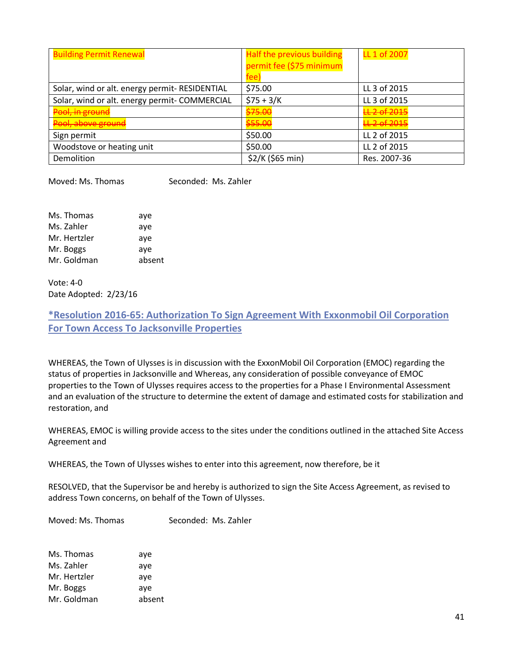| <b>Building Permit Renewal</b>                 | Half the previous building<br>permit fee (\$75 minimum<br>fee) | LL 1 of 2007 |
|------------------------------------------------|----------------------------------------------------------------|--------------|
| Solar, wind or alt. energy permit- RESIDENTIAL | \$75.00                                                        | LL 3 of 2015 |
| Solar, wind or alt. energy permit- COMMERCIAL  | $$75 + 3/K$                                                    | LL 3 of 2015 |
| Pool, in ground                                | \$75.00                                                        | LL 2 of 2015 |
| Pool, above ground                             | \$55.00                                                        | LL 2 of 2015 |
| Sign permit                                    | \$50.00                                                        | LL 2 of 2015 |
| Woodstove or heating unit                      | \$50.00                                                        | LL 2 of 2015 |
| Demolition                                     | \$2/K (\$65 min)                                               | Res. 2007-36 |

Moved: Ms. Thomas Seconded: Ms. Zahler

| Ms. Thomas   | aye    |
|--------------|--------|
| Ms. Zahler   | aye    |
| Mr. Hertzler | aye    |
| Mr. Boggs    | aye    |
| Mr. Goldman  | absent |
|              |        |

Vote: 4-0 Date Adopted: 2/23/16

**\*Resolution 2016-65: Authorization To Sign Agreement With Exxonmobil Oil Corporation For Town Access To Jacksonville Properties**

WHEREAS, the Town of Ulysses is in discussion with the ExxonMobil Oil Corporation (EMOC) regarding the status of properties in Jacksonville and Whereas, any consideration of possible conveyance of EMOC properties to the Town of Ulysses requires access to the properties for a Phase I Environmental Assessment and an evaluation of the structure to determine the extent of damage and estimated costs for stabilization and restoration, and

WHEREAS, EMOC is willing provide access to the sites under the conditions outlined in the attached Site Access Agreement and

WHEREAS, the Town of Ulysses wishes to enter into this agreement, now therefore, be it

RESOLVED, that the Supervisor be and hereby is authorized to sign the Site Access Agreement, as revised to address Town concerns, on behalf of the Town of Ulysses.

Moved: Ms. Thomas Seconded: Ms. Zahler

| Ms. Thomas   | aye    |
|--------------|--------|
| Ms. Zahler   | aye    |
| Mr. Hertzler | aye    |
| Mr. Boggs    | aye    |
| Mr. Goldman  | absent |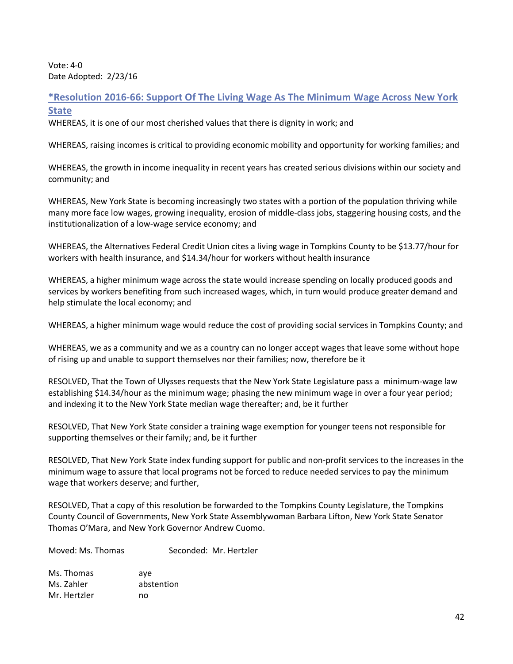Vote: 4-0 Date Adopted: 2/23/16

**\*Resolution 2016-66: Support Of The Living Wage As The Minimum Wage Across New York State**

WHEREAS, it is one of our most cherished values that there is dignity in work; and

WHEREAS, raising incomes is critical to providing economic mobility and opportunity for working families; and

WHEREAS, the growth in income inequality in recent years has created serious divisions within our society and community; and

WHEREAS, New York State is becoming increasingly two states with a portion of the population thriving while many more face low wages, growing inequality, erosion of middle-class jobs, staggering housing costs, and the institutionalization of a low-wage service economy; and

WHEREAS, the Alternatives Federal Credit Union cites a living wage in Tompkins County to be \$13.77/hour for workers with health insurance, and \$14.34/hour for workers without health insurance

WHEREAS, a higher minimum wage across the state would increase spending on locally produced goods and services by workers benefiting from such increased wages, which, in turn would produce greater demand and help stimulate the local economy; and

WHEREAS, a higher minimum wage would reduce the cost of providing social services in Tompkins County; and

WHEREAS, we as a community and we as a country can no longer accept wages that leave some without hope of rising up and unable to support themselves nor their families; now, therefore be it

RESOLVED, That the Town of Ulysses requests that the New York State Legislature pass a minimum-wage law establishing \$14.34/hour as the minimum wage; phasing the new minimum wage in over a four year period; and indexing it to the New York State median wage thereafter; and, be it further

RESOLVED, That New York State consider a training wage exemption for younger teens not responsible for supporting themselves or their family; and, be it further

RESOLVED, That New York State index funding support for public and non-profit services to the increases in the minimum wage to assure that local programs not be forced to reduce needed services to pay the minimum wage that workers deserve; and further,

RESOLVED, That a copy of this resolution be forwarded to the Tompkins County Legislature, the Tompkins County Council of Governments, New York State Assemblywoman Barbara Lifton, New York State Senator Thomas O'Mara, and New York Governor Andrew Cuomo.

Moved: Ms. Thomas Seconded: Mr. Hertzler

Ms. Thomas aye Ms. Zahler abstention Mr. Hertzler no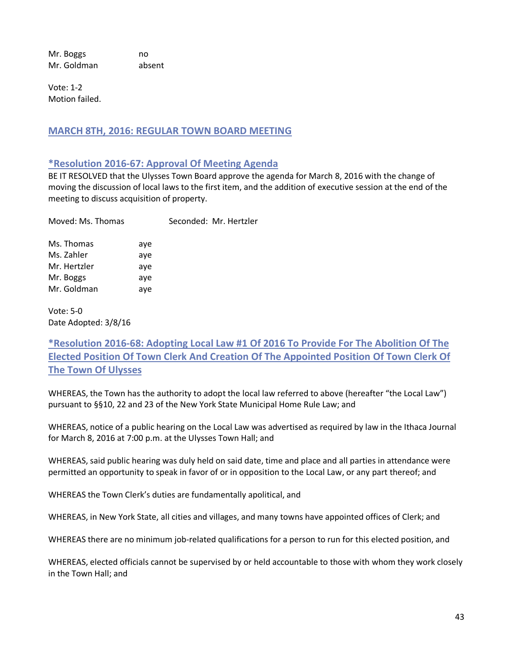Mr. Boggs no Mr. Goldman absent

Vote: 1-2 Motion failed.

## **MARCH 8TH, 2016: REGULAR TOWN BOARD MEETING**

#### **\*Resolution 2016-67: Approval Of Meeting Agenda**

BE IT RESOLVED that the Ulysses Town Board approve the agenda for March 8, 2016 with the change of moving the discussion of local laws to the first item, and the addition of executive session at the end of the meeting to discuss acquisition of property.

| Moved: Ms. Thomas |     | Seconded: Mr. Hertzler |
|-------------------|-----|------------------------|
| Ms. Thomas        | aye |                        |
| Ms. Zahler        | aye |                        |
| Mr. Hertzler      | aye |                        |
| Mr. Boggs         | aye |                        |
| Mr. Goldman       | aye |                        |

Vote: 5-0 Date Adopted: 3/8/16

**\*Resolution 2016-68: Adopting Local Law #1 Of 2016 To Provide For The Abolition Of The Elected Position Of Town Clerk And Creation Of The Appointed Position Of Town Clerk Of The Town Of Ulysses**

WHEREAS, the Town has the authority to adopt the local law referred to above (hereafter "the Local Law") pursuant to §§10, 22 and 23 of the New York State Municipal Home Rule Law; and

WHEREAS, notice of a public hearing on the Local Law was advertised as required by law in the Ithaca Journal for March 8, 2016 at 7:00 p.m. at the Ulysses Town Hall; and

WHEREAS, said public hearing was duly held on said date, time and place and all parties in attendance were permitted an opportunity to speak in favor of or in opposition to the Local Law, or any part thereof; and

WHEREAS the Town Clerk's duties are fundamentally apolitical, and

WHEREAS, in New York State, all cities and villages, and many towns have appointed offices of Clerk; and

WHEREAS there are no minimum job-related qualifications for a person to run for this elected position, and

WHEREAS, elected officials cannot be supervised by or held accountable to those with whom they work closely in the Town Hall; and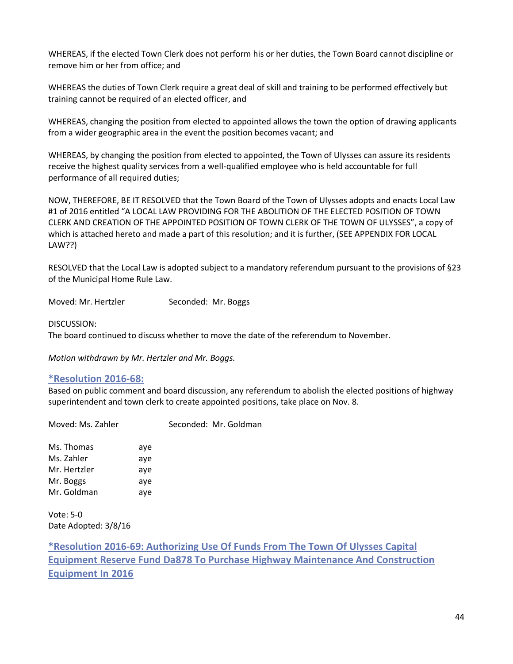WHEREAS, if the elected Town Clerk does not perform his or her duties, the Town Board cannot discipline or remove him or her from office; and

WHEREAS the duties of Town Clerk require a great deal of skill and training to be performed effectively but training cannot be required of an elected officer, and

WHEREAS, changing the position from elected to appointed allows the town the option of drawing applicants from a wider geographic area in the event the position becomes vacant; and

WHEREAS, by changing the position from elected to appointed, the Town of Ulysses can assure its residents receive the highest quality services from a well-qualified employee who is held accountable for full performance of all required duties;

NOW, THEREFORE, BE IT RESOLVED that the Town Board of the Town of Ulysses adopts and enacts Local Law #1 of 2016 entitled "A LOCAL LAW PROVIDING FOR THE ABOLITION OF THE ELECTED POSITION OF TOWN CLERK AND CREATION OF THE APPOINTED POSITION OF TOWN CLERK OF THE TOWN OF ULYSSES", a copy of which is attached hereto and made a part of this resolution; and it is further, (SEE APPENDIX FOR LOCAL LAW??)

RESOLVED that the Local Law is adopted subject to a mandatory referendum pursuant to the provisions of §23 of the Municipal Home Rule Law.

Moved: Mr. Hertzler Seconded: Mr. Boggs

DISCUSSION:

The board continued to discuss whether to move the date of the referendum to November.

*Motion withdrawn by Mr. Hertzler and Mr. Boggs.*

#### **\*Resolution 2016-68:**

Based on public comment and board discussion, any referendum to abolish the elected positions of highway superintendent and town clerk to create appointed positions, take place on Nov. 8.

Moved: Ms. Zahler Seconded: Mr. Goldman

Ms. Thomas aye Ms. Zahler aye Mr. Hertzler aye Mr. Boggs aye Mr. Goldman aye

Vote: 5-0 Date Adopted: 3/8/16

**\*Resolution 2016-69: Authorizing Use Of Funds From The Town Of Ulysses Capital Equipment Reserve Fund Da878 To Purchase Highway Maintenance And Construction Equipment In 2016**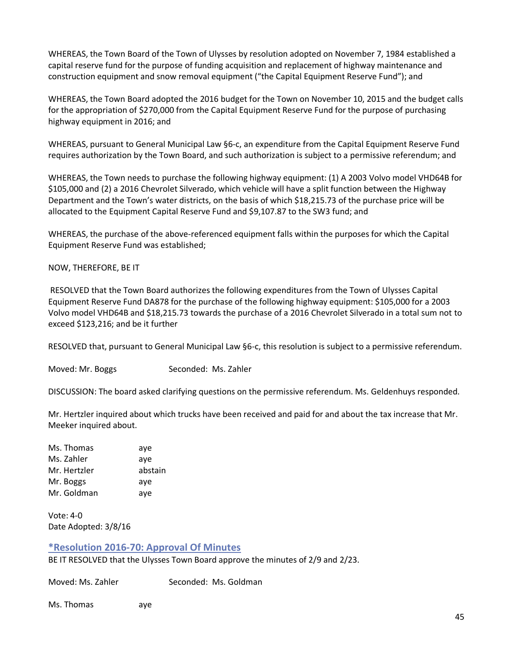WHEREAS, the Town Board of the Town of Ulysses by resolution adopted on November 7, 1984 established a capital reserve fund for the purpose of funding acquisition and replacement of highway maintenance and construction equipment and snow removal equipment ("the Capital Equipment Reserve Fund"); and

WHEREAS, the Town Board adopted the 2016 budget for the Town on November 10, 2015 and the budget calls for the appropriation of \$270,000 from the Capital Equipment Reserve Fund for the purpose of purchasing highway equipment in 2016; and

WHEREAS, pursuant to General Municipal Law §6-c, an expenditure from the Capital Equipment Reserve Fund requires authorization by the Town Board, and such authorization is subject to a permissive referendum; and

WHEREAS, the Town needs to purchase the following highway equipment: (1) A 2003 Volvo model VHD64B for \$105,000 and (2) a 2016 Chevrolet Silverado, which vehicle will have a split function between the Highway Department and the Town's water districts, on the basis of which \$18,215.73 of the purchase price will be allocated to the Equipment Capital Reserve Fund and \$9,107.87 to the SW3 fund; and

WHEREAS, the purchase of the above-referenced equipment falls within the purposes for which the Capital Equipment Reserve Fund was established;

#### NOW, THEREFORE, BE IT

RESOLVED that the Town Board authorizes the following expenditures from the Town of Ulysses Capital Equipment Reserve Fund DA878 for the purchase of the following highway equipment: \$105,000 for a 2003 Volvo model VHD64B and \$18,215.73 towards the purchase of a 2016 Chevrolet Silverado in a total sum not to exceed \$123,216; and be it further

RESOLVED that, pursuant to General Municipal Law §6-c, this resolution is subject to a permissive referendum.

Moved: Mr. Boggs Seconded: Ms. Zahler

DISCUSSION: The board asked clarifying questions on the permissive referendum. Ms. Geldenhuys responded.

Mr. Hertzler inquired about which trucks have been received and paid for and about the tax increase that Mr. Meeker inquired about.

Ms. Thomas aye Ms. Zahler aye Mr. Hertzler abstain Mr. Boggs aye Mr. Goldman aye

Vote: 4-0 Date Adopted: 3/8/16

## **\*Resolution 2016-70: Approval Of Minutes**

BE IT RESOLVED that the Ulysses Town Board approve the minutes of 2/9 and 2/23.

Moved: Ms. Zahler Seconded: Ms. Goldman

Ms. Thomas aye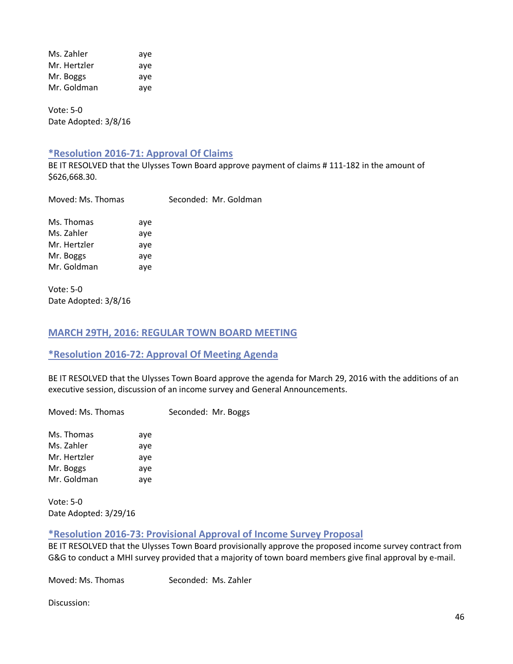Ms. Zahler aye Mr. Hertzler aye Mr. Boggs aye Mr. Goldman aye

Vote: 5-0 Date Adopted: 3/8/16

## **\*Resolution 2016-71: Approval Of Claims**

BE IT RESOLVED that the Ulysses Town Board approve payment of claims # 111-182 in the amount of \$626,668.30.

| Moved: Ms. Thomas |  | Seconded: Mr. Goldman |
|-------------------|--|-----------------------|
|                   |  |                       |

Ms. Thomas aye Ms. Zahler aye Mr. Hertzler aye Mr. Boggs aye Mr. Goldman aye

Vote: 5-0 Date Adopted: 3/8/16

## **MARCH 29TH, 2016: REGULAR TOWN BOARD MEETING**

## **\*Resolution 2016-72: Approval Of Meeting Agenda**

BE IT RESOLVED that the Ulysses Town Board approve the agenda for March 29, 2016 with the additions of an executive session, discussion of an income survey and General Announcements.

Moved: Ms. Thomas Seconded: Mr. Boggs

Ms. Thomas aye Ms. Zahler aye Mr. Hertzler aye Mr. Boggs aye Mr. Goldman aye

Vote: 5-0 Date Adopted: 3/29/16

#### **\*Resolution 2016-73: Provisional Approval of Income Survey Proposal**

BE IT RESOLVED that the Ulysses Town Board provisionally approve the proposed income survey contract from G&G to conduct a MHI survey provided that a majority of town board members give final approval by e-mail.

Moved: Ms. Thomas Seconded: Ms. Zahler

Discussion: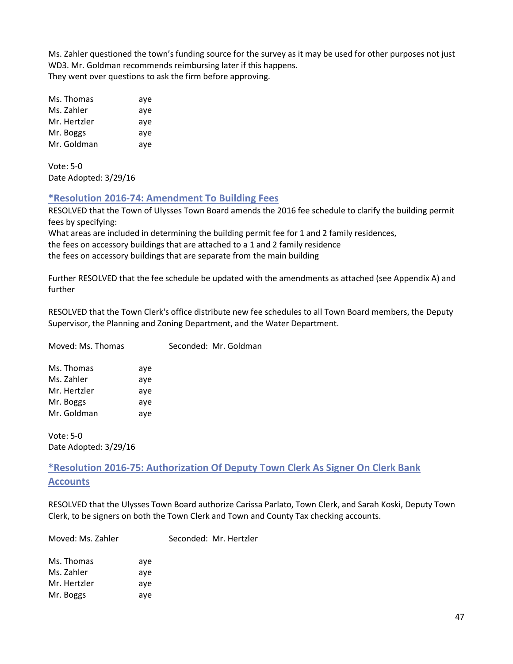Ms. Zahler questioned the town's funding source for the survey as it may be used for other purposes not just WD3. Mr. Goldman recommends reimbursing later if this happens. They went over questions to ask the firm before approving.

| Ms. Thomas   | aye |
|--------------|-----|
| Ms. Zahler   | aye |
| Mr. Hertzler | aye |
| Mr. Boggs    | aye |
| Mr. Goldman  | aye |

Vote: 5-0 Date Adopted: 3/29/16

## **\*Resolution 2016-74: Amendment To Building Fees**

RESOLVED that the Town of Ulysses Town Board amends the 2016 fee schedule to clarify the building permit fees by specifying:

What areas are included in determining the building permit fee for 1 and 2 family residences, the fees on accessory buildings that are attached to a 1 and 2 family residence the fees on accessory buildings that are separate from the main building

Further RESOLVED that the fee schedule be updated with the amendments as attached (see Appendix A) and further

RESOLVED that the Town Clerk's office distribute new fee schedules to all Town Board members, the Deputy Supervisor, the Planning and Zoning Department, and the Water Department.

| Moved: Ms. Thomas |     | Seconded: Mr. Goldman |
|-------------------|-----|-----------------------|
| Ms. Thomas        | aye |                       |
| Ms. Zahler        | ave |                       |
| Mr. Hertzler      | ave |                       |
| Mr. Boggs         | aye |                       |
| Mr. Goldman       | aye |                       |
|                   |     |                       |

Vote: 5-0 Date Adopted: 3/29/16

**\*Resolution 2016-75: Authorization Of Deputy Town Clerk As Signer On Clerk Bank Accounts**

RESOLVED that the Ulysses Town Board authorize Carissa Parlato, Town Clerk, and Sarah Koski, Deputy Town Clerk, to be signers on both the Town Clerk and Town and County Tax checking accounts.

Moved: Ms. Zahler Seconded: Mr. Hertzler

| Ms. Thomas   | ave |
|--------------|-----|
| Ms. Zahler   | aye |
| Mr. Hertzler | aye |
| Mr. Boggs    | aye |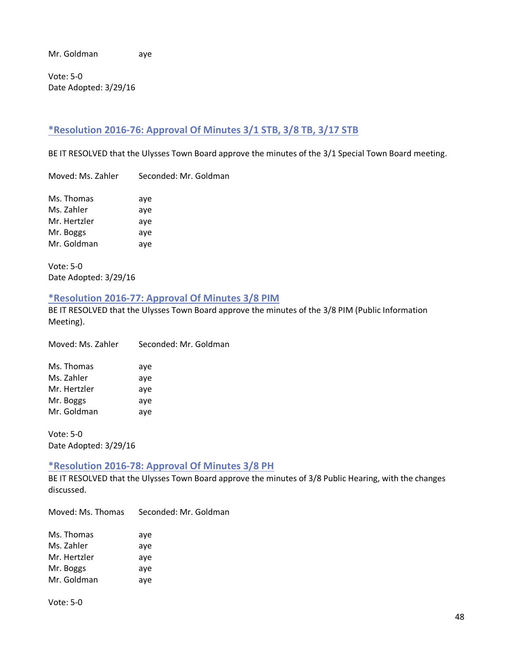Mr. Goldman aye

Vote: 5-0 Date Adopted: 3/29/16

## **\*Resolution 2016-76: Approval Of Minutes 3/1 STB, 3/8 TB, 3/17 STB**

BE IT RESOLVED that the Ulysses Town Board approve the minutes of the 3/1 Special Town Board meeting.

Moved: Ms. Zahler Seconded: Mr. Goldman

| Ms. Thomas   | aye |
|--------------|-----|
| Ms. Zahler   | aye |
| Mr. Hertzler | aye |
| Mr. Boggs    | aye |
| Mr. Goldman  | aye |

Vote: 5-0 Date Adopted: 3/29/16

#### **\*Resolution 2016-77: Approval Of Minutes 3/8 PIM**

BE IT RESOLVED that the Ulysses Town Board approve the minutes of the 3/8 PIM (Public Information Meeting).

Moved: Ms. Zahler Seconded: Mr. Goldman

| Ms. Thomas   | aye |
|--------------|-----|
| Ms. Zahler   | aye |
| Mr. Hertzler | aye |
| Mr. Boggs    | aye |
| Mr. Goldman  | aye |

Vote: 5-0 Date Adopted: 3/29/16

## **\*Resolution 2016-78: Approval Of Minutes 3/8 PH**

BE IT RESOLVED that the Ulysses Town Board approve the minutes of 3/8 Public Hearing, with the changes discussed.

Moved: Ms. Thomas Seconded: Mr. Goldman

| Ms. Thomas   | aye |
|--------------|-----|
| Ms. Zahler   | aye |
| Mr. Hertzler | aye |
| Mr. Boggs    | aye |
| Mr. Goldman  | aye |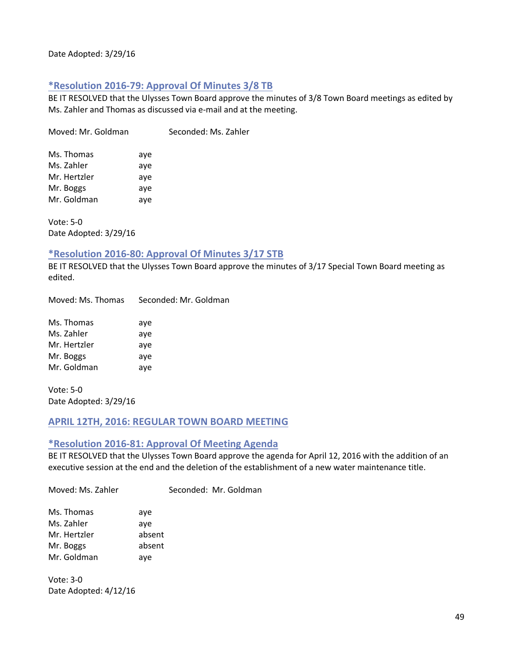## **\*Resolution 2016-79: Approval Of Minutes 3/8 TB**

BE IT RESOLVED that the Ulysses Town Board approve the minutes of 3/8 Town Board meetings as edited by Ms. Zahler and Thomas as discussed via e-mail and at the meeting.

Moved: Mr. Goldman Seconded: Ms. Zahler

| Ms. Thomas   | aye |
|--------------|-----|
| Ms. Zahler   | aye |
| Mr. Hertzler | aye |
| Mr. Boggs    | aye |
| Mr. Goldman  | aye |

Vote: 5-0 Date Adopted: 3/29/16

#### **\*Resolution 2016-80: Approval Of Minutes 3/17 STB**

BE IT RESOLVED that the Ulysses Town Board approve the minutes of 3/17 Special Town Board meeting as edited.

Moved: Ms. Thomas Seconded: Mr. Goldman

| Ms. Thomas   | aye |
|--------------|-----|
| Ms. Zahler   | aye |
| Mr. Hertzler | aye |
| Mr. Boggs    | aye |
| Mr. Goldman  | aye |

Vote: 5-0 Date Adopted: 3/29/16

## **APRIL 12TH, 2016: REGULAR TOWN BOARD MEETING**

#### **\*Resolution 2016-81: Approval Of Meeting Agenda**

BE IT RESOLVED that the Ulysses Town Board approve the agenda for April 12, 2016 with the addition of an executive session at the end and the deletion of the establishment of a new water maintenance title.

Moved: Ms. Zahler Seconded: Mr. Goldman

| Ms. Thomas   | aye    |
|--------------|--------|
| Ms. Zahler   | aye    |
| Mr. Hertzler | absent |
| Mr. Boggs    | absent |
| Mr. Goldman  | aye    |

Vote: 3-0 Date Adopted: 4/12/16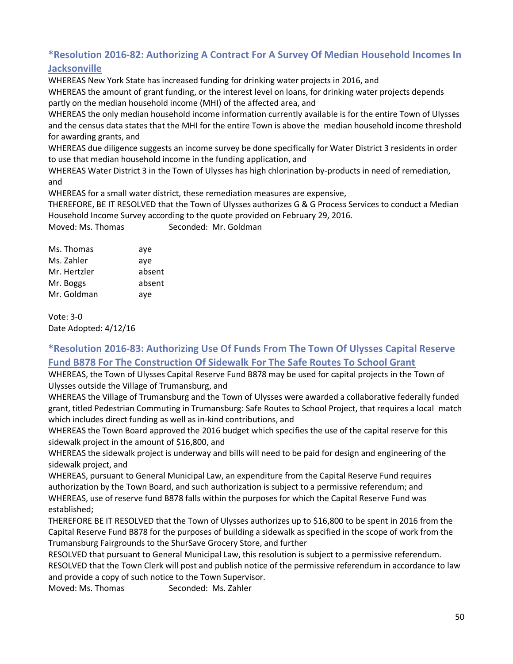# **\*Resolution 2016-82: Authorizing A Contract For A Survey Of Median Household Incomes In Jacksonville**

WHEREAS New York State has increased funding for drinking water projects in 2016, and WHEREAS the amount of grant funding, or the interest level on loans, for drinking water projects depends

partly on the median household income (MHI) of the affected area, and

WHEREAS the only median household income information currently available is for the entire Town of Ulysses and the census data states that the MHI for the entire Town is above the median household income threshold for awarding grants, and

WHEREAS due diligence suggests an income survey be done specifically for Water District 3 residents in order to use that median household income in the funding application, and

WHEREAS Water District 3 in the Town of Ulysses has high chlorination by-products in need of remediation, and

WHEREAS for a small water district, these remediation measures are expensive,

THEREFORE, BE IT RESOLVED that the Town of Ulysses authorizes G & G Process Services to conduct a Median Household Income Survey according to the quote provided on February 29, 2016.

Moved: Ms. Thomas Seconded: Mr. Goldman

| Ms. Thomas   | aye    |
|--------------|--------|
| Ms. Zahler   | aye    |
| Mr. Hertzler | absent |
| Mr. Boggs    | absent |
| Mr. Goldman  | aye    |

Vote: 3-0 Date Adopted: 4/12/16

# **\*Resolution 2016-83: Authorizing Use Of Funds From The Town Of Ulysses Capital Reserve Fund B878 For The Construction Of Sidewalk For The Safe Routes To School Grant**

WHEREAS, the Town of Ulysses Capital Reserve Fund B878 may be used for capital projects in the Town of Ulysses outside the Village of Trumansburg, and

WHEREAS the Village of Trumansburg and the Town of Ulysses were awarded a collaborative federally funded grant, titled Pedestrian Commuting in Trumansburg: Safe Routes to School Project, that requires a local match which includes direct funding as well as in-kind contributions, and

WHEREAS the Town Board approved the 2016 budget which specifies the use of the capital reserve for this sidewalk project in the amount of \$16,800, and

WHEREAS the sidewalk project is underway and bills will need to be paid for design and engineering of the sidewalk project, and

WHEREAS, pursuant to General Municipal Law, an expenditure from the Capital Reserve Fund requires authorization by the Town Board, and such authorization is subject to a permissive referendum; and WHEREAS, use of reserve fund B878 falls within the purposes for which the Capital Reserve Fund was established;

THEREFORE BE IT RESOLVED that the Town of Ulysses authorizes up to \$16,800 to be spent in 2016 from the Capital Reserve Fund B878 for the purposes of building a sidewalk as specified in the scope of work from the Trumansburg Fairgrounds to the ShurSave Grocery Store, and further

RESOLVED that pursuant to General Municipal Law, this resolution is subject to a permissive referendum. RESOLVED that the Town Clerk will post and publish notice of the permissive referendum in accordance to law and provide a copy of such notice to the Town Supervisor.

Moved: Ms. Thomas Seconded: Ms. Zahler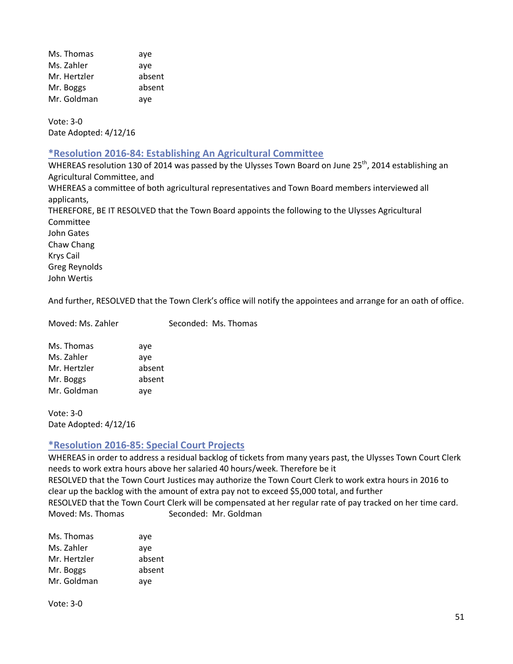Ms. Thomas aye Ms. Zahler aye Mr. Hertzler absent Mr. Boggs absent Mr. Goldman aye

Vote: 3-0 Date Adopted: 4/12/16

#### **\*Resolution 2016-84: Establishing An Agricultural Committee**

WHEREAS resolution 130 of 2014 was passed by the Ulysses Town Board on June 25<sup>th</sup>, 2014 establishing an Agricultural Committee, and WHEREAS a committee of both agricultural representatives and Town Board members interviewed all applicants, THEREFORE, BE IT RESOLVED that the Town Board appoints the following to the Ulysses Agricultural Committee John Gates Chaw Chang Krys Cail Greg Reynolds John Wertis

And further, RESOLVED that the Town Clerk's office will notify the appointees and arrange for an oath of office.

Moved: Ms. Zahler Seconded: Ms. Thomas

| aye    |
|--------|
| aye    |
| absent |
| absent |
| aye    |
|        |

Vote: 3-0 Date Adopted: 4/12/16

## **\*Resolution 2016-85: Special Court Projects**

WHEREAS in order to address a residual backlog of tickets from many years past, the Ulysses Town Court Clerk needs to work extra hours above her salaried 40 hours/week. Therefore be it RESOLVED that the Town Court Justices may authorize the Town Court Clerk to work extra hours in 2016 to clear up the backlog with the amount of extra pay not to exceed \$5,000 total, and further RESOLVED that the Town Court Clerk will be compensated at her regular rate of pay tracked on her time card. Moved: Ms. Thomas Seconded: Mr. Goldman

| Ms. Thomas   | aye    |
|--------------|--------|
| Ms. Zahler   | aye    |
| Mr. Hertzler | absent |
| Mr. Boggs    | absent |
| Mr. Goldman  | aye    |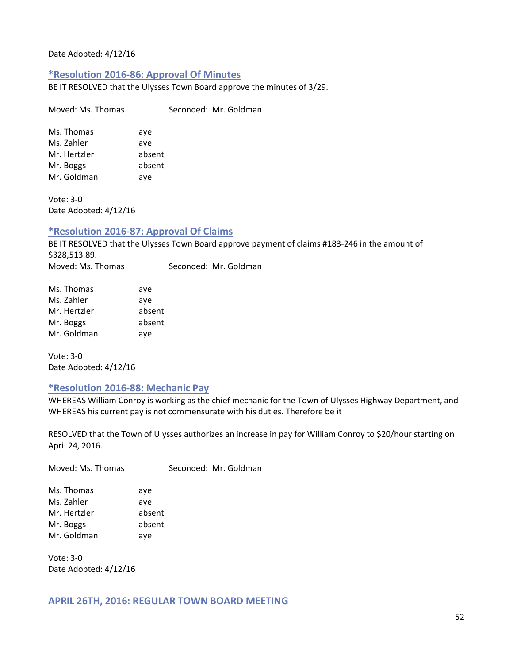Date Adopted: 4/12/16

#### **\*Resolution 2016-86: Approval Of Minutes**

Moved: Ms. Thomas Seconded: Mr. Goldman

BE IT RESOLVED that the Ulysses Town Board approve the minutes of 3/29.

| Ms. Thomas   | aye    |
|--------------|--------|
| Ms. Zahler   | aye    |
| Mr. Hertzler | absent |
| Mr. Boggs    | absent |
| Mr. Goldman  | aye    |

Vote: 3-0 Date Adopted: 4/12/16

## **\*Resolution 2016-87: Approval Of Claims**

BE IT RESOLVED that the Ulysses Town Board approve payment of claims #183-246 in the amount of \$328,513.89.

Moved: Ms. Thomas Seconded: Mr. Goldman

| Ms. Thomas   | aye    |
|--------------|--------|
| Ms. Zahler   | aye    |
| Mr. Hertzler | absent |
| Mr. Boggs    | absent |
| Mr. Goldman  | aye    |

Vote: 3-0 Date Adopted: 4/12/16

#### **\*Resolution 2016-88: Mechanic Pay**

WHEREAS William Conroy is working as the chief mechanic for the Town of Ulysses Highway Department, and WHEREAS his current pay is not commensurate with his duties. Therefore be it

RESOLVED that the Town of Ulysses authorizes an increase in pay for William Conroy to \$20/hour starting on April 24, 2016.

| Moved: Ms. Thomas                                                    | Seconded: Mr. Goldman                 |  |
|----------------------------------------------------------------------|---------------------------------------|--|
| Ms. Thomas<br>Ms. Zahler<br>Mr. Hertzler<br>Mr. Boggs<br>Mr. Goldman | ave<br>ave<br>absent<br>absent<br>ave |  |
|                                                                      |                                       |  |

Vote: 3-0 Date Adopted: 4/12/16

## **APRIL 26TH, 2016: REGULAR TOWN BOARD MEETING**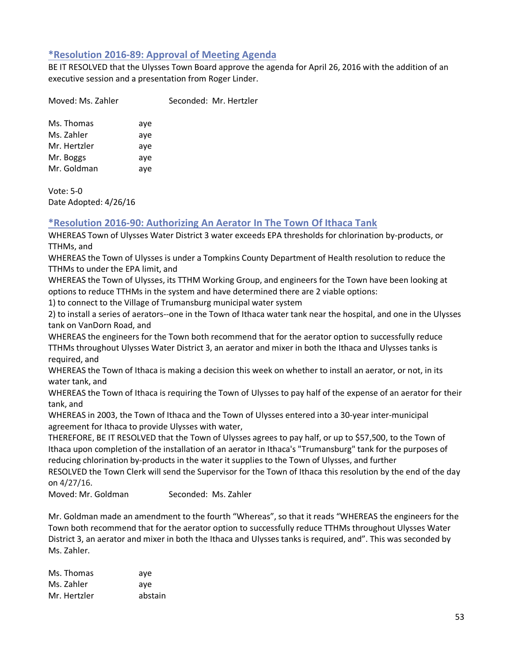## **\*Resolution 2016-89: Approval of Meeting Agenda**

BE IT RESOLVED that the Ulysses Town Board approve the agenda for April 26, 2016 with the addition of an executive session and a presentation from Roger Linder.

Moved: Ms. Zahler Seconded: Mr. Hertzler

| Ms. Thomas   | aye |
|--------------|-----|
| Ms. Zahler   | aye |
| Mr. Hertzler | aye |
| Mr. Boggs    | aye |
| Mr. Goldman  | aye |
|              |     |

Vote: 5-0 Date Adopted: 4/26/16

## **\*Resolution 2016-90: Authorizing An Aerator In The Town Of Ithaca Tank**

WHEREAS Town of Ulysses Water District 3 water exceeds EPA thresholds for chlorination by-products, or TTHMs, and

WHEREAS the Town of Ulysses is under a Tompkins County Department of Health resolution to reduce the TTHMs to under the EPA limit, and

WHEREAS the Town of Ulysses, its TTHM Working Group, and engineers for the Town have been looking at options to reduce TTHMs in the system and have determined there are 2 viable options:

1) to connect to the Village of Trumansburg municipal water system

2) to install a series of aerators--one in the Town of Ithaca water tank near the hospital, and one in the Ulysses tank on VanDorn Road, and

WHEREAS the engineers for the Town both recommend that for the aerator option to successfully reduce TTHMs throughout Ulysses Water District 3, an aerator and mixer in both the Ithaca and Ulysses tanks is required, and

WHEREAS the Town of Ithaca is making a decision this week on whether to install an aerator, or not, in its water tank, and

WHEREAS the Town of Ithaca is requiring the Town of Ulysses to pay half of the expense of an aerator for their tank, and

WHEREAS in 2003, the Town of Ithaca and the Town of Ulysses entered into a 30-year inter-municipal agreement for Ithaca to provide Ulysses with water,

THEREFORE, BE IT RESOLVED that the Town of Ulysses agrees to pay half, or up to \$57,500, to the Town of Ithaca upon completion of the installation of an aerator in Ithaca's "Trumansburg" tank for the purposes of reducing chlorination by-products in the water it supplies to the Town of Ulysses, and further

RESOLVED the Town Clerk will send the Supervisor for the Town of Ithaca this resolution by the end of the day on 4/27/16.

Moved: Mr. Goldman Seconded: Ms. Zahler

Mr. Goldman made an amendment to the fourth "Whereas", so that it reads "WHEREAS the engineers for the Town both recommend that for the aerator option to successfully reduce TTHMs throughout Ulysses Water District 3, an aerator and mixer in both the Ithaca and Ulysses tanks is required, and". This was seconded by Ms. Zahler.

| Ms. Thomas   | ave     |
|--------------|---------|
| Ms. Zahler   | ave     |
| Mr. Hertzler | abstain |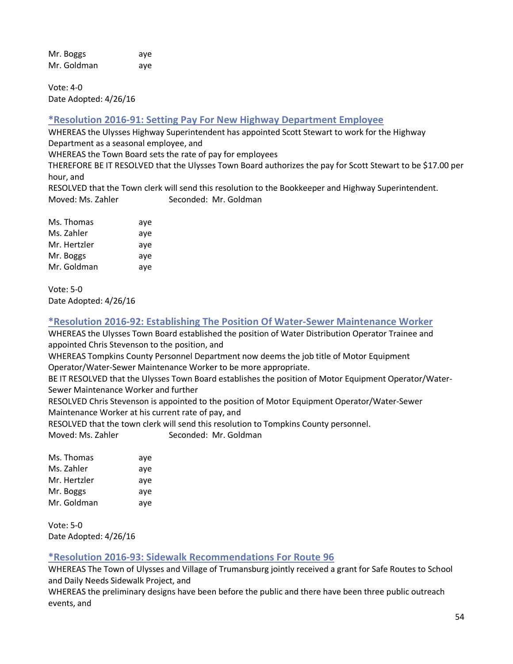Mr. Boggs aye Mr. Goldman aye

Vote: 4-0 Date Adopted: 4/26/16

# **\*Resolution 2016-91: Setting Pay For New Highway Department Employee**

WHEREAS the Ulysses Highway Superintendent has appointed Scott Stewart to work for the Highway Department as a seasonal employee, and

WHEREAS the Town Board sets the rate of pay for employees

THEREFORE BE IT RESOLVED that the Ulysses Town Board authorizes the pay for Scott Stewart to be \$17.00 per hour, and

RESOLVED that the Town clerk will send this resolution to the Bookkeeper and Highway Superintendent. Moved: Ms. Zahler Seconded: Mr. Goldman

| Ms. Thomas   | aye |
|--------------|-----|
| Ms. Zahler   | aye |
| Mr. Hertzler | aye |
| Mr. Boggs    | aye |
| Mr. Goldman  | aye |

Vote: 5-0 Date Adopted: 4/26/16

# **\*Resolution 2016-92: Establishing The Position Of Water-Sewer Maintenance Worker**

WHEREAS the Ulysses Town Board established the position of Water Distribution Operator Trainee and appointed Chris Stevenson to the position, and

WHEREAS Tompkins County Personnel Department now deems the job title of Motor Equipment Operator/Water-Sewer Maintenance Worker to be more appropriate.

BE IT RESOLVED that the Ulysses Town Board establishes the position of Motor Equipment Operator/Water-Sewer Maintenance Worker and further

RESOLVED Chris Stevenson is appointed to the position of Motor Equipment Operator/Water-Sewer Maintenance Worker at his current rate of pay, and

RESOLVED that the town clerk will send this resolution to Tompkins County personnel.

Moved: Ms. Zahler Seconded: Mr. Goldman

| Ms. Thomas   | aye |
|--------------|-----|
| Ms. Zahler   | aye |
| Mr. Hertzler | aye |
| Mr. Boggs    | aye |
| Mr. Goldman  | aye |
|              |     |

Vote: 5-0 Date Adopted: 4/26/16

# **\*Resolution 2016-93: Sidewalk Recommendations For Route 96**

WHEREAS The Town of Ulysses and Village of Trumansburg jointly received a grant for Safe Routes to School and Daily Needs Sidewalk Project, and

WHEREAS the preliminary designs have been before the public and there have been three public outreach events, and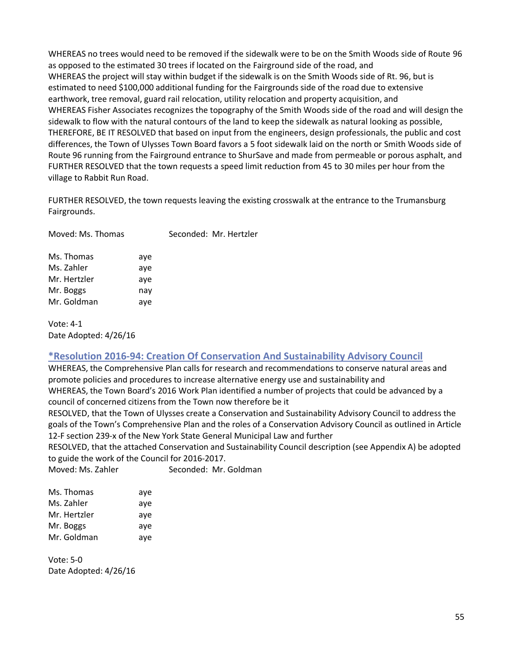WHEREAS no trees would need to be removed if the sidewalk were to be on the Smith Woods side of Route 96 as opposed to the estimated 30 trees if located on the Fairground side of the road, and WHEREAS the project will stay within budget if the sidewalk is on the Smith Woods side of Rt. 96, but is estimated to need \$100,000 additional funding for the Fairgrounds side of the road due to extensive earthwork, tree removal, guard rail relocation, utility relocation and property acquisition, and WHEREAS Fisher Associates recognizes the topography of the Smith Woods side of the road and will design the sidewalk to flow with the natural contours of the land to keep the sidewalk as natural looking as possible, THEREFORE, BE IT RESOLVED that based on input from the engineers, design professionals, the public and cost differences, the Town of Ulysses Town Board favors a 5 foot sidewalk laid on the north or Smith Woods side of Route 96 running from the Fairground entrance to ShurSave and made from permeable or porous asphalt, and FURTHER RESOLVED that the town requests a speed limit reduction from 45 to 30 miles per hour from the village to Rabbit Run Road.

FURTHER RESOLVED, the town requests leaving the existing crosswalk at the entrance to the Trumansburg Fairgrounds.

| Moved: Ms. Thomas |     | Seconded: Mr. Hertzler |
|-------------------|-----|------------------------|
| Ms. Thomas        | aye |                        |
| Ms. Zahler        | aye |                        |
| Mr. Hertzler      | ave |                        |
| Mr. Boggs         | nay |                        |
| Mr. Goldman       | aye |                        |

Vote: 4-1 Date Adopted: 4/26/16

## **\*Resolution 2016-94: Creation Of Conservation And Sustainability Advisory Council**

WHEREAS, the Comprehensive Plan calls for research and recommendations to conserve natural areas and promote policies and procedures to increase alternative energy use and sustainability and WHEREAS, the Town Board's 2016 Work Plan identified a number of projects that could be advanced by a council of concerned citizens from the Town now therefore be it

RESOLVED, that the Town of Ulysses create a Conservation and Sustainability Advisory Council to address the goals of the Town's Comprehensive Plan and the roles of a Conservation Advisory Council as outlined in Article 12-F section 239-x of the New York State General Municipal Law and further

RESOLVED, that the attached Conservation and Sustainability Council description (see Appendix A) be adopted to guide the work of the Council for 2016-2017.

Moved: Ms. Zahler Seconded: Mr. Goldman

| aye |
|-----|
| aye |
| aye |
| aye |
| aye |
|     |

Vote: 5-0 Date Adopted: 4/26/16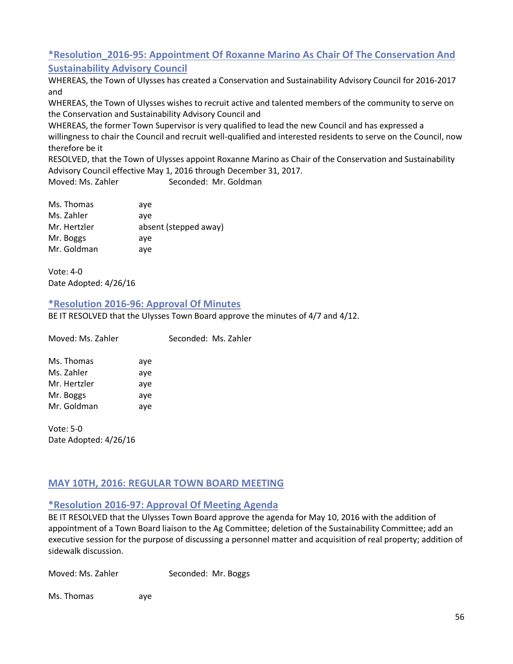# **\*Resolution\_2016-95: Appointment Of Roxanne Marino As Chair Of The Conservation And Sustainability Advisory Council**

WHEREAS, the Town of Ulysses has created a Conservation and Sustainability Advisory Council for 2016-2017 and

WHEREAS, the Town of Ulysses wishes to recruit active and talented members of the community to serve on the Conservation and Sustainability Advisory Council and

WHEREAS, the former Town Supervisor is very qualified to lead the new Council and has expressed a willingness to chair the Council and recruit well-qualified and interested residents to serve on the Council, now therefore be it

RESOLVED, that the Town of Ulysses appoint Roxanne Marino as Chair of the Conservation and Sustainability Advisory Council effective May 1, 2016 through December 31, 2017.

Moved: Ms. Zahler Seconded: Mr. Goldman

| ave                   |
|-----------------------|
| ave                   |
| absent (stepped away) |
| ave                   |
| ave                   |
|                       |

Vote: 4-0 Date Adopted: 4/26/16

## **\*Resolution 2016-96: Approval Of Minutes**

Moved: Ms. Zahler Seconded: Ms. Zahler

BE IT RESOLVED that the Ulysses Town Board approve the minutes of 4/7 and 4/12.

| Ms. Thomas   | aye |
|--------------|-----|
| Ms. Zahler   | aye |
| Mr. Hertzler | aye |
| Mr. Boggs    | aye |
| Mr. Goldman  | aye |

Vote: 5-0 Date Adopted: 4/26/16

# **MAY 10TH, 2016: REGULAR TOWN BOARD MEETING**

# **\*Resolution 2016-97: Approval Of Meeting Agenda**

BE IT RESOLVED that the Ulysses Town Board approve the agenda for May 10, 2016 with the addition of appointment of a Town Board liaison to the Ag Committee; deletion of the Sustainability Committee; add an executive session for the purpose of discussing a personnel matter and acquisition of real property; addition of sidewalk discussion.

| Moved: Ms. Zahler | Seconded: Mr. Boggs |
|-------------------|---------------------|
|-------------------|---------------------|

Ms. Thomas aye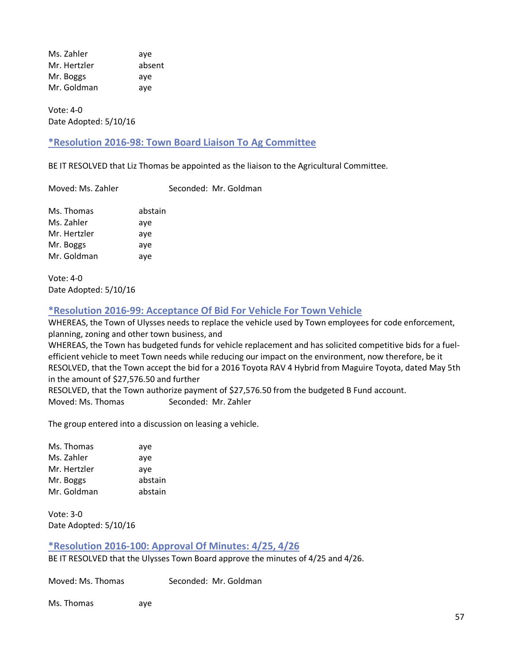Ms. Zahler aye Mr. Hertzler absent Mr. Boggs aye Mr. Goldman aye

Vote: 4-0 Date Adopted: 5/10/16

## **\*Resolution 2016-98: Town Board Liaison To Ag Committee**

BE IT RESOLVED that Liz Thomas be appointed as the liaison to the Agricultural Committee.

Moved: Ms. Zahler Seconded: Mr. Goldman

| Ms. Thomas   | abstain |
|--------------|---------|
| Ms. Zahler   | aye     |
| Mr. Hertzler | aye     |
| Mr. Boggs    | aye     |
| Mr. Goldman  | aye     |

Vote: 4-0 Date Adopted: 5/10/16

## **\*Resolution 2016-99: Acceptance Of Bid For Vehicle For Town Vehicle**

WHEREAS, the Town of Ulysses needs to replace the vehicle used by Town employees for code enforcement, planning, zoning and other town business, and

WHEREAS, the Town has budgeted funds for vehicle replacement and has solicited competitive bids for a fuelefficient vehicle to meet Town needs while reducing our impact on the environment, now therefore, be it RESOLVED, that the Town accept the bid for a 2016 Toyota RAV 4 Hybrid from Maguire Toyota, dated May 5th in the amount of \$27,576.50 and further

RESOLVED, that the Town authorize payment of \$27,576.50 from the budgeted B Fund account. Moved: Ms. Thomas Seconded: Mr. Zahler

The group entered into a discussion on leasing a vehicle.

Ms. Thomas aye Ms. Zahler aye Mr. Hertzler aye Mr. Boggs abstain Mr. Goldman abstain

Vote: 3-0 Date Adopted: 5/10/16

## **\*Resolution 2016-100: Approval Of Minutes: 4/25, 4/26**

BE IT RESOLVED that the Ulysses Town Board approve the minutes of 4/25 and 4/26.

Moved: Ms. Thomas Seconded: Mr. Goldman

Ms. Thomas aye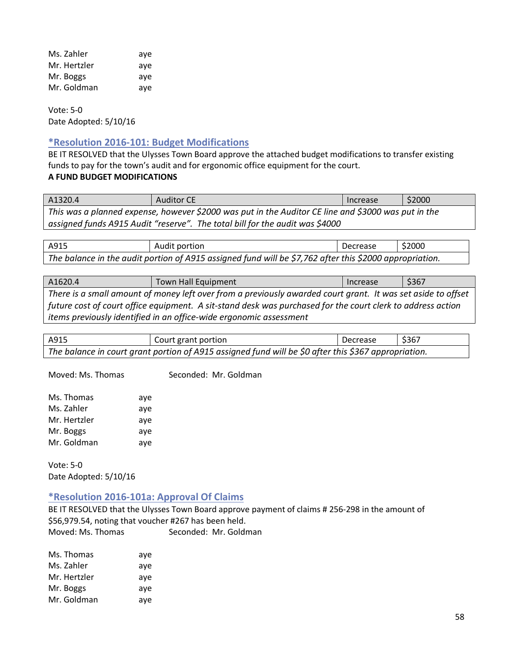| Ms. Zahler   | ave |
|--------------|-----|
| Mr. Hertzler | ave |
| Mr. Boggs    | ave |
| Mr. Goldman  | aye |

Vote: 5-0 Date Adopted: 5/10/16

## **\*Resolution 2016-101: Budget Modifications**

BE IT RESOLVED that the Ulysses Town Board approve the attached budget modifications to transfer existing funds to pay for the town's audit and for ergonomic office equipment for the court.

## **A FUND BUDGET MODIFICATIONS**

A1320.4 Auditor CE Auditor CE Auditor CE Auditor CE Auditor CE Auditor CE Auditor CE Auditor CE Auditor CE Auditor CE *This was a planned expense, however \$2000 was put in the Auditor CE line and \$3000 was put in the assigned funds A915 Audit "reserve". The total bill for the audit was \$4000*

A915 Audit portion Audit extends to the Decrease \$2000 *The balance in the audit portion of A915 assigned fund will be \$7,762 after this \$2000 appropriation.*

| A1620.4                                                                                                      | <b>Town Hall Equipment</b> | <b>Increase</b> | \$367 |
|--------------------------------------------------------------------------------------------------------------|----------------------------|-----------------|-------|
| There is a small amount of money left over from a previously awarded court grant. It was set aside to offset |                            |                 |       |
| future cost of court office equipment. A sit-stand desk was purchased for the court clerk to address action  |                            |                 |       |
| items previously identified in an office-wide ergonomic assessment                                           |                            |                 |       |

| A915                                                                                                 | Court grant portion | Decrease | \$367 |
|------------------------------------------------------------------------------------------------------|---------------------|----------|-------|
| The balance in court grant portion of A915 assigned fund will be \$0 after this \$367 appropriation. |                     |          |       |

Moved: Ms. Thomas Seconded: Mr. Goldman

| Ms. Thomas   | aye |
|--------------|-----|
| Ms. Zahler   | aye |
| Mr. Hertzler | aye |
| Mr. Boggs    | aye |
| Mr. Goldman  | aye |

Vote: 5-0 Date Adopted: 5/10/16

## **\*Resolution 2016-101a: Approval Of Claims**

BE IT RESOLVED that the Ulysses Town Board approve payment of claims # 256-298 in the amount of \$56,979.54, noting that voucher #267 has been held. Moved: Ms. Thomas Seconded: Mr. Goldman

| Ms. Thomas   | aye |
|--------------|-----|
| Ms. Zahler   | aye |
| Mr. Hertzler | aye |
| Mr. Boggs    | aye |
| Mr. Goldman  | aye |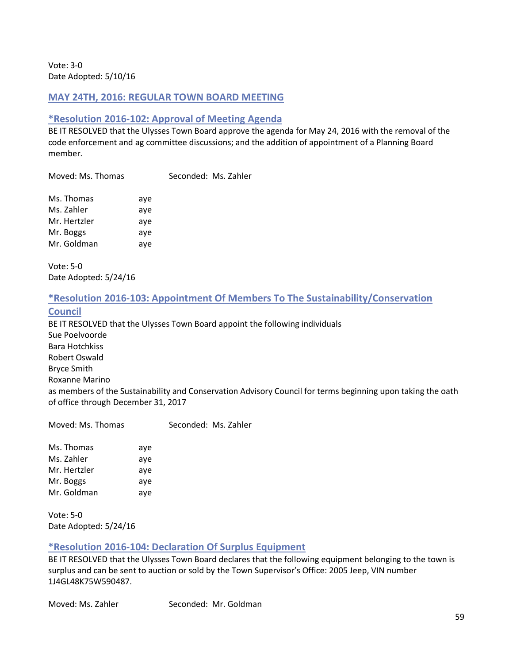Vote: 3-0 Date Adopted: 5/10/16

## **MAY 24TH, 2016: REGULAR TOWN BOARD MEETING**

## **\*Resolution 2016-102: Approval of Meeting Agenda**

BE IT RESOLVED that the Ulysses Town Board approve the agenda for May 24, 2016 with the removal of the code enforcement and ag committee discussions; and the addition of appointment of a Planning Board member.

Moved: Ms. Thomas Seconded: Ms. Zahler

| Ms. Thomas   | aye |
|--------------|-----|
| Ms. Zahler   | aye |
| Mr. Hertzler | aye |
| Mr. Boggs    | aye |
| Mr. Goldman  | aye |

Vote: 5-0 Date Adopted: 5/24/16

## **\*Resolution 2016-103: Appointment Of Members To The Sustainability/Conservation**

#### **Council**

BE IT RESOLVED that the Ulysses Town Board appoint the following individuals Sue Poelvoorde Bara Hotchkiss Robert Oswald Bryce Smith Roxanne Marino as members of the Sustainability and Conservation Advisory Council for terms beginning upon taking the oath of office through December 31, 2017

Moved: Ms. Thomas Seconded: Ms. Zahler

Ms. Thomas aye Ms. Zahler aye Mr. Hertzler aye Mr. Boggs aye Mr. Goldman aye

Vote: 5-0 Date Adopted: 5/24/16

# **\*Resolution 2016-104: Declaration Of Surplus Equipment**

BE IT RESOLVED that the Ulysses Town Board declares that the following equipment belonging to the town is surplus and can be sent to auction or sold by the Town Supervisor's Office: 2005 Jeep, VIN number 1J4GL48K75W590487.

Moved: Ms. Zahler Seconded: Mr. Goldman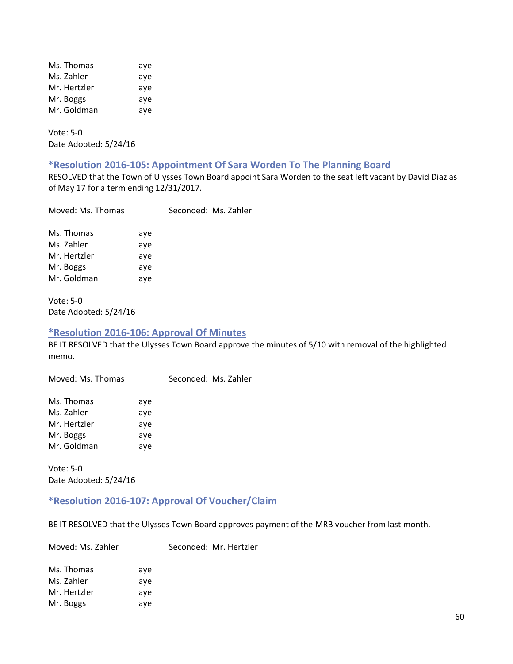| Ms. Thomas   | aye |
|--------------|-----|
| Ms. Zahler   | aye |
| Mr. Hertzler | aye |
| Mr. Boggs    | aye |
| Mr. Goldman  | aye |

Vote: 5-0 Date Adopted: 5/24/16

#### **\*Resolution 2016-105: Appointment Of Sara Worden To The Planning Board**

RESOLVED that the Town of Ulysses Town Board appoint Sara Worden to the seat left vacant by David Diaz as of May 17 for a term ending 12/31/2017.

| Moved: Ms. Thomas |     | Seconded: Ms. Zahler |
|-------------------|-----|----------------------|
| Ms. Thomas        | aye |                      |
| Ms. Zahler        | aye |                      |
| Mr. Hertzler      | aye |                      |
| Mr. Boggs         | aye |                      |
| Mr. Goldman       | aye |                      |
|                   |     |                      |

Vote: 5-0 Date Adopted: 5/24/16

#### **\*Resolution 2016-106: Approval Of Minutes**

BE IT RESOLVED that the Ulysses Town Board approve the minutes of 5/10 with removal of the highlighted memo.

Moved: Ms. Thomas Seconded: Ms. Zahler

| Ms. Thomas   | aye |
|--------------|-----|
| Ms. Zahler   | aye |
| Mr. Hertzler | aye |
| Mr. Boggs    | ave |
| Mr. Goldman  | aye |

Vote: 5-0 Date Adopted: 5/24/16

#### **\*Resolution 2016-107: Approval Of Voucher/Claim**

BE IT RESOLVED that the Ulysses Town Board approves payment of the MRB voucher from last month.

Moved: Ms. Zahler Seconded: Mr. Hertzler

| ave |
|-----|
| ave |
| ave |
| ave |
|     |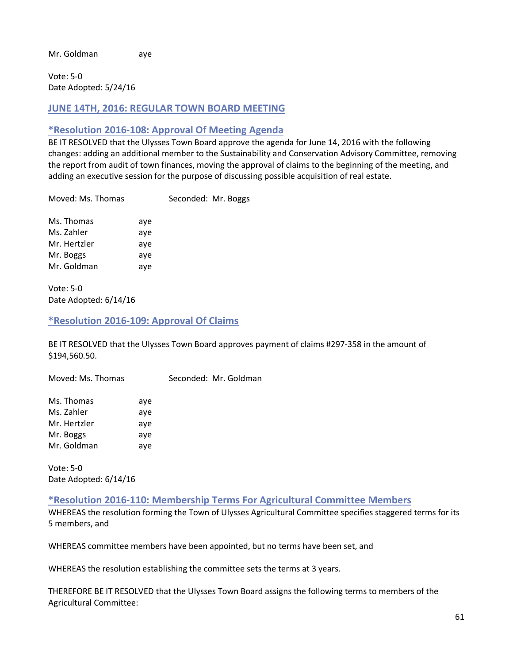Mr. Goldman aye

Vote: 5-0 Date Adopted: 5/24/16

## **JUNE 14TH, 2016: REGULAR TOWN BOARD MEETING**

## **\*Resolution 2016-108: Approval Of Meeting Agenda**

BE IT RESOLVED that the Ulysses Town Board approve the agenda for June 14, 2016 with the following changes: adding an additional member to the Sustainability and Conservation Advisory Committee, removing the report from audit of town finances, moving the approval of claims to the beginning of the meeting, and adding an executive session for the purpose of discussing possible acquisition of real estate.

Moved: Ms. Thomas Seconded: Mr. Boggs

| aye |
|-----|
| aye |
| aye |
| aye |
| aye |
|     |

Vote: 5-0 Date Adopted: 6/14/16

## **\*Resolution 2016-109: Approval Of Claims**

BE IT RESOLVED that the Ulysses Town Board approves payment of claims #297-358 in the amount of \$194,560.50.

Moved: Ms. Thomas Seconded: Mr. Goldman

| Ms. Thomas   | aye |
|--------------|-----|
| Ms. Zahler   | aye |
| Mr. Hertzler | aye |
| Mr. Boggs    | aye |
| Mr. Goldman  | aye |

Vote: 5-0 Date Adopted: 6/14/16

## **\*Resolution 2016-110: Membership Terms For Agricultural Committee Members**

WHEREAS the resolution forming the Town of Ulysses Agricultural Committee specifies staggered terms for its 5 members, and

WHEREAS committee members have been appointed, but no terms have been set, and

WHEREAS the resolution establishing the committee sets the terms at 3 years.

THEREFORE BE IT RESOLVED that the Ulysses Town Board assigns the following terms to members of the Agricultural Committee: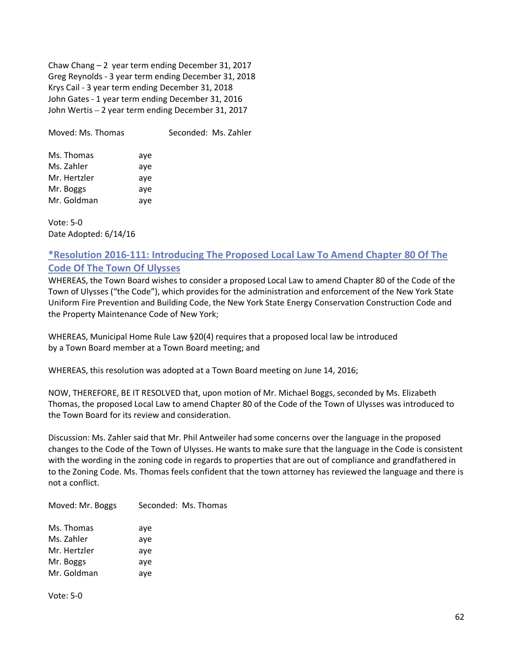Chaw Chang – 2 year term ending December 31, 2017 Greg Reynolds - 3 year term ending December 31, 2018 Krys Cail - 3 year term ending December 31, 2018 John Gates - 1 year term ending December 31, 2016 John Wertis – 2 year term ending December 31, 2017

Moved: Ms. Thomas Seconded: Ms. Zahler

| Ms. Thomas   | aye |
|--------------|-----|
| Ms. Zahler   | aye |
| Mr. Hertzler | aye |
| Mr. Boggs    | aye |
| Mr. Goldman  | ave |

Vote: 5-0 Date Adopted: 6/14/16

# **\*Resolution 2016-111: Introducing The Proposed Local Law To Amend Chapter 80 Of The Code Of The Town Of Ulysses**

WHEREAS, the Town Board wishes to consider a proposed Local Law to amend Chapter 80 of the Code of the Town of Ulysses ("the Code"), which provides for the administration and enforcement of the New York State Uniform Fire Prevention and Building Code, the New York State Energy Conservation Construction Code and the Property Maintenance Code of New York;

WHEREAS, Municipal Home Rule Law §20(4) requires that a proposed local law be introduced by a Town Board member at a Town Board meeting; and

WHEREAS, this resolution was adopted at a Town Board meeting on June 14, 2016;

NOW, THEREFORE, BE IT RESOLVED that, upon motion of Mr. Michael Boggs, seconded by Ms. Elizabeth Thomas, the proposed Local Law to amend Chapter 80 of the Code of the Town of Ulysses was introduced to the Town Board for its review and consideration.

Discussion: Ms. Zahler said that Mr. Phil Antweiler had some concerns over the language in the proposed changes to the Code of the Town of Ulysses. He wants to make sure that the language in the Code is consistent with the wording in the zoning code in regards to properties that are out of compliance and grandfathered in to the Zoning Code. Ms. Thomas feels confident that the town attorney has reviewed the language and there is not a conflict.

Moved: Mr. Boggs Seconded: Ms. Thomas Ms. Thomas aye Ms. Zahler ave

| Mr. Hertzler | ave |
|--------------|-----|
| Mr. Boggs    | ave |
| Mr. Goldman  | ave |

Vote: 5-0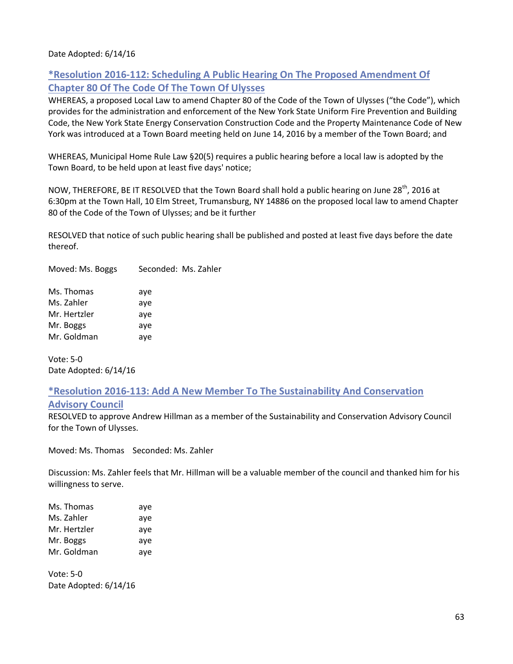#### Date Adopted: 6/14/16

# **\*Resolution 2016-112: Scheduling A Public Hearing On The Proposed Amendment Of Chapter 80 Of The Code Of The Town Of Ulysses**

WHEREAS, a proposed Local Law to amend Chapter 80 of the Code of the Town of Ulysses ("the Code"), which provides for the administration and enforcement of the New York State Uniform Fire Prevention and Building Code, the New York State Energy Conservation Construction Code and the Property Maintenance Code of New York was introduced at a Town Board meeting held on June 14, 2016 by a member of the Town Board; and

WHEREAS, Municipal Home Rule Law §20(5) requires a public hearing before a local law is adopted by the Town Board, to be held upon at least five days' notice;

NOW, THEREFORE, BE IT RESOLVED that the Town Board shall hold a public hearing on June 28<sup>th</sup>, 2016 at 6:30pm at the Town Hall, 10 Elm Street, Trumansburg, NY 14886 on the proposed local law to amend Chapter 80 of the Code of the Town of Ulysses; and be it further

RESOLVED that notice of such public hearing shall be published and posted at least five days before the date thereof.

Moved: Ms. Boggs Seconded: Ms. Zahler

| Ms. Thomas   | aye |
|--------------|-----|
| Ms. Zahler   | aye |
| Mr. Hertzler | aye |
| Mr. Boggs    | aye |
| Mr. Goldman  | aye |

Vote: 5-0 Date Adopted: 6/14/16

# **\*Resolution 2016-113: Add A New Member To The Sustainability And Conservation**

#### **Advisory Council**

RESOLVED to approve Andrew Hillman as a member of the Sustainability and Conservation Advisory Council for the Town of Ulysses.

Moved: Ms. Thomas Seconded: Ms. Zahler

Discussion: Ms. Zahler feels that Mr. Hillman will be a valuable member of the council and thanked him for his willingness to serve.

| Ms. Thomas   | aye |
|--------------|-----|
| Ms. Zahler   | aye |
| Mr. Hertzler | aye |
| Mr. Boggs    | aye |
| Mr. Goldman  | aye |

Vote: 5-0 Date Adopted: 6/14/16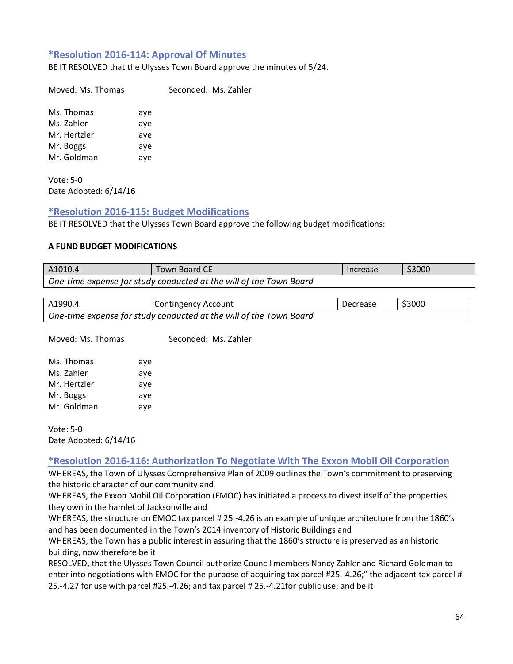## **\*Resolution 2016-114: Approval Of Minutes**

BE IT RESOLVED that the Ulysses Town Board approve the minutes of 5/24.

Moved: Ms. Thomas Seconded: Ms. Zahler

Ms. Thomas aye Ms. Zahler aye Mr. Hertzler aye Mr. Boggs aye Mr. Goldman aye

Vote: 5-0 Date Adopted: 6/14/16

#### **\*Resolution 2016-115: Budget Modifications**

BE IT RESOLVED that the Ulysses Town Board approve the following budget modifications:

#### **A FUND BUDGET MODIFICATIONS**

| A1010.4 | <b>Town Board CE</b>                                               | Increase | \$3000 |
|---------|--------------------------------------------------------------------|----------|--------|
|         | One-time expense for study conducted at the will of the Town Board |          |        |

| A1990.4                                                            | <b>Contingency Account</b> | l Decrease | \$3000 |
|--------------------------------------------------------------------|----------------------------|------------|--------|
| One-time expense for study conducted at the will of the Town Board |                            |            |        |

Moved: Ms. Thomas Seconded: Ms. Zahler

| Ms. Thomas   | aye |
|--------------|-----|
| Ms. Zahler   | aye |
| Mr. Hertzler | aye |
| Mr. Boggs    | aye |
| Mr. Goldman  | aye |

Vote: 5-0 Date Adopted: 6/14/16

#### **\*Resolution 2016-116: Authorization To Negotiate With The Exxon Mobil Oil Corporation**

WHEREAS, the Town of Ulysses Comprehensive Plan of 2009 outlines the Town's commitment to preserving the historic character of our community and

WHEREAS, the Exxon Mobil Oil Corporation (EMOC) has initiated a process to divest itself of the properties they own in the hamlet of Jacksonville and

WHEREAS, the structure on EMOC tax parcel # 25.-4.26 is an example of unique architecture from the 1860's and has been documented in the Town's 2014 inventory of Historic Buildings and

WHEREAS, the Town has a public interest in assuring that the 1860's structure is preserved as an historic building, now therefore be it

RESOLVED, that the Ulysses Town Council authorize Council members Nancy Zahler and Richard Goldman to enter into negotiations with EMOC for the purpose of acquiring tax parcel #25.-4.26;" the adjacent tax parcel # 25.-4.27 for use with parcel #25.-4.26; and tax parcel # 25.-4.21for public use; and be it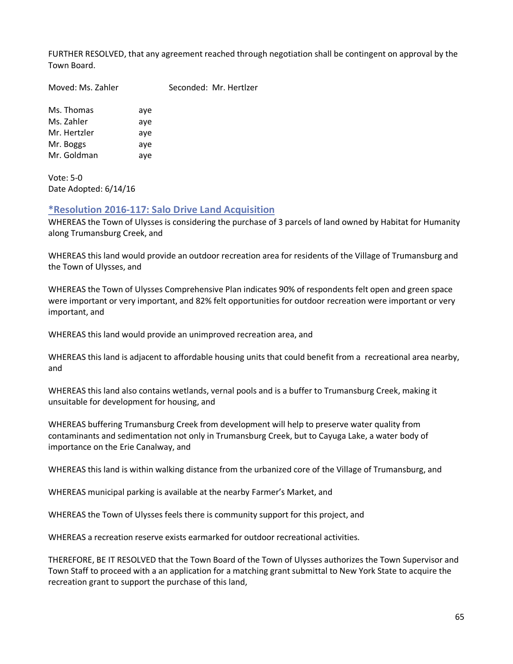FURTHER RESOLVED, that any agreement reached through negotiation shall be contingent on approval by the Town Board.

Moved: Ms. Zahler Seconded: Mr. Hertlzer

Ms. Thomas aye Ms. Zahler aye Mr. Hertzler aye Mr. Boggs aye Mr. Goldman aye

Vote: 5-0 Date Adopted: 6/14/16

## **\*Resolution 2016-117: Salo Drive Land Acquisition**

WHEREAS the Town of Ulysses is considering the purchase of 3 parcels of land owned by Habitat for Humanity along Trumansburg Creek, and

WHEREAS this land would provide an outdoor recreation area for residents of the Village of Trumansburg and the Town of Ulysses, and

WHEREAS the Town of Ulysses Comprehensive Plan indicates 90% of respondents felt open and green space were important or very important, and 82% felt opportunities for outdoor recreation were important or very important, and

WHEREAS this land would provide an unimproved recreation area, and

WHEREAS this land is adjacent to affordable housing units that could benefit from a recreational area nearby, and

WHEREAS this land also contains wetlands, vernal pools and is a buffer to Trumansburg Creek, making it unsuitable for development for housing, and

WHEREAS buffering Trumansburg Creek from development will help to preserve water quality from contaminants and sedimentation not only in Trumansburg Creek, but to Cayuga Lake, a water body of importance on the Erie Canalway, and

WHEREAS this land is within walking distance from the urbanized core of the Village of Trumansburg, and

WHEREAS municipal parking is available at the nearby Farmer's Market, and

WHEREAS the Town of Ulysses feels there is community support for this project, and

WHEREAS a recreation reserve exists earmarked for outdoor recreational activities.

THEREFORE, BE IT RESOLVED that the Town Board of the Town of Ulysses authorizes the Town Supervisor and Town Staff to proceed with a an application for a matching grant submittal to New York State to acquire the recreation grant to support the purchase of this land,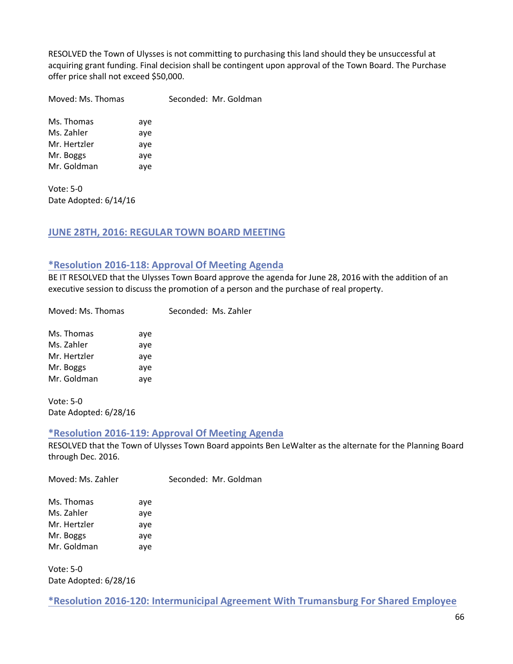RESOLVED the Town of Ulysses is not committing to purchasing this land should they be unsuccessful at acquiring grant funding. Final decision shall be contingent upon approval of the Town Board. The Purchase offer price shall not exceed \$50,000.

Moved: Ms. Thomas Seconded: Mr. Goldman

Ms. Thomas aye Ms. Zahler aye Mr. Hertzler aye Mr. Boggs aye Mr. Goldman aye

Vote: 5-0 Date Adopted: 6/14/16

## **JUNE 28TH, 2016: REGULAR TOWN BOARD MEETING**

#### **\*Resolution 2016-118: Approval Of Meeting Agenda**

BE IT RESOLVED that the Ulysses Town Board approve the agenda for June 28, 2016 with the addition of an executive session to discuss the promotion of a person and the purchase of real property.

Moved: Ms. Thomas Seconded: Ms. Zahler

Ms. Thomas aye Ms. Zahler aye Mr. Hertzler aye Mr. Boggs aye Mr. Goldman aye

Vote: 5-0 Date Adopted: 6/28/16

#### **\*Resolution 2016-119: Approval Of Meeting Agenda**

RESOLVED that the Town of Ulysses Town Board appoints Ben LeWalter as the alternate for the Planning Board through Dec. 2016.

Moved: Ms. Zahler Seconded: Mr. Goldman

| Ms. Thomas   | aye |
|--------------|-----|
| Ms. Zahler   | aye |
| Mr. Hertzler | aye |
| Mr. Boggs    | aye |
| Mr. Goldman  | aye |

Vote: 5-0 Date Adopted: 6/28/16

**\*Resolution 2016-120: Intermunicipal Agreement With Trumansburg For Shared Employee**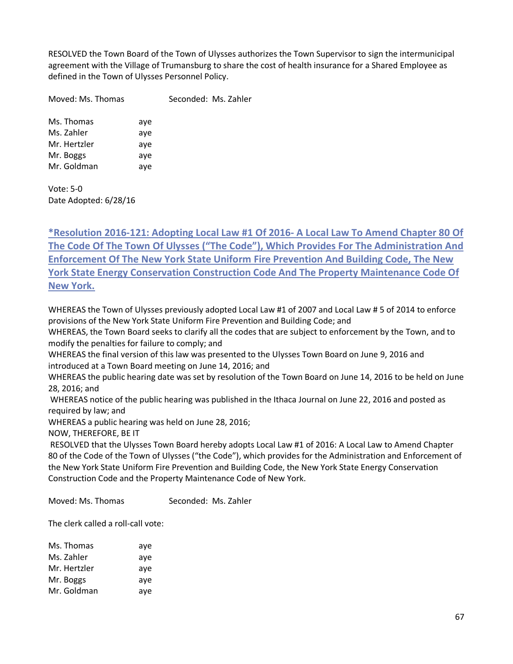RESOLVED the Town Board of the Town of Ulysses authorizes the Town Supervisor to sign the intermunicipal agreement with the Village of Trumansburg to share the cost of health insurance for a Shared Employee as defined in the Town of Ulysses Personnel Policy.

Moved: Ms. Thomas Seconded: Ms. Zahler

Ms. Thomas aye Ms. Zahler aye Mr. Hertzler aye Mr. Boggs aye Mr. Goldman aye

Vote: 5-0 Date Adopted: 6/28/16

**\*Resolution 2016-121: Adopting Local Law #1 Of 2016- A Local Law To Amend Chapter 80 Of The Code Of The Town Of Ulysses ("The Code"), Which Provides For The Administration And Enforcement Of The New York State Uniform Fire Prevention And Building Code, The New York State Energy Conservation Construction Code And The Property Maintenance Code Of New York.**

WHEREAS the Town of Ulysses previously adopted Local Law #1 of 2007 and Local Law # 5 of 2014 to enforce provisions of the New York State Uniform Fire Prevention and Building Code; and

WHEREAS, the Town Board seeks to clarify all the codes that are subject to enforcement by the Town, and to modify the penalties for failure to comply; and

WHEREAS the final version of this law was presented to the Ulysses Town Board on June 9, 2016 and introduced at a Town Board meeting on June 14, 2016; and

WHEREAS the public hearing date was set by resolution of the Town Board on June 14, 2016 to be held on June 28, 2016; and

WHEREAS notice of the public hearing was published in the Ithaca Journal on June 22, 2016 and posted as required by law; and

WHEREAS a public hearing was held on June 28, 2016;

NOW, THEREFORE, BE IT

RESOLVED that the Ulysses Town Board hereby adopts Local Law #1 of 2016: A Local Law to Amend Chapter 80 of the Code of the Town of Ulysses ("the Code"), which provides for the Administration and Enforcement of the New York State Uniform Fire Prevention and Building Code, the New York State Energy Conservation Construction Code and the Property Maintenance Code of New York.

Moved: Ms. Thomas Seconded: Ms. Zahler

The clerk called a roll-call vote:

| aye |
|-----|
| aye |
| aye |
| aye |
| ave |
|     |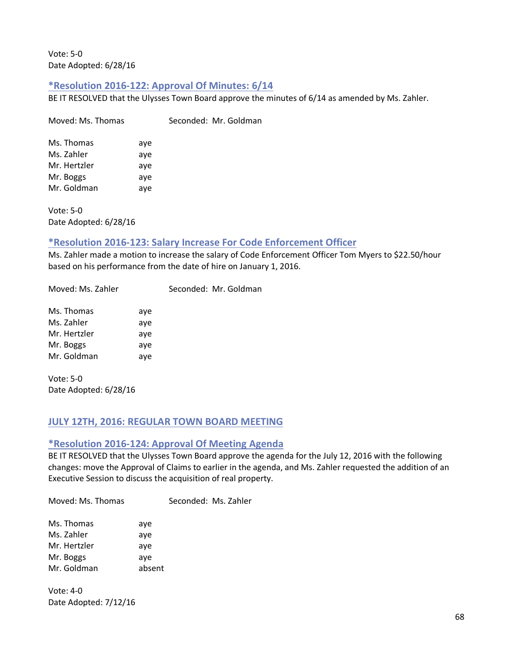Vote: 5-0 Date Adopted: 6/28/16

## **\*Resolution 2016-122: Approval Of Minutes: 6/14**

Moved: Ms. Thomas Seconded: Mr. Goldman

BE IT RESOLVED that the Ulysses Town Board approve the minutes of 6/14 as amended by Ms. Zahler.

| Ms. Thomas   | aye |
|--------------|-----|
| Ms. Zahler   | aye |
| Mr. Hertzler | aye |
| Mr. Boggs    | aye |
| Mr. Goldman  | aye |

Vote: 5-0 Date Adopted: 6/28/16

## **\*Resolution 2016-123: Salary Increase For Code Enforcement Officer**

Ms. Zahler made a motion to increase the salary of Code Enforcement Officer Tom Myers to \$22.50/hour based on his performance from the date of hire on January 1, 2016.

Seconded: Mr. Goldman

| Ms. Thomas   | aye |
|--------------|-----|
| Ms. Zahler   | aye |
| Mr. Hertzler | aye |
| Mr. Boggs    | aye |
| Mr. Goldman  | aye |

Vote: 5-0 Date Adopted: 6/28/16

# **JULY 12TH, 2016: REGULAR TOWN BOARD MEETING**

# **\*Resolution 2016-124: Approval Of Meeting Agenda**

BE IT RESOLVED that the Ulysses Town Board approve the agenda for the July 12, 2016 with the following changes: move the Approval of Claims to earlier in the agenda, and Ms. Zahler requested the addition of an Executive Session to discuss the acquisition of real property.

Moved: Ms. Thomas Seconded: Ms. Zahler

| Ms. Thomas   | aye    |
|--------------|--------|
| Ms. Zahler   | aye    |
| Mr. Hertzler | aye    |
| Mr. Boggs    | aye    |
| Mr. Goldman  | absent |

Vote: 4-0 Date Adopted: 7/12/16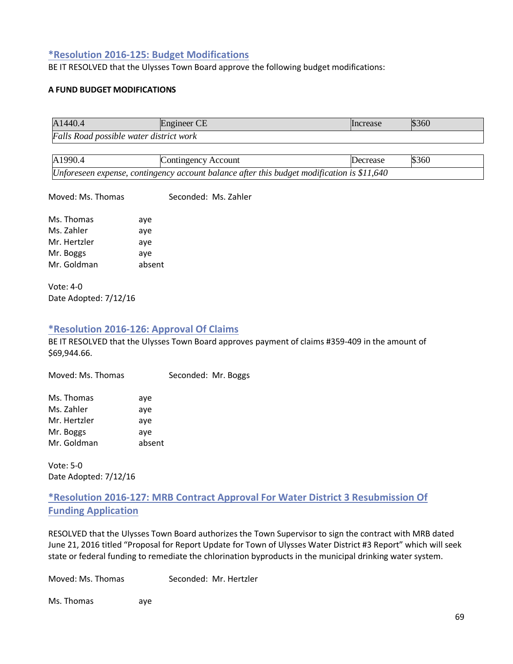## **\*Resolution 2016-125: Budget Modifications**

BE IT RESOLVED that the Ulysses Town Board approve the following budget modifications:

#### **A FUND BUDGET MODIFICATIONS**

| A1440.4                                 | ngineer CE | Increase | \$360 |
|-----------------------------------------|------------|----------|-------|
| Falls Road possible water district work |            |          |       |

| A1990.4 | Contingency Account                                                                         | Decrease | \$360 |
|---------|---------------------------------------------------------------------------------------------|----------|-------|
|         | Unforeseen expense, contingency account balance after this budget modification is $$11,640$ |          |       |

Moved: Ms. Thomas Seconded: Ms. Zahler

| Ms. Thomas   | aye    |
|--------------|--------|
| Ms. Zahler   | aye    |
| Mr. Hertzler | aye    |
| Mr. Boggs    | aye    |
| Mr. Goldman  | absent |

Vote: 4-0 Date Adopted: 7/12/16

#### **\*Resolution 2016-126: Approval Of Claims**

BE IT RESOLVED that the Ulysses Town Board approves payment of claims #359-409 in the amount of \$69,944.66.

Moved: Ms. Thomas Seconded: Mr. Boggs

| Ms. Thomas   | aye    |
|--------------|--------|
| Ms. Zahler   | aye    |
| Mr. Hertzler | aye    |
| Mr. Boggs    | aye    |
| Mr. Goldman  | absent |

Vote: 5-0 Date Adopted: 7/12/16

# **\*Resolution 2016-127: MRB Contract Approval For Water District 3 Resubmission Of Funding Application**

RESOLVED that the Ulysses Town Board authorizes the Town Supervisor to sign the contract with MRB dated June 21, 2016 titled "Proposal for Report Update for Town of Ulysses Water District #3 Report" which will seek state or federal funding to remediate the chlorination byproducts in the municipal drinking water system.

Moved: Ms. Thomas Seconded: Mr. Hertzler

Ms. Thomas aye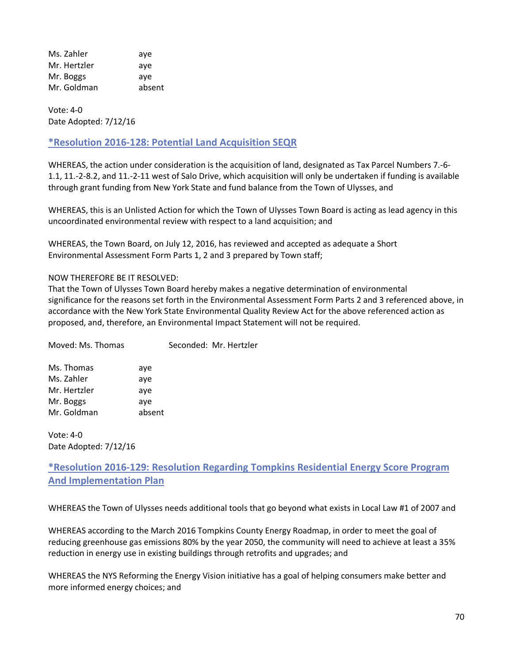Ms. Zahler aye Mr. Hertzler aye Mr. Boggs aye Mr. Goldman absent

Vote: 4-0 Date Adopted: 7/12/16

# **\*Resolution 2016-128: Potential Land Acquisition SEQR**

WHEREAS, the action under consideration is the acquisition of land, designated as Tax Parcel Numbers 7.-6- 1.1, 11.-2-8.2, and 11.-2-11 west of Salo Drive, which acquisition will only be undertaken if funding is available through grant funding from New York State and fund balance from the Town of Ulysses, and

WHEREAS, this is an Unlisted Action for which the Town of Ulysses Town Board is acting as lead agency in this uncoordinated environmental review with respect to a land acquisition; and

WHEREAS, the Town Board, on July 12, 2016, has reviewed and accepted as adequate a Short Environmental Assessment Form Parts 1, 2 and 3 prepared by Town staff;

#### NOW THEREFORE BE IT RESOLVED:

That the Town of Ulysses Town Board hereby makes a negative determination of environmental significance for the reasons set forth in the Environmental Assessment Form Parts 2 and 3 referenced above, in accordance with the New York State Environmental Quality Review Act for the above referenced action as proposed, and, therefore, an Environmental Impact Statement will not be required.

| Moved: Ms. Thomas |        | Seconded: Mr. Hertzler |
|-------------------|--------|------------------------|
| Ms. Thomas        | aye    |                        |
| Ms. Zahler        | aye    |                        |
| Mr. Hertzler      | aye    |                        |
| Mr. Boggs         | aye    |                        |
| Mr. Goldman       | absent |                        |
|                   |        |                        |

Vote: 4-0 Date Adopted: 7/12/16

**\*Resolution 2016-129: Resolution Regarding Tompkins Residential Energy Score Program And Implementation Plan** 

WHEREAS the Town of Ulysses needs additional tools that go beyond what exists in Local Law #1 of 2007 and

WHEREAS according to the March 2016 Tompkins County Energy Roadmap, in order to meet the goal of reducing greenhouse gas emissions 80% by the year 2050, the community will need to achieve at least a 35% reduction in energy use in existing buildings through retrofits and upgrades; and

WHEREAS the NYS Reforming the Energy Vision initiative has a goal of helping consumers make better and more informed energy choices; and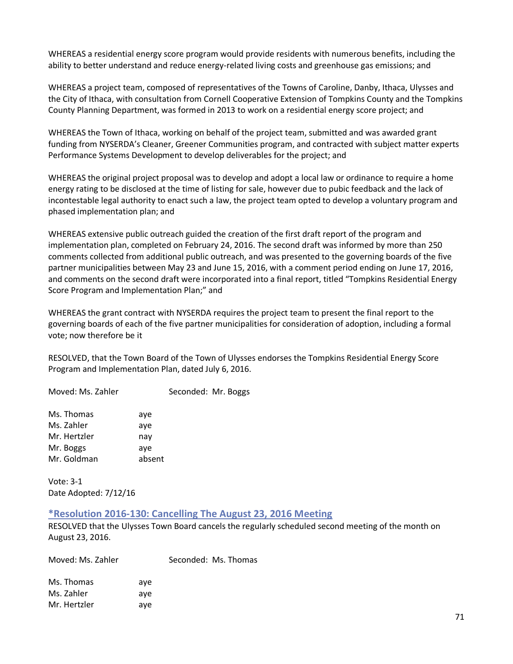WHEREAS a residential energy score program would provide residents with numerous benefits, including the ability to better understand and reduce energy-related living costs and greenhouse gas emissions; and

WHEREAS a project team, composed of representatives of the Towns of Caroline, Danby, Ithaca, Ulysses and the City of Ithaca, with consultation from Cornell Cooperative Extension of Tompkins County and the Tompkins County Planning Department, was formed in 2013 to work on a residential energy score project; and

WHEREAS the Town of Ithaca, working on behalf of the project team, submitted and was awarded grant funding from NYSERDA's Cleaner, Greener Communities program, and contracted with subject matter experts Performance Systems Development to develop deliverables for the project; and

WHEREAS the original project proposal was to develop and adopt a local law or ordinance to require a home energy rating to be disclosed at the time of listing for sale, however due to pubic feedback and the lack of incontestable legal authority to enact such a law, the project team opted to develop a voluntary program and phased implementation plan; and

WHEREAS extensive public outreach guided the creation of the first draft report of the program and implementation plan, completed on February 24, 2016. The second draft was informed by more than 250 comments collected from additional public outreach, and was presented to the governing boards of the five partner municipalities between May 23 and June 15, 2016, with a comment period ending on June 17, 2016, and comments on the second draft were incorporated into a final report, titled "Tompkins Residential Energy Score Program and Implementation Plan;" and

WHEREAS the grant contract with NYSERDA requires the project team to present the final report to the governing boards of each of the five partner municipalities for consideration of adoption, including a formal vote; now therefore be it

RESOLVED, that the Town Board of the Town of Ulysses endorses the Tompkins Residential Energy Score Program and Implementation Plan, dated July 6, 2016.

Moved: Ms. Zahler Seconded: Mr. Boggs

| Ms. Thomas   | aye    |
|--------------|--------|
| Ms. Zahler   | aye    |
| Mr. Hertzler | nay    |
| Mr. Boggs    | aye    |
| Mr. Goldman  | absent |

Vote: 3-1 Date Adopted: 7/12/16

## **\*Resolution 2016-130: Cancelling The August 23, 2016 Meeting**

RESOLVED that the Ulysses Town Board cancels the regularly scheduled second meeting of the month on August 23, 2016.

Moved: Ms. Zahler Seconded: Ms. Thomas Ms. Thomas aye

Ms. Zahler aye Mr. Hertzler aye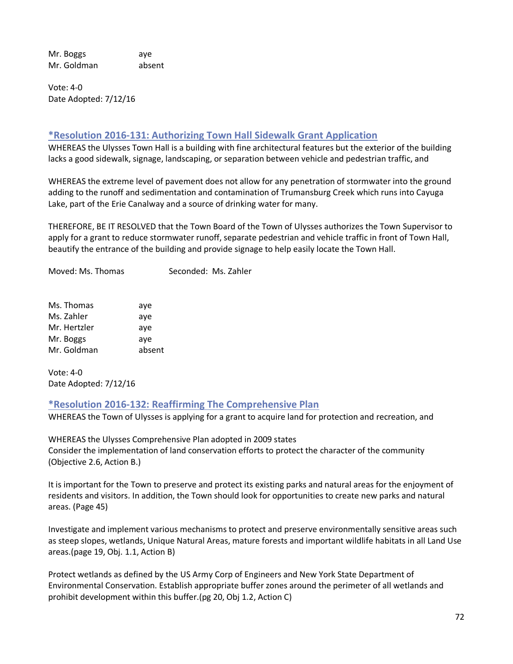Mr. Boggs aye Mr. Goldman absent

Vote: 4-0 Date Adopted: 7/12/16

## **\*Resolution 2016-131: Authorizing Town Hall Sidewalk Grant Application**

WHEREAS the Ulysses Town Hall is a building with fine architectural features but the exterior of the building lacks a good sidewalk, signage, landscaping, or separation between vehicle and pedestrian traffic, and

WHEREAS the extreme level of pavement does not allow for any penetration of stormwater into the ground adding to the runoff and sedimentation and contamination of Trumansburg Creek which runs into Cayuga Lake, part of the Erie Canalway and a source of drinking water for many.

THEREFORE, BE IT RESOLVED that the Town Board of the Town of Ulysses authorizes the Town Supervisor to apply for a grant to reduce stormwater runoff, separate pedestrian and vehicle traffic in front of Town Hall, beautify the entrance of the building and provide signage to help easily locate the Town Hall.

Moved: Ms. Thomas Seconded: Ms. Zahler

| Ms. Thomas   | aye    |
|--------------|--------|
| Ms. Zahler   | aye    |
| Mr. Hertzler | aye    |
| Mr. Boggs    | aye    |
| Mr. Goldman  | absent |

Vote: 4-0 Date Adopted: 7/12/16

## **\*Resolution 2016-132: Reaffirming The Comprehensive Plan**

WHEREAS the Town of Ulysses is applying for a grant to acquire land for protection and recreation, and

WHEREAS the Ulysses Comprehensive Plan adopted in 2009 states Consider the implementation of land conservation efforts to protect the character of the community (Objective 2.6, Action B.)

It is important for the Town to preserve and protect its existing parks and natural areas for the enjoyment of residents and visitors. In addition, the Town should look for opportunities to create new parks and natural areas. (Page 45)

Investigate and implement various mechanisms to protect and preserve environmentally sensitive areas such as steep slopes, wetlands, Unique Natural Areas, mature forests and important wildlife habitats in all Land Use areas.(page 19, Obj. 1.1, Action B)

Protect wetlands as defined by the US Army Corp of Engineers and New York State Department of Environmental Conservation. Establish appropriate buffer zones around the perimeter of all wetlands and prohibit development within this buffer.(pg 20, Obj 1.2, Action C)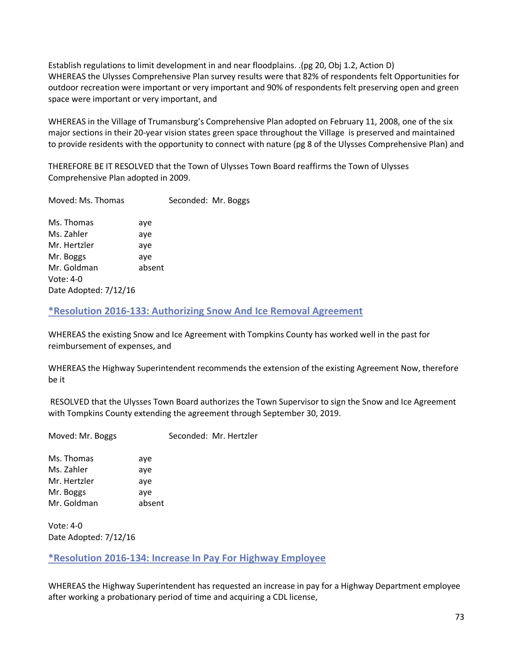Establish regulations to limit development in and near floodplains. .(pg 20, Obj 1.2, Action D) WHEREAS the Ulysses Comprehensive Plan survey results were that 82% of respondents felt Opportunities for outdoor recreation were important or very important and 90% of respondents felt preserving open and green space were important or very important, and

WHEREAS in the Village of Trumansburg's Comprehensive Plan adopted on February 11, 2008, one of the six major sections in their 20-year vision states green space throughout the Village is preserved and maintained to provide residents with the opportunity to connect with nature (pg 8 of the Ulysses Comprehensive Plan) and

THEREFORE BE IT RESOLVED that the Town of Ulysses Town Board reaffirms the Town of Ulysses Comprehensive Plan adopted in 2009.

| Moved: Ms. Thomas                                   |            | Seconded: Mr. Boggs |  |
|-----------------------------------------------------|------------|---------------------|--|
| Ms. Thomas<br>Ms. Zahler                            | aye<br>aye |                     |  |
| Mr. Hertzler                                        | aye        |                     |  |
| Mr. Boggs                                           | aye        |                     |  |
| Mr. Goldman<br>Vote: $4-0$<br>Date Adopted: 7/12/16 | absent     |                     |  |
|                                                     |            |                     |  |

# **\*Resolution 2016-133: Authorizing Snow And Ice Removal Agreement**

WHEREAS the existing Snow and Ice Agreement with Tompkins County has worked well in the past for reimbursement of expenses, and

WHEREAS the Highway Superintendent recommends the extension of the existing Agreement Now, therefore be it

RESOLVED that the Ulysses Town Board authorizes the Town Supervisor to sign the Snow and Ice Agreement with Tompkins County extending the agreement through September 30, 2019.

Moved: Mr. Boggs Seconded: Mr. Hertzler

Ms. Thomas aye Ms. Zahler aye Mr. Hertzler aye Mr. Boggs aye Mr. Goldman absent

Vote: 4-0 Date Adopted: 7/12/16

# **\*Resolution 2016-134: Increase In Pay For Highway Employee**

WHEREAS the Highway Superintendent has requested an increase in pay for a Highway Department employee after working a probationary period of time and acquiring a CDL license,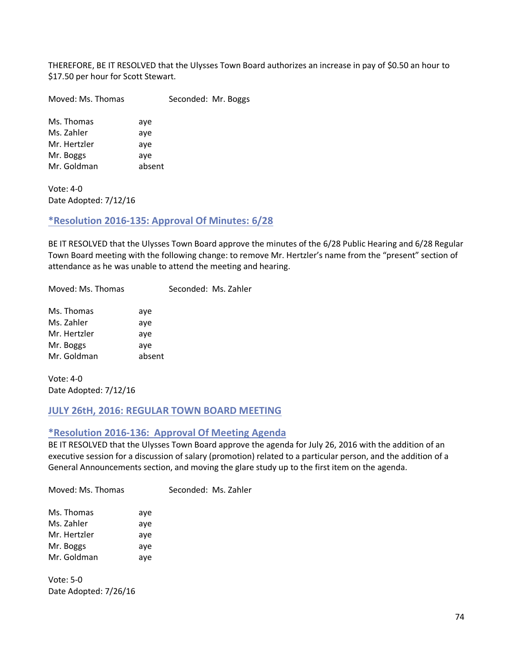THEREFORE, BE IT RESOLVED that the Ulysses Town Board authorizes an increase in pay of \$0.50 an hour to \$17.50 per hour for Scott Stewart.

Moved: Ms. Thomas Seconded: Mr. Boggs

Ms. Thomas aye Ms. Zahler aye Mr. Hertzler aye Mr. Boggs aye Mr. Goldman absent

Vote: 4-0 Date Adopted: 7/12/16

# **\*Resolution 2016-135: Approval Of Minutes: 6/28**

BE IT RESOLVED that the Ulysses Town Board approve the minutes of the 6/28 Public Hearing and 6/28 Regular Town Board meeting with the following change: to remove Mr. Hertzler's name from the "present" section of attendance as he was unable to attend the meeting and hearing.

Moved: Ms. Thomas Seconded: Ms. Zahler

| Ms. Thomas   | aye    |
|--------------|--------|
| Ms. Zahler   | aye    |
| Mr. Hertzler | aye    |
| Mr. Boggs    | aye    |
| Mr. Goldman  | absent |

Vote: 4-0 Date Adopted: 7/12/16

# **JULY 26tH, 2016: REGULAR TOWN BOARD MEETING**

# **\*Resolution 2016-136: Approval Of Meeting Agenda**

BE IT RESOLVED that the Ulysses Town Board approve the agenda for July 26, 2016 with the addition of an executive session for a discussion of salary (promotion) related to a particular person, and the addition of a General Announcements section, and moving the glare study up to the first item on the agenda.

Moved: Ms. Thomas Seconded: Ms. Zahler

| Ms. Thomas   | aye |
|--------------|-----|
| Ms. Zahler   | aye |
| Mr. Hertzler | aye |
| Mr. Boggs    | aye |
| Mr. Goldman  | aye |

Vote: 5-0 Date Adopted: 7/26/16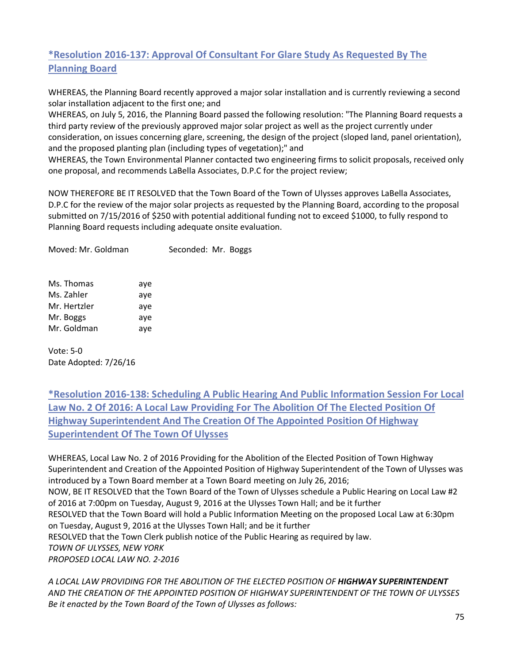# **\*Resolution 2016-137: Approval Of Consultant For Glare Study As Requested By The Planning Board**

WHEREAS, the Planning Board recently approved a major solar installation and is currently reviewing a second solar installation adjacent to the first one; and

WHEREAS, on July 5, 2016, the Planning Board passed the following resolution: "The Planning Board requests a third party review of the previously approved major solar project as well as the project currently under consideration, on issues concerning glare, screening, the design of the project (sloped land, panel orientation), and the proposed planting plan (including types of vegetation);" and

WHEREAS, the Town Environmental Planner contacted two engineering firms to solicit proposals, received only one proposal, and recommends LaBella Associates, D.P.C for the project review;

NOW THEREFORE BE IT RESOLVED that the Town Board of the Town of Ulysses approves LaBella Associates, D.P.C for the review of the major solar projects as requested by the Planning Board, according to the proposal submitted on 7/15/2016 of \$250 with potential additional funding not to exceed \$1000, to fully respond to Planning Board requests including adequate onsite evaluation.

| Moved: Mr. Goldman                       |                   | Seconded: Mr. Boggs |  |
|------------------------------------------|-------------------|---------------------|--|
| Ms. Thomas<br>Ms. Zahler<br>Mr. Hertzler | aye<br>aye<br>aye |                     |  |
| Mr. Boggs<br>Mr. Goldman                 | aye<br>aye        |                     |  |

Vote: 5-0 Date Adopted: 7/26/16

**\*Resolution 2016-138: Scheduling A Public Hearing And Public Information Session For Local Law No. 2 Of 2016: A Local Law Providing For The Abolition Of The Elected Position Of Highway Superintendent And The Creation Of The Appointed Position Of Highway Superintendent Of The Town Of Ulysses**

WHEREAS, Local Law No. 2 of 2016 Providing for the Abolition of the Elected Position of Town Highway Superintendent and Creation of the Appointed Position of Highway Superintendent of the Town of Ulysses was introduced by a Town Board member at a Town Board meeting on July 26, 2016; NOW, BE IT RESOLVED that the Town Board of the Town of Ulysses schedule a Public Hearing on Local Law #2 of 2016 at 7:00pm on Tuesday, August 9, 2016 at the Ulysses Town Hall; and be it further RESOLVED that the Town Board will hold a Public Information Meeting on the proposed Local Law at 6:30pm on Tuesday, August 9, 2016 at the Ulysses Town Hall; and be it further RESOLVED that the Town Clerk publish notice of the Public Hearing as required by law. *TOWN OF ULYSSES, NEW YORK PROPOSED LOCAL LAW NO. 2-2016*

*A LOCAL LAW PROVIDING FOR THE ABOLITION OF THE ELECTED POSITION OF HIGHWAY SUPERINTENDENT AND THE CREATION OF THE APPOINTED POSITION OF HIGHWAY SUPERINTENDENT OF THE TOWN OF ULYSSES Be it enacted by the Town Board of the Town of Ulysses as follows:*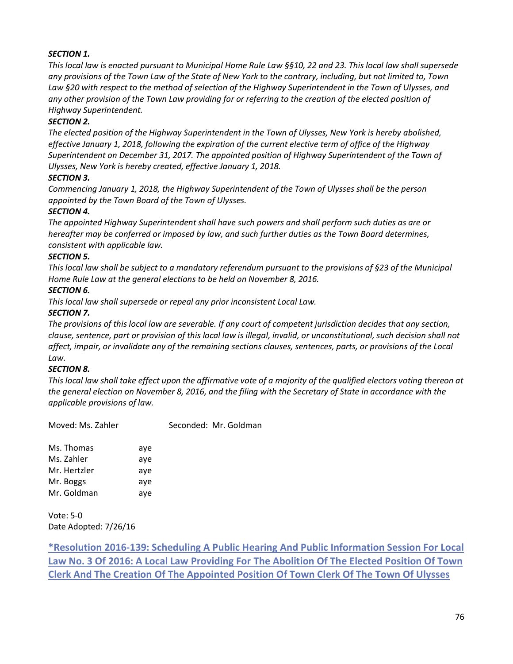# *SECTION 1.*

*This local law is enacted pursuant to Municipal Home Rule Law §§10, 22 and 23. This local law shall supersede any provisions of the Town Law of the State of New York to the contrary, including, but not limited to, Town Law §20 with respect to the method of selection of the Highway Superintendent in the Town of Ulysses, and any other provision of the Town Law providing for or referring to the creation of the elected position of Highway Superintendent.* 

# *SECTION 2.*

*The elected position of the Highway Superintendent in the Town of Ulysses, New York is hereby abolished, effective January 1, 2018, following the expiration of the current elective term of office of the Highway Superintendent on December 31, 2017. The appointed position of Highway Superintendent of the Town of Ulysses, New York is hereby created, effective January 1, 2018.* 

# *SECTION 3.*

*Commencing January 1, 2018, the Highway Superintendent of the Town of Ulysses shall be the person appointed by the Town Board of the Town of Ulysses.* 

# *SECTION 4.*

*The appointed Highway Superintendent shall have such powers and shall perform such duties as are or hereafter may be conferred or imposed by law, and such further duties as the Town Board determines, consistent with applicable law.* 

#### *SECTION 5.*

*This local law shall be subject to a mandatory referendum pursuant to the provisions of §23 of the Municipal Home Rule Law at the general elections to be held on November 8, 2016.* 

# *SECTION 6.*

*This local law shall supersede or repeal any prior inconsistent Local Law.* 

# *SECTION 7.*

*The provisions of this local law are severable. If any court of competent jurisdiction decides that any section, clause, sentence, part or provision of this local law is illegal, invalid, or unconstitutional, such decision shall not affect, impair, or invalidate any of the remaining sections clauses, sentences, parts, or provisions of the Local Law.* 

# *SECTION 8.*

*This local law shall take effect upon the affirmative vote of a majority of the qualified electors voting thereon at the general election on November 8, 2016, and the filing with the Secretary of State in accordance with the applicable provisions of law.*

Moved: Ms. Zahler Seconded: Mr. Goldman

Ms. Thomas aye Ms. Zahler aye Mr. Hertzler aye Mr. Boggs aye Mr. Goldman aye

Vote: 5-0 Date Adopted: 7/26/16

**\*Resolution 2016-139: Scheduling A Public Hearing And Public Information Session For Local Law No. 3 Of 2016: A Local Law Providing For The Abolition Of The Elected Position Of Town Clerk And The Creation Of The Appointed Position Of Town Clerk Of The Town Of Ulysses**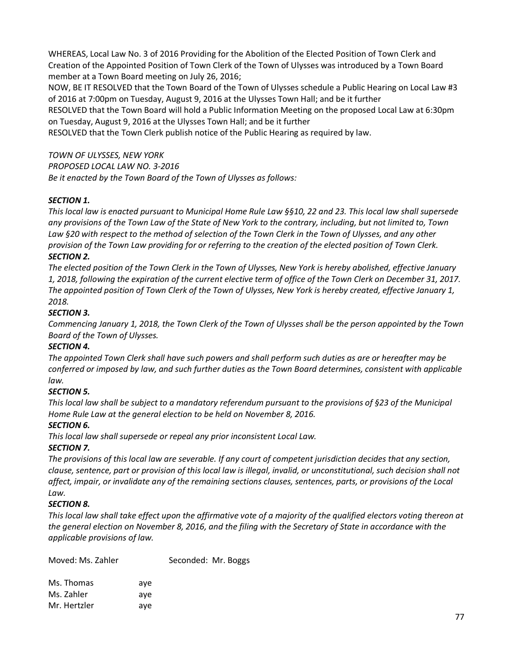WHEREAS, Local Law No. 3 of 2016 Providing for the Abolition of the Elected Position of Town Clerk and Creation of the Appointed Position of Town Clerk of the Town of Ulysses was introduced by a Town Board member at a Town Board meeting on July 26, 2016;

NOW, BE IT RESOLVED that the Town Board of the Town of Ulysses schedule a Public Hearing on Local Law #3 of 2016 at 7:00pm on Tuesday, August 9, 2016 at the Ulysses Town Hall; and be it further RESOLVED that the Town Board will hold a Public Information Meeting on the proposed Local Law at 6:30pm

on Tuesday, August 9, 2016 at the Ulysses Town Hall; and be it further

RESOLVED that the Town Clerk publish notice of the Public Hearing as required by law.

*TOWN OF ULYSSES, NEW YORK PROPOSED LOCAL LAW NO. 3-2016 Be it enacted by the Town Board of the Town of Ulysses as follows:*

# *SECTION 1.*

*This local law is enacted pursuant to Municipal Home Rule Law §§10, 22 and 23. This local law shall supersede any provisions of the Town Law of the State of New York to the contrary, including, but not limited to, Town*  Law §20 with respect to the method of selection of the Town Clerk in the Town of Ulysses, and any other *provision of the Town Law providing for or referring to the creation of the elected position of Town Clerk. SECTION 2.* 

*The elected position of the Town Clerk in the Town of Ulysses, New York is hereby abolished, effective January 1, 2018, following the expiration of the current elective term of office of the Town Clerk on December 31, 2017. The appointed position of Town Clerk of the Town of Ulysses, New York is hereby created, effective January 1, 2018.* 

# *SECTION 3.*

*Commencing January 1, 2018, the Town Clerk of the Town of Ulysses shall be the person appointed by the Town Board of the Town of Ulysses.* 

# *SECTION 4.*

*The appointed Town Clerk shall have such powers and shall perform such duties as are or hereafter may be conferred or imposed by law, and such further duties as the Town Board determines, consistent with applicable law.* 

# *SECTION 5.*

*This local law shall be subject to a mandatory referendum pursuant to the provisions of §23 of the Municipal Home Rule Law at the general election to be held on November 8, 2016.* 

# *SECTION 6.*

*This local law shall supersede or repeal any prior inconsistent Local Law.* 

# *SECTION 7.*

*The provisions of this local law are severable. If any court of competent jurisdiction decides that any section, clause, sentence, part or provision of this local law is illegal, invalid, or unconstitutional, such decision shall not affect, impair, or invalidate any of the remaining sections clauses, sentences, parts, or provisions of the Local Law.* 

# *SECTION 8.*

*This local law shall take effect upon the affirmative vote of a majority of the qualified electors voting thereon at the general election on November 8, 2016, and the filing with the Secretary of State in accordance with the applicable provisions of law.*

| Moved: Ms. Zahler |     | Seconded: Mr. Boggs |
|-------------------|-----|---------------------|
| Ms. Thomas        | ave |                     |
| Ms. Zahler        | ave |                     |
| Mr. Hertzler      | ave |                     |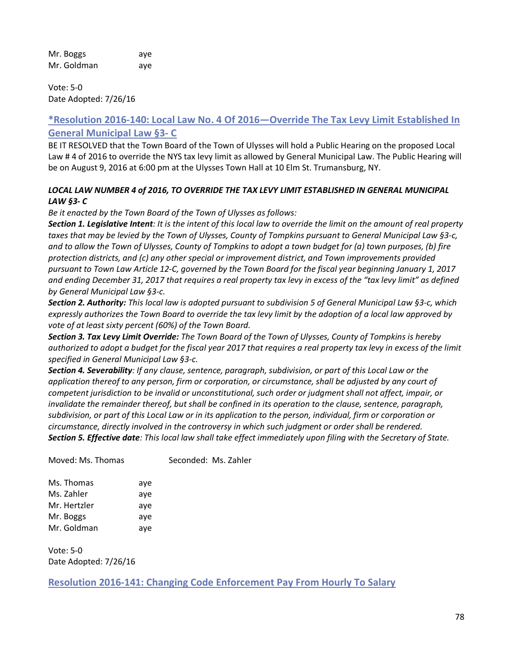Mr. Boggs aye Mr. Goldman aye

Vote: 5-0 Date Adopted: 7/26/16

# **\*Resolution 2016-140: Local Law No. 4 Of 2016—Override The Tax Levy Limit Established In General Municipal Law §3- C**

BE IT RESOLVED that the Town Board of the Town of Ulysses will hold a Public Hearing on the proposed Local Law # 4 of 2016 to override the NYS tax levy limit as allowed by General Municipal Law. The Public Hearing will be on August 9, 2016 at 6:00 pm at the Ulysses Town Hall at 10 Elm St. Trumansburg, NY.

### *LOCAL LAW NUMBER 4 of 2016, TO OVERRIDE THE TAX LEVY LIMIT ESTABLISHED IN GENERAL MUNICIPAL LAW §3- C*

*Be it enacted by the Town Board of the Town of Ulysses as follows:* 

*Section 1. Legislative Intent: It is the intent of this local law to override the limit on the amount of real property taxes that may be levied by the Town of Ulysses, County of Tompkins pursuant to General Municipal Law §3-c, and to allow the Town of Ulysses, County of Tompkins to adopt a town budget for (a) town purposes, (b) fire protection districts, and (c) any other special or improvement district, and Town improvements provided pursuant to Town Law Article 12-C, governed by the Town Board for the fiscal year beginning January 1, 2017 and ending December 31, 2017 that requires a real property tax levy in excess of the "tax levy limit" as defined by General Municipal Law §3-c.* 

*Section 2. Authority: This local law is adopted pursuant to subdivision 5 of General Municipal Law §3-c, which expressly authorizes the Town Board to override the tax levy limit by the adoption of a local law approved by vote of at least sixty percent (60%) of the Town Board.* 

*Section 3. Tax Levy Limit Override: The Town Board of the Town of Ulysses, County of Tompkins is hereby authorized to adopt a budget for the fiscal year 2017 that requires a real property tax levy in excess of the limit specified in General Municipal Law §3-c.* 

*Section 4. Severability: If any clause, sentence, paragraph, subdivision, or part of this Local Law or the application thereof to any person, firm or corporation, or circumstance, shall be adjusted by any court of competent jurisdiction to be invalid or unconstitutional, such order or judgment shall not affect, impair, or invalidate the remainder thereof, but shall be confined in its operation to the clause, sentence, paragraph, subdivision, or part of this Local Law or in its application to the person, individual, firm or corporation or circumstance, directly involved in the controversy in which such judgment or order shall be rendered. Section 5. Effective date: This local law shall take effect immediately upon filing with the Secretary of State.*

Moved: Ms. Thomas Seconded: Ms. Zahler

| Ms. Thomas   | aye |
|--------------|-----|
| Ms. Zahler   | aye |
| Mr. Hertzler | aye |
| Mr. Boggs    | aye |
| Mr. Goldman  | aye |

Vote: 5-0 Date Adopted: 7/26/16

**Resolution 2016-141: Changing Code Enforcement Pay From Hourly To Salary**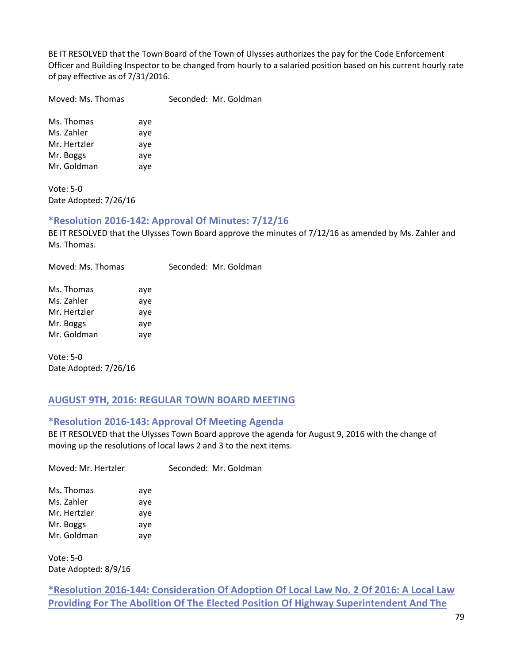BE IT RESOLVED that the Town Board of the Town of Ulysses authorizes the pay for the Code Enforcement Officer and Building Inspector to be changed from hourly to a salaried position based on his current hourly rate of pay effective as of 7/31/2016.

Moved: Ms. Thomas Seconded: Mr. Goldman

Ms. Thomas aye Ms. Zahler aye Mr. Hertzler aye Mr. Boggs aye Mr. Goldman aye

Vote: 5-0 Date Adopted: 7/26/16

# **\*Resolution 2016-142: Approval Of Minutes: 7/12/16**

BE IT RESOLVED that the Ulysses Town Board approve the minutes of 7/12/16 as amended by Ms. Zahler and Ms. Thomas.

Moved: Ms. Thomas Seconded: Mr. Goldman

| Ms. Thomas   | aye |
|--------------|-----|
| Ms. Zahler   | aye |
| Mr. Hertzler | aye |
| Mr. Boggs    | aye |
| Mr. Goldman  | aye |

Vote: 5-0 Date Adopted: 7/26/16

# **AUGUST 9TH, 2016: REGULAR TOWN BOARD MEETING**

# **\*Resolution 2016-143: Approval Of Meeting Agenda**

BE IT RESOLVED that the Ulysses Town Board approve the agenda for August 9, 2016 with the change of moving up the resolutions of local laws 2 and 3 to the next items.

Moved: Mr. Hertzler Seconded: Mr. Goldman

Ms. Thomas aye Ms. Zahler aye Mr. Hertzler aye Mr. Boggs aye Mr. Goldman aye

Vote: 5-0 Date Adopted: 8/9/16

**\*Resolution 2016-144: Consideration Of Adoption Of Local Law No. 2 Of 2016: A Local Law Providing For The Abolition Of The Elected Position Of Highway Superintendent And The**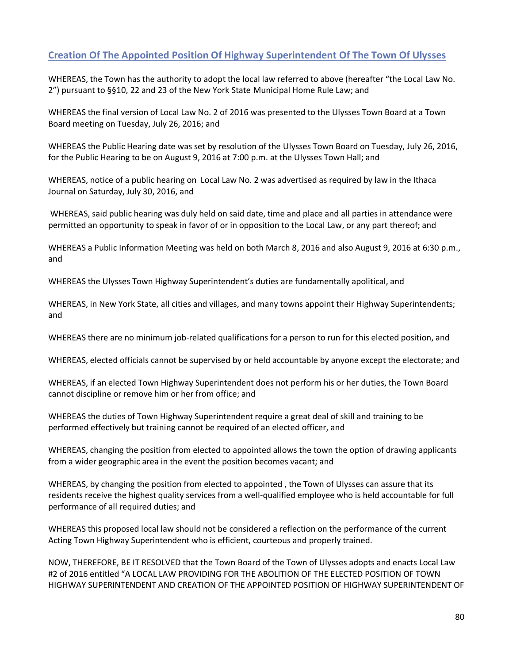# **Creation Of The Appointed Position Of Highway Superintendent Of The Town Of Ulysses**

WHEREAS, the Town has the authority to adopt the local law referred to above (hereafter "the Local Law No. 2") pursuant to §§10, 22 and 23 of the New York State Municipal Home Rule Law; and

WHEREAS the final version of Local Law No. 2 of 2016 was presented to the Ulysses Town Board at a Town Board meeting on Tuesday, July 26, 2016; and

WHEREAS the Public Hearing date was set by resolution of the Ulysses Town Board on Tuesday, July 26, 2016, for the Public Hearing to be on August 9, 2016 at 7:00 p.m. at the Ulysses Town Hall; and

WHEREAS, notice of a public hearing on Local Law No. 2 was advertised as required by law in the Ithaca Journal on Saturday, July 30, 2016, and

WHEREAS, said public hearing was duly held on said date, time and place and all parties in attendance were permitted an opportunity to speak in favor of or in opposition to the Local Law, or any part thereof; and

WHEREAS a Public Information Meeting was held on both March 8, 2016 and also August 9, 2016 at 6:30 p.m., and

WHEREAS the Ulysses Town Highway Superintendent's duties are fundamentally apolitical, and

WHEREAS, in New York State, all cities and villages, and many towns appoint their Highway Superintendents; and

WHEREAS there are no minimum job-related qualifications for a person to run for this elected position, and

WHEREAS, elected officials cannot be supervised by or held accountable by anyone except the electorate; and

WHEREAS, if an elected Town Highway Superintendent does not perform his or her duties, the Town Board cannot discipline or remove him or her from office; and

WHEREAS the duties of Town Highway Superintendent require a great deal of skill and training to be performed effectively but training cannot be required of an elected officer, and

WHEREAS, changing the position from elected to appointed allows the town the option of drawing applicants from a wider geographic area in the event the position becomes vacant; and

WHEREAS, by changing the position from elected to appointed , the Town of Ulysses can assure that its residents receive the highest quality services from a well-qualified employee who is held accountable for full performance of all required duties; and

WHEREAS this proposed local law should not be considered a reflection on the performance of the current Acting Town Highway Superintendent who is efficient, courteous and properly trained.

NOW, THEREFORE, BE IT RESOLVED that the Town Board of the Town of Ulysses adopts and enacts Local Law #2 of 2016 entitled "A LOCAL LAW PROVIDING FOR THE ABOLITION OF THE ELECTED POSITION OF TOWN HIGHWAY SUPERINTENDENT AND CREATION OF THE APPOINTED POSITION OF HIGHWAY SUPERINTENDENT OF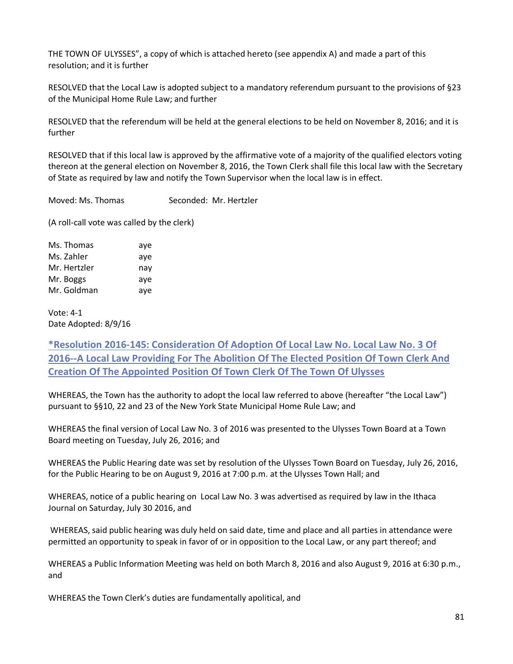THE TOWN OF ULYSSES", a copy of which is attached hereto (see appendix A) and made a part of this resolution; and it is further

RESOLVED that the Local Law is adopted subject to a mandatory referendum pursuant to the provisions of §23 of the Municipal Home Rule Law; and further

RESOLVED that the referendum will be held at the general elections to be held on November 8, 2016; and it is further

RESOLVED that if this local law is approved by the affirmative vote of a majority of the qualified electors voting thereon at the general election on November 8, 2016, the Town Clerk shall file this local law with the Secretary of State as required by law and notify the Town Supervisor when the local law is in effect.

Moved: Ms. Thomas Seconded: Mr. Hertzler

(A roll-call vote was called by the clerk)

| Ms. Thomas   | aye |
|--------------|-----|
| Ms. Zahler   | aye |
| Mr. Hertzler | nay |
| Mr. Boggs    | aye |
| Mr. Goldman  | aye |

Vote: 4-1 Date Adopted: 8/9/16

**\*Resolution 2016-145: Consideration Of Adoption Of Local Law No. Local Law No. 3 Of 2016--A Local Law Providing For The Abolition Of The Elected Position Of Town Clerk And Creation Of The Appointed Position Of Town Clerk Of The Town Of Ulysses**

WHEREAS, the Town has the authority to adopt the local law referred to above (hereafter "the Local Law") pursuant to §§10, 22 and 23 of the New York State Municipal Home Rule Law; and

WHEREAS the final version of Local Law No. 3 of 2016 was presented to the Ulysses Town Board at a Town Board meeting on Tuesday, July 26, 2016; and

WHEREAS the Public Hearing date was set by resolution of the Ulysses Town Board on Tuesday, July 26, 2016, for the Public Hearing to be on August 9, 2016 at 7:00 p.m. at the Ulysses Town Hall; and

WHEREAS, notice of a public hearing on Local Law No. 3 was advertised as required by law in the Ithaca Journal on Saturday, July 30 2016, and

WHEREAS, said public hearing was duly held on said date, time and place and all parties in attendance were permitted an opportunity to speak in favor of or in opposition to the Local Law, or any part thereof; and

WHEREAS a Public Information Meeting was held on both March 8, 2016 and also August 9, 2016 at 6:30 p.m., and

WHEREAS the Town Clerk's duties are fundamentally apolitical, and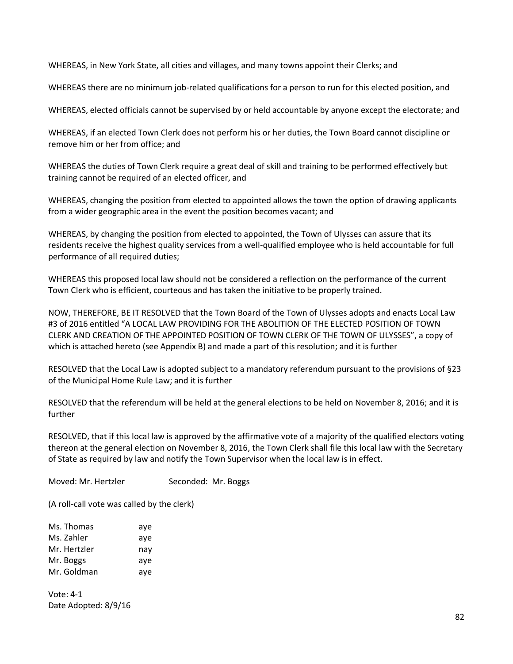WHEREAS, in New York State, all cities and villages, and many towns appoint their Clerks; and

WHEREAS there are no minimum job-related qualifications for a person to run for this elected position, and

WHEREAS, elected officials cannot be supervised by or held accountable by anyone except the electorate; and

WHEREAS, if an elected Town Clerk does not perform his or her duties, the Town Board cannot discipline or remove him or her from office; and

WHEREAS the duties of Town Clerk require a great deal of skill and training to be performed effectively but training cannot be required of an elected officer, and

WHEREAS, changing the position from elected to appointed allows the town the option of drawing applicants from a wider geographic area in the event the position becomes vacant; and

WHEREAS, by changing the position from elected to appointed, the Town of Ulysses can assure that its residents receive the highest quality services from a well-qualified employee who is held accountable for full performance of all required duties;

WHEREAS this proposed local law should not be considered a reflection on the performance of the current Town Clerk who is efficient, courteous and has taken the initiative to be properly trained.

NOW, THEREFORE, BE IT RESOLVED that the Town Board of the Town of Ulysses adopts and enacts Local Law #3 of 2016 entitled "A LOCAL LAW PROVIDING FOR THE ABOLITION OF THE ELECTED POSITION OF TOWN CLERK AND CREATION OF THE APPOINTED POSITION OF TOWN CLERK OF THE TOWN OF ULYSSES", a copy of which is attached hereto (see Appendix B) and made a part of this resolution; and it is further

RESOLVED that the Local Law is adopted subject to a mandatory referendum pursuant to the provisions of §23 of the Municipal Home Rule Law; and it is further

RESOLVED that the referendum will be held at the general elections to be held on November 8, 2016; and it is further

RESOLVED, that if this local law is approved by the affirmative vote of a majority of the qualified electors voting thereon at the general election on November 8, 2016, the Town Clerk shall file this local law with the Secretary of State as required by law and notify the Town Supervisor when the local law is in effect.

Moved: Mr. Hertzler Seconded: Mr. Boggs

(A roll-call vote was called by the clerk)

| Ms. Thomas   | aye |
|--------------|-----|
| Ms. Zahler   | aye |
| Mr. Hertzler | nay |
| Mr. Boggs    | aye |
| Mr. Goldman  | aye |

Vote: 4-1 Date Adopted: 8/9/16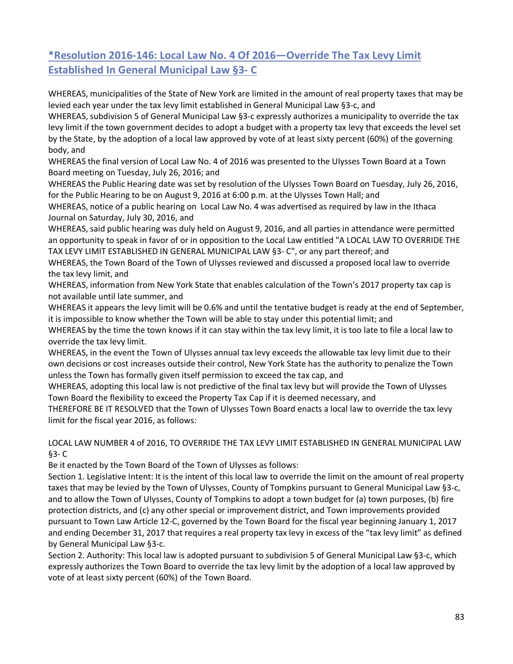# **\*Resolution 2016-146: Local Law No. 4 Of 2016—Override The Tax Levy Limit Established In General Municipal Law §3- C**

WHEREAS, municipalities of the State of New York are limited in the amount of real property taxes that may be levied each year under the tax levy limit established in General Municipal Law §3-c, and

WHEREAS, subdivision 5 of General Municipal Law §3-c expressly authorizes a municipality to override the tax levy limit if the town government decides to adopt a budget with a property tax levy that exceeds the level set by the State, by the adoption of a local law approved by vote of at least sixty percent (60%) of the governing body, and

WHEREAS the final version of Local Law No. 4 of 2016 was presented to the Ulysses Town Board at a Town Board meeting on Tuesday, July 26, 2016; and

WHEREAS the Public Hearing date was set by resolution of the Ulysses Town Board on Tuesday, July 26, 2016, for the Public Hearing to be on August 9, 2016 at 6:00 p.m. at the Ulysses Town Hall; and

WHEREAS, notice of a public hearing on Local Law No. 4 was advertised as required by law in the Ithaca Journal on Saturday, July 30, 2016, and

WHEREAS, said public hearing was duly held on August 9, 2016, and all parties in attendance were permitted an opportunity to speak in favor of or in opposition to the Local Law entitled "A LOCAL LAW TO OVERRIDE THE TAX LEVY LIMIT ESTABLISHED IN GENERAL MUNICIPAL LAW §3- C", or any part thereof; and

WHEREAS, the Town Board of the Town of Ulysses reviewed and discussed a proposed local law to override the tax levy limit, and

WHEREAS, information from New York State that enables calculation of the Town's 2017 property tax cap is not available until late summer, and

WHEREAS it appears the levy limit will be 0.6% and until the tentative budget is ready at the end of September, it is impossible to know whether the Town will be able to stay under this potential limit; and

WHEREAS by the time the town knows if it can stay within the tax levy limit, it is too late to file a local law to override the tax levy limit.

WHEREAS, in the event the Town of Ulysses annual tax levy exceeds the allowable tax levy limit due to their own decisions or cost increases outside their control, New York State has the authority to penalize the Town unless the Town has formally given itself permission to exceed the tax cap, and

WHEREAS, adopting this local law is not predictive of the final tax levy but will provide the Town of Ulysses Town Board the flexibility to exceed the Property Tax Cap if it is deemed necessary, and

THEREFORE BE IT RESOLVED that the Town of Ulysses Town Board enacts a local law to override the tax levy limit for the fiscal year 2016, as follows:

# LOCAL LAW NUMBER 4 of 2016, TO OVERRIDE THE TAX LEVY LIMIT ESTABLISHED IN GENERAL MUNICIPAL LAW §3- C

Be it enacted by the Town Board of the Town of Ulysses as follows:

Section 1. Legislative Intent: It is the intent of this local law to override the limit on the amount of real property taxes that may be levied by the Town of Ulysses, County of Tompkins pursuant to General Municipal Law §3-c, and to allow the Town of Ulysses, County of Tompkins to adopt a town budget for (a) town purposes, (b) fire protection districts, and (c) any other special or improvement district, and Town improvements provided pursuant to Town Law Article 12-C, governed by the Town Board for the fiscal year beginning January 1, 2017 and ending December 31, 2017 that requires a real property tax levy in excess of the "tax levy limit" as defined by General Municipal Law §3-c.

Section 2. Authority: This local law is adopted pursuant to subdivision 5 of General Municipal Law §3-c, which expressly authorizes the Town Board to override the tax levy limit by the adoption of a local law approved by vote of at least sixty percent (60%) of the Town Board.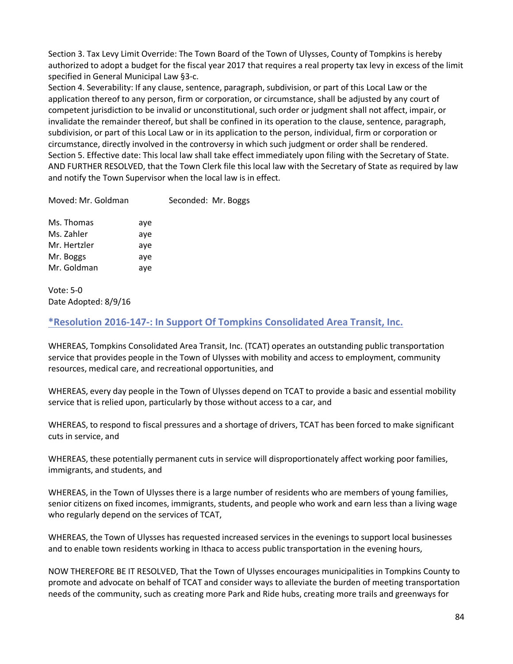Section 3. Tax Levy Limit Override: The Town Board of the Town of Ulysses, County of Tompkins is hereby authorized to adopt a budget for the fiscal year 2017 that requires a real property tax levy in excess of the limit specified in General Municipal Law §3-c.

Section 4. Severability: If any clause, sentence, paragraph, subdivision, or part of this Local Law or the application thereof to any person, firm or corporation, or circumstance, shall be adjusted by any court of competent jurisdiction to be invalid or unconstitutional, such order or judgment shall not affect, impair, or invalidate the remainder thereof, but shall be confined in its operation to the clause, sentence, paragraph, subdivision, or part of this Local Law or in its application to the person, individual, firm or corporation or circumstance, directly involved in the controversy in which such judgment or order shall be rendered. Section 5. Effective date: This local law shall take effect immediately upon filing with the Secretary of State. AND FURTHER RESOLVED, that the Town Clerk file this local law with the Secretary of State as required by law and notify the Town Supervisor when the local law is in effect.

Moved: Mr. Goldman Seconded: Mr. Boggs

| Ms. Thomas   | aye |
|--------------|-----|
| Ms. Zahler   | aye |
| Mr. Hertzler | aye |
| Mr. Boggs    | aye |
| Mr. Goldman  | aye |
|              |     |

Vote: 5-0 Date Adopted: 8/9/16

# **\*Resolution 2016-147-: In Support Of Tompkins Consolidated Area Transit, Inc.**

WHEREAS, Tompkins Consolidated Area Transit, Inc. (TCAT) operates an outstanding public transportation service that provides people in the Town of Ulysses with mobility and access to employment, community resources, medical care, and recreational opportunities, and

WHEREAS, every day people in the Town of Ulysses depend on TCAT to provide a basic and essential mobility service that is relied upon, particularly by those without access to a car, and

WHEREAS, to respond to fiscal pressures and a shortage of drivers, TCAT has been forced to make significant cuts in service, and

WHEREAS, these potentially permanent cuts in service will disproportionately affect working poor families, immigrants, and students, and

WHEREAS, in the Town of Ulysses there is a large number of residents who are members of young families, senior citizens on fixed incomes, immigrants, students, and people who work and earn less than a living wage who regularly depend on the services of TCAT,

WHEREAS, the Town of Ulysses has requested increased services in the evenings to support local businesses and to enable town residents working in Ithaca to access public transportation in the evening hours,

NOW THEREFORE BE IT RESOLVED, That the Town of Ulysses encourages municipalities in Tompkins County to promote and advocate on behalf of TCAT and consider ways to alleviate the burden of meeting transportation needs of the community, such as creating more Park and Ride hubs, creating more trails and greenways for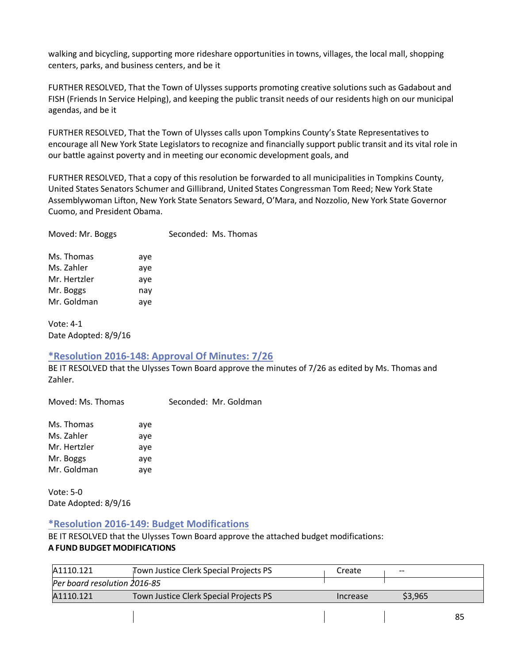walking and bicycling, supporting more rideshare opportunities in towns, villages, the local mall, shopping centers, parks, and business centers, and be it

FURTHER RESOLVED, That the Town of Ulysses supports promoting creative solutions such as Gadabout and FISH (Friends In Service Helping), and keeping the public transit needs of our residents high on our municipal agendas, and be it

FURTHER RESOLVED, That the Town of Ulysses calls upon Tompkins County's State Representatives to encourage all New York State Legislators to recognize and financially support public transit and its vital role in our battle against poverty and in meeting our economic development goals, and

FURTHER RESOLVED, That a copy of this resolution be forwarded to all municipalities in Tompkins County, United States Senators Schumer and Gillibrand, United States Congressman Tom Reed; New York State Assemblywoman Lifton, New York State Senators Seward, O'Mara, and Nozzolio, New York State Governor Cuomo, and President Obama.

| Moved: Mr. Boggs | Seconded: Ms. Thomas |
|------------------|----------------------|
|                  |                      |

| Ms. Thomas   | aye |
|--------------|-----|
| Ms. Zahler   | aye |
| Mr. Hertzler | aye |
| Mr. Boggs    | nay |
| Mr. Goldman  | aye |

Vote: 4-1 Date Adopted: 8/9/16

# **\*Resolution 2016-148: Approval Of Minutes: 7/26**

BE IT RESOLVED that the Ulysses Town Board approve the minutes of 7/26 as edited by Ms. Thomas and Zahler.

| Moved: Ms. Thomas |     | Seconded: Mr. Goldman |
|-------------------|-----|-----------------------|
| Ms. Thomas        | ave |                       |

Ms. Zahler aye Mr. Hertzler aye Mr. Boggs aye Mr. Goldman aye

Vote: 5-0 Date Adopted: 8/9/16

# **\*Resolution 2016-149: Budget Modifications**

BE IT RESOLVED that the Ulysses Town Board approve the attached budget modifications: **A FUND BUDGET MODIFICATIONS**

| A1110.121                    | Town Justice Clerk Special Projects PS | Create   | $- -$   |    |
|------------------------------|----------------------------------------|----------|---------|----|
| Per board resolution 2016-85 |                                        |          |         |    |
| A1110.121                    | Town Justice Clerk Special Projects PS | Increase | \$3,965 |    |
|                              |                                        |          |         | 85 |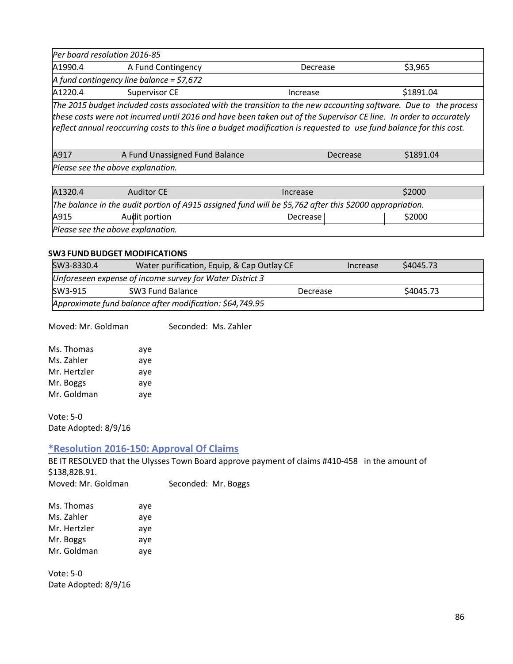|                                                                                                                    | Per board resolution 2016-85               |          |           |
|--------------------------------------------------------------------------------------------------------------------|--------------------------------------------|----------|-----------|
| A1990.4                                                                                                            | A Fund Contingency                         | Decrease | \$3,965   |
|                                                                                                                    | A fund contingency line balance = $$7,672$ |          |           |
| A1220.4                                                                                                            | Supervisor CE                              | Increase | \$1891.04 |
| The 2015 budget included costs associated with the transition to the new accounting software. Due to the process   |                                            |          |           |
| these costs were not incurred until 2016 and have been taken out of the Supervisor CE line. In order to accurately |                                            |          |           |

*reflect annual reoccurring costs to this line a budget modification is requested to use fund balance for this cost.*

| A917                              | A Fund Unassigned Fund Balance | Decrease | \$1891.04 |  |
|-----------------------------------|--------------------------------|----------|-----------|--|
| Please see the above explanation. |                                |          |           |  |

|  | predse see the above explaination. |  |
|--|------------------------------------|--|
|  |                                    |  |
|  |                                    |  |

| A1320.4                                                                                                 | Auditor CE    | Increase | \$2000 |
|---------------------------------------------------------------------------------------------------------|---------------|----------|--------|
| The balance in the audit portion of A915 assigned fund will be \$5,762 after this \$2000 appropriation. |               |          |        |
| A915                                                                                                    | Audit portion | Decrease | \$2000 |
| Please see the above explanation.                                                                       |               |          |        |

#### **SW3 FUND BUDGET MODIFICATIONS**

| Water purification, Equip, & Cap Outlay CE<br>SW3-8330.4 |                                                          | Increase | \$4045.73 |  |
|----------------------------------------------------------|----------------------------------------------------------|----------|-----------|--|
|                                                          | Unforeseen expense of income survey for Water District 3 |          |           |  |
| \$4045.73<br>SW3 Fund Balance<br>SW3-915<br>Decrease     |                                                          |          |           |  |
| Approximate fund balance after modification: \$64,749.95 |                                                          |          |           |  |

Moved: Mr. Goldman Seconded: Ms. Zahler

| Ms. Thomas   | aye |
|--------------|-----|
| Ms. Zahler   | aye |
| Mr. Hertzler | aye |
| Mr. Boggs    | aye |
| Mr. Goldman  | aye |
|              |     |

Vote: 5-0 Date Adopted: 8/9/16

# **\*Resolution 2016-150: Approval Of Claims**

BE IT RESOLVED that the Ulysses Town Board approve payment of claims #410-458 in the amount of \$138,828.91.

Moved: Mr. Goldman Seconded: Mr. Boggs

| aye |
|-----|
| aye |
| aye |
| aye |
| aye |
|     |

Vote: 5-0 Date Adopted: 8/9/16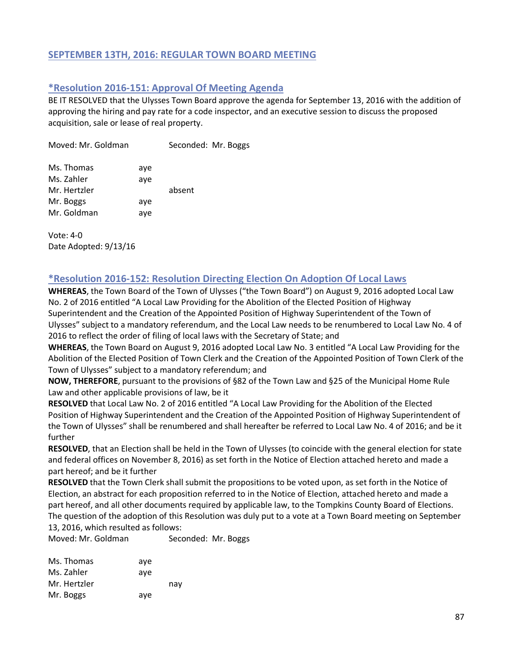# **SEPTEMBER 13TH, 2016: REGULAR TOWN BOARD MEETING**

# **\*Resolution 2016-151: Approval Of Meeting Agenda**

BE IT RESOLVED that the Ulysses Town Board approve the agenda for September 13, 2016 with the addition of approving the hiring and pay rate for a code inspector, and an executive session to discuss the proposed acquisition, sale or lease of real property.

| Moved: Mr. Goldman |     | Seconded: Mr. Boggs |  |
|--------------------|-----|---------------------|--|
| Ms. Thomas         | aye |                     |  |
| Ms. Zahler         | aye |                     |  |
| Mr. Hertzler       |     | absent              |  |
| Mr. Boggs          | aye |                     |  |
| Mr. Goldman        | aye |                     |  |

Vote: 4-0 Date Adopted: 9/13/16

# **\*Resolution 2016-152: Resolution Directing Election On Adoption Of Local Laws**

**WHEREAS**, the Town Board of the Town of Ulysses ("the Town Board") on August 9, 2016 adopted Local Law No. 2 of 2016 entitled "A Local Law Providing for the Abolition of the Elected Position of Highway Superintendent and the Creation of the Appointed Position of Highway Superintendent of the Town of Ulysses" subject to a mandatory referendum, and the Local Law needs to be renumbered to Local Law No. 4 of 2016 to reflect the order of filing of local laws with the Secretary of State; and

**WHEREAS**, the Town Board on August 9, 2016 adopted Local Law No. 3 entitled "A Local Law Providing for the Abolition of the Elected Position of Town Clerk and the Creation of the Appointed Position of Town Clerk of the Town of Ulysses" subject to a mandatory referendum; and

**NOW, THEREFORE**, pursuant to the provisions of §82 of the Town Law and §25 of the Municipal Home Rule Law and other applicable provisions of law, be it

**RESOLVED** that Local Law No. 2 of 2016 entitled "A Local Law Providing for the Abolition of the Elected Position of Highway Superintendent and the Creation of the Appointed Position of Highway Superintendent of the Town of Ulysses" shall be renumbered and shall hereafter be referred to Local Law No. 4 of 2016; and be it further

**RESOLVED**, that an Election shall be held in the Town of Ulysses (to coincide with the general election for state and federal offices on November 8, 2016) as set forth in the Notice of Election attached hereto and made a part hereof; and be it further

**RESOLVED** that the Town Clerk shall submit the propositions to be voted upon, as set forth in the Notice of Election, an abstract for each proposition referred to in the Notice of Election, attached hereto and made a part hereof, and all other documents required by applicable law, to the Tompkins County Board of Elections. The question of the adoption of this Resolution was duly put to a vote at a Town Board meeting on September 13, 2016, which resulted as follows:

Moved: Mr. Goldman Seconded: Mr. Boggs

| Ms. Thomas   | ave |     |
|--------------|-----|-----|
| Ms. Zahler   | ave |     |
| Mr. Hertzler |     | nav |
| Mr. Boggs    | aye |     |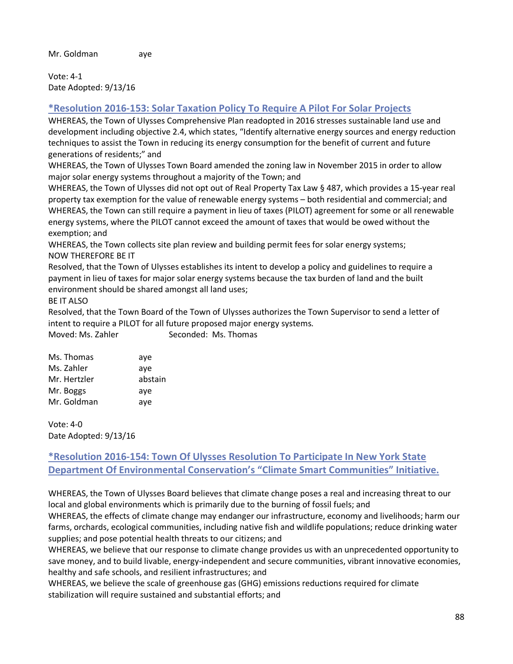Vote: 4-1 Date Adopted: 9/13/16

# **\*Resolution 2016-153: Solar Taxation Policy To Require A Pilot For Solar Projects**

WHEREAS, the Town of Ulysses Comprehensive Plan readopted in 2016 stresses sustainable land use and development including objective 2.4, which states, "Identify alternative energy sources and energy reduction techniques to assist the Town in reducing its energy consumption for the benefit of current and future generations of residents;" and

WHEREAS, the Town of Ulysses Town Board amended the zoning law in November 2015 in order to allow major solar energy systems throughout a majority of the Town; and

WHEREAS, the Town of Ulysses did not opt out of Real Property Tax Law § 487, which provides a 15-year real property tax exemption for the value of renewable energy systems – both residential and commercial; and WHEREAS, the Town can still require a payment in lieu of taxes (PILOT) agreement for some or all renewable energy systems, where the PILOT cannot exceed the amount of taxes that would be owed without the exemption; and

WHEREAS, the Town collects site plan review and building permit fees for solar energy systems; NOW THEREFORE BE IT

Resolved, that the Town of Ulysses establishes its intent to develop a policy and guidelines to require a payment in lieu of taxes for major solar energy systems because the tax burden of land and the built environment should be shared amongst all land uses;

BE IT ALSO

Resolved, that the Town Board of the Town of Ulysses authorizes the Town Supervisor to send a letter of intent to require a PILOT for all future proposed major energy systems.

| Moved: Ms. Zahler | Seconded: Ms. Thomas |
|-------------------|----------------------|
|                   |                      |

| Ms. Thomas   | aye     |
|--------------|---------|
| Ms. Zahler   | aye     |
| Mr. Hertzler | abstain |
| Mr. Boggs    | aye     |
| Mr. Goldman  | aye     |

Vote: 4-0 Date Adopted: 9/13/16

# **\*Resolution 2016-154: Town Of Ulysses Resolution To Participate In New York State Department Of Environmental Conservation's "Climate Smart Communities" Initiative.**

WHEREAS, the Town of Ulysses Board believes that climate change poses a real and increasing threat to our local and global environments which is primarily due to the burning of fossil fuels; and

WHEREAS, the effects of climate change may endanger our infrastructure, economy and livelihoods; harm our farms, orchards, ecological communities, including native fish and wildlife populations; reduce drinking water supplies; and pose potential health threats to our citizens; and

WHEREAS, we believe that our response to climate change provides us with an unprecedented opportunity to save money, and to build livable, energy-independent and secure communities, vibrant innovative economies, healthy and safe schools, and resilient infrastructures; and

WHEREAS, we believe the scale of greenhouse gas (GHG) emissions reductions required for climate stabilization will require sustained and substantial efforts; and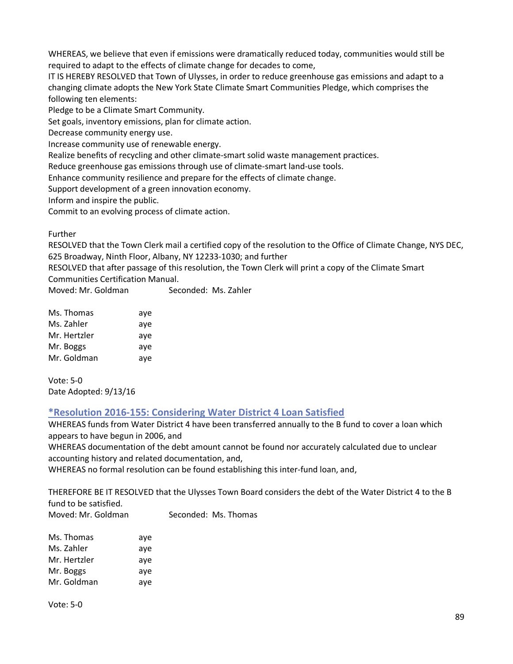WHEREAS, we believe that even if emissions were dramatically reduced today, communities would still be required to adapt to the effects of climate change for decades to come,

IT IS HEREBY RESOLVED that Town of Ulysses, in order to reduce greenhouse gas emissions and adapt to a changing climate adopts the New York State Climate Smart Communities Pledge, which comprises the following ten elements:

Pledge to be a Climate Smart Community.

Set goals, inventory emissions, plan for climate action.

Decrease community energy use.

Increase community use of renewable energy.

Realize benefits of recycling and other climate-smart solid waste management practices.

Reduce greenhouse gas emissions through use of climate-smart land-use tools.

Enhance community resilience and prepare for the effects of climate change.

Support development of a green innovation economy.

Inform and inspire the public.

Commit to an evolving process of climate action.

Further

RESOLVED that the Town Clerk mail a certified copy of the resolution to the Office of Climate Change, NYS DEC, 625 Broadway, Ninth Floor, Albany, NY 12233-1030; and further

RESOLVED that after passage of this resolution, the Town Clerk will print a copy of the Climate Smart Communities Certification Manual.

Moved: Mr. Goldman Seconded: Ms. Zahler

| Ms. Thomas   | aye |
|--------------|-----|
| Ms. Zahler   | aye |
| Mr. Hertzler | aye |
| Mr. Boggs    | aye |
| Mr. Goldman  | aye |

Vote: 5-0 Date Adopted: 9/13/16

# **\*Resolution 2016-155: Considering Water District 4 Loan Satisfied**

WHEREAS funds from Water District 4 have been transferred annually to the B fund to cover a loan which appears to have begun in 2006, and

WHEREAS documentation of the debt amount cannot be found nor accurately calculated due to unclear accounting history and related documentation, and,

WHEREAS no formal resolution can be found establishing this inter-fund loan, and,

THEREFORE BE IT RESOLVED that the Ulysses Town Board considers the debt of the Water District 4 to the B fund to be satisfied.

Moved: Mr. Goldman Seconded: Ms. Thomas

| Ms. Thomas   | aye |
|--------------|-----|
| Ms. Zahler   | aye |
| Mr. Hertzler | aye |
| Mr. Boggs    | ave |
| Mr. Goldman  | aye |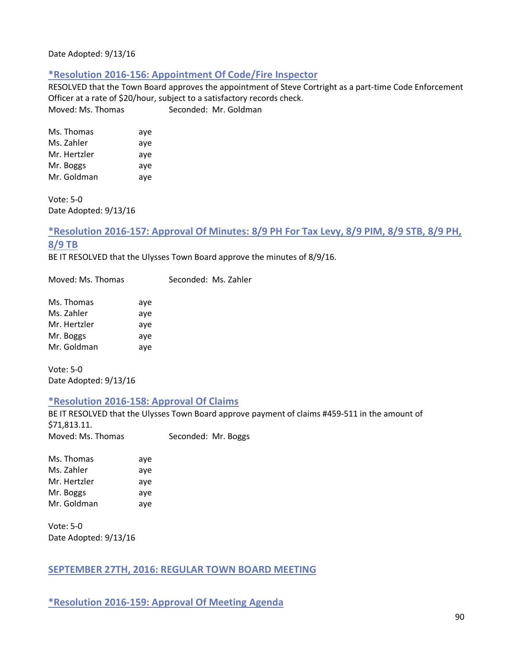Date Adopted: 9/13/16

# **\*Resolution 2016-156: Appointment Of Code/Fire Inspector**

RESOLVED that the Town Board approves the appointment of Steve Cortright as a part-time Code Enforcement Officer at a rate of \$20/hour, subject to a satisfactory records check. Moved: Ms. Thomas Seconded: Mr. Goldman

| Ms. Thomas   | aye |
|--------------|-----|
| Ms. Zahler   | aye |
| Mr. Hertzler | aye |
| Mr. Boggs    | aye |
| Mr. Goldman  | aye |

Vote: 5-0 Date Adopted: 9/13/16

# **\*Resolution 2016-157: Approval Of Minutes: 8/9 PH For Tax Levy, 8/9 PIM, 8/9 STB, 8/9 PH, 8/9 TB**

BE IT RESOLVED that the Ulysses Town Board approve the minutes of 8/9/16.

Moved: Ms. Thomas Seconded: Ms. Zahler

| Ms. Thomas   | aye |
|--------------|-----|
| Ms. Zahler   | aye |
| Mr. Hertzler | aye |
| Mr. Boggs    | aye |
| Mr. Goldman  | aye |

Vote: 5-0 Date Adopted: 9/13/16

#### **\*Resolution 2016-158: Approval Of Claims**

BE IT RESOLVED that the Ulysses Town Board approve payment of claims #459-511 in the amount of \$71,813.11. Moved: Ms. Thomas Seconded: Mr. Boggs

Ms. Thomas aye Ms. Zahler aye Mr. Hertzler aye Mr. Boggs aye Mr. Goldman aye

Vote: 5-0 Date Adopted: 9/13/16

# **SEPTEMBER 27TH, 2016: REGULAR TOWN BOARD MEETING**

**\*Resolution 2016-159: Approval Of Meeting Agenda**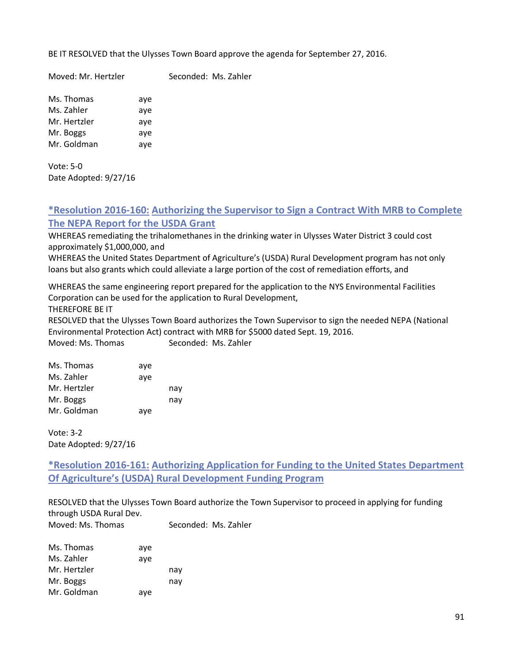BE IT RESOLVED that the Ulysses Town Board approve the agenda for September 27, 2016.

Moved: Mr. Hertzler Seconded: Ms. Zahler

Ms. Thomas aye Ms. Zahler aye Mr. Hertzler aye Mr. Boggs aye Mr. Goldman aye

Vote: 5-0 Date Adopted: 9/27/16

# **\*Resolution 2016-160: Authorizing the Supervisor to Sign a Contract With MRB to Complete The NEPA Report for the USDA Grant**

WHEREAS remediating the trihalomethanes in the drinking water in Ulysses Water District 3 could cost approximately \$1,000,000, and

WHEREAS the United States Department of Agriculture's (USDA) Rural Development program has not only loans but also grants which could alleviate a large portion of the cost of remediation efforts, and

WHEREAS the same engineering report prepared for the application to the NYS Environmental Facilities Corporation can be used for the application to Rural Development,

THEREFORE BE IT

RESOLVED that the Ulysses Town Board authorizes the Town Supervisor to sign the needed NEPA (National Environmental Protection Act) contract with MRB for \$5000 dated Sept. 19, 2016. Moved: Ms. Thomas Seconded: Ms. Zahler

| Ms. Thomas   | ave |     |
|--------------|-----|-----|
| Ms. Zahler   | aye |     |
| Mr. Hertzler |     | nay |
| Mr. Boggs    |     | nav |
| Mr. Goldman  | aye |     |

Vote: 3-2 Date Adopted: 9/27/16

**\*Resolution 2016-161: Authorizing Application for Funding to the United States Department Of Agriculture's (USDA) Rural Development Funding Program** 

RESOLVED that the Ulysses Town Board authorize the Town Supervisor to proceed in applying for funding through USDA Rural Dev. Moved: Ms. Thomas Seconded: Ms. Zahler

| Ms. Thomas   | aye |     |
|--------------|-----|-----|
| Ms. Zahler   | aye |     |
| Mr. Hertzler |     | nay |
| Mr. Boggs    |     | nay |
| Mr. Goldman  | aye |     |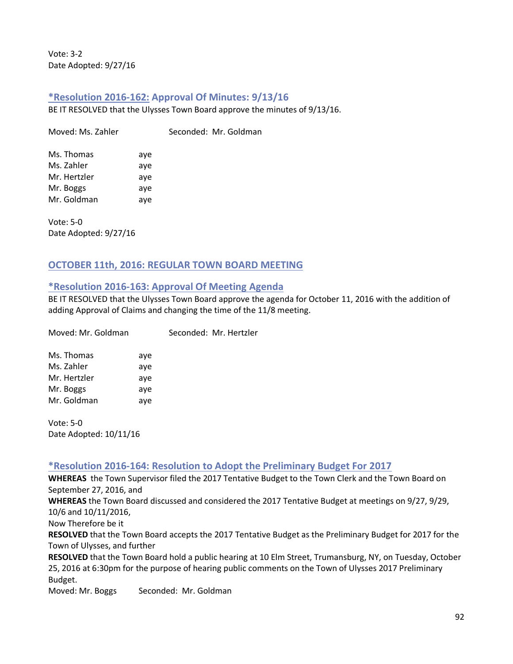Vote: 3-2 Date Adopted: 9/27/16

# **\*Resolution 2016-162: Approval Of Minutes: 9/13/16**

BE IT RESOLVED that the Ulysses Town Board approve the minutes of 9/13/16.

Moved: Ms. Zahler Seconded: Mr. Goldman

| Ms. Thomas   | aye |
|--------------|-----|
| Ms. Zahler   | aye |
| Mr. Hertzler | aye |
| Mr. Boggs    | aye |
| Mr. Goldman  | aye |

Vote: 5-0 Date Adopted: 9/27/16

# **OCTOBER 11th, 2016: REGULAR TOWN BOARD MEETING**

# **\*Resolution 2016-163: Approval Of Meeting Agenda**

BE IT RESOLVED that the Ulysses Town Board approve the agenda for October 11, 2016 with the addition of adding Approval of Claims and changing the time of the 11/8 meeting.

| Moved: Mr. Goldman |     | Seconded: Mr. Hertzler |
|--------------------|-----|------------------------|
| Ms. Thomas         | aye |                        |
| Ms. Zahler         | aye |                        |
| Mr. Hertzler       | aye |                        |
| Mr. Boggs          | aye |                        |
| Mr. Goldman        | aye |                        |
|                    |     |                        |

Vote: 5-0 Date Adopted: 10/11/16

# **\*Resolution 2016-164: Resolution to Adopt the Preliminary Budget For 2017**

**WHEREAS** the Town Supervisor filed the 2017 Tentative Budget to the Town Clerk and the Town Board on September 27, 2016, and

**WHEREAS** the Town Board discussed and considered the 2017 Tentative Budget at meetings on 9/27, 9/29, 10/6 and 10/11/2016,

Now Therefore be it

**RESOLVED** that the Town Board accepts the 2017 Tentative Budget as the Preliminary Budget for 2017 for the Town of Ulysses, and further

**RESOLVED** that the Town Board hold a public hearing at 10 Elm Street, Trumansburg, NY, on Tuesday, October 25, 2016 at 6:30pm for the purpose of hearing public comments on the Town of Ulysses 2017 Preliminary Budget.

Moved: Mr. Boggs Seconded: Mr. Goldman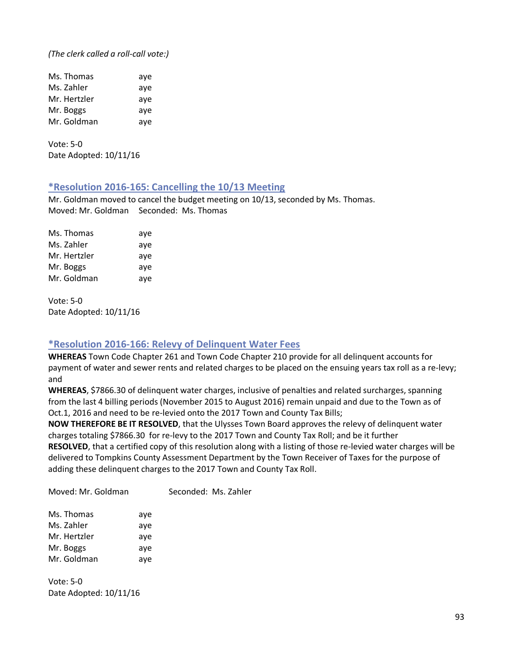*(The clerk called a roll-call vote:)*

| Ms. Thomas   | aye |
|--------------|-----|
| Ms. Zahler   | aye |
| Mr. Hertzler | aye |
| Mr. Boggs    | aye |
| Mr. Goldman  | aye |

Vote: 5-0 Date Adopted: 10/11/16

#### **\*Resolution 2016-165: Cancelling the 10/13 Meeting**

Mr. Goldman moved to cancel the budget meeting on 10/13, seconded by Ms. Thomas. Moved: Mr. Goldman Seconded: Ms. Thomas

| Ms. Thomas   | aye |
|--------------|-----|
| Ms. Zahler   | aye |
| Mr. Hertzler | aye |
| Mr. Boggs    | aye |
| Mr. Goldman  | aye |

Vote: 5-0 Date Adopted: 10/11/16

# **\*Resolution 2016-166: Relevy of Delinquent Water Fees**

**WHEREAS** Town Code Chapter 261 and Town Code Chapter 210 provide for all delinquent accounts for payment of water and sewer rents and related charges to be placed on the ensuing years tax roll as a re-levy; and

**WHEREAS**, \$7866.30 of delinquent water charges, inclusive of penalties and related surcharges, spanning from the last 4 billing periods (November 2015 to August 2016) remain unpaid and due to the Town as of Oct.1, 2016 and need to be re-levied onto the 2017 Town and County Tax Bills;

**NOW THEREFORE BE IT RESOLVED**, that the Ulysses Town Board approves the relevy of delinquent water charges totaling \$7866.30 for re-levy to the 2017 Town and County Tax Roll; and be it further **RESOLVED**, that a certified copy of this resolution along with a listing of those re-levied water charges will be delivered to Tompkins County Assessment Department by the Town Receiver of Taxes for the purpose of adding these delinquent charges to the 2017 Town and County Tax Roll.

Moved: Mr. Goldman Seconded: Ms. Zahler

| Ms. Thomas   | aye |
|--------------|-----|
| Ms. Zahler   | aye |
| Mr. Hertzler | aye |
| Mr. Boggs    | aye |
| Mr. Goldman  | aye |

Vote: 5-0 Date Adopted: 10/11/16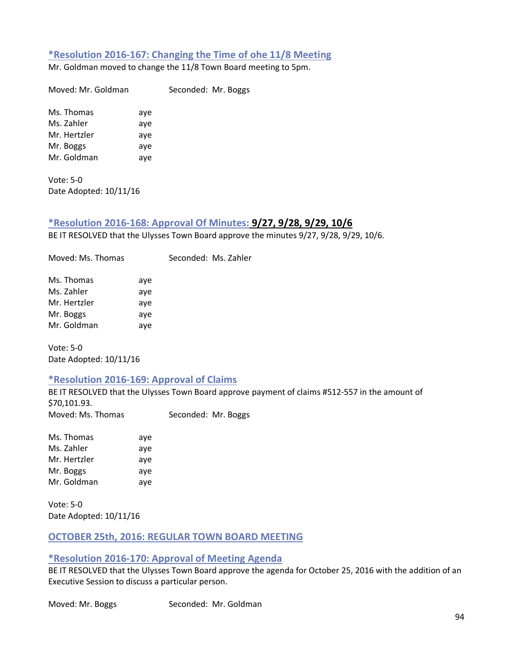### **\*Resolution 2016-167: Changing the Time of ohe 11/8 Meeting**

Mr. Goldman moved to change the 11/8 Town Board meeting to 5pm.

Moved: Mr. Goldman Seconded: Mr. Boggs

Ms. Thomas aye Ms. Zahler aye Mr. Hertzler aye Mr. Boggs aye Mr. Goldman aye

Vote: 5-0 Date Adopted: 10/11/16

#### **\*Resolution 2016-168: Approval Of Minutes: 9/27, 9/28, 9/29, 10/6**

BE IT RESOLVED that the Ulysses Town Board approve the minutes 9/27, 9/28, 9/29, 10/6.

Moved: Ms. Thomas Seconded: Ms. Zahler

| Ms. Thomas   | aye |
|--------------|-----|
| Ms. Zahler   | aye |
| Mr. Hertzler | aye |
| Mr. Boggs    | aye |
| Mr. Goldman  | aye |

Vote: 5-0 Date Adopted: 10/11/16

#### **\*Resolution 2016-169: Approval of Claims**

BE IT RESOLVED that the Ulysses Town Board approve payment of claims #512-557 in the amount of \$70,101.93. Moved: Ms. Thomas Seconded: Mr. Boggs

Ms. Thomas aye Ms. Zahler aye Mr. Hertzler aye Mr. Boggs aye Mr. Goldman aye

Vote: 5-0 Date Adopted: 10/11/16

# **OCTOBER 25th, 2016: REGULAR TOWN BOARD MEETING**

#### **\*Resolution 2016-170: Approval of Meeting Agenda**

BE IT RESOLVED that the Ulysses Town Board approve the agenda for October 25, 2016 with the addition of an Executive Session to discuss a particular person.

Moved: Mr. Boggs Seconded: Mr. Goldman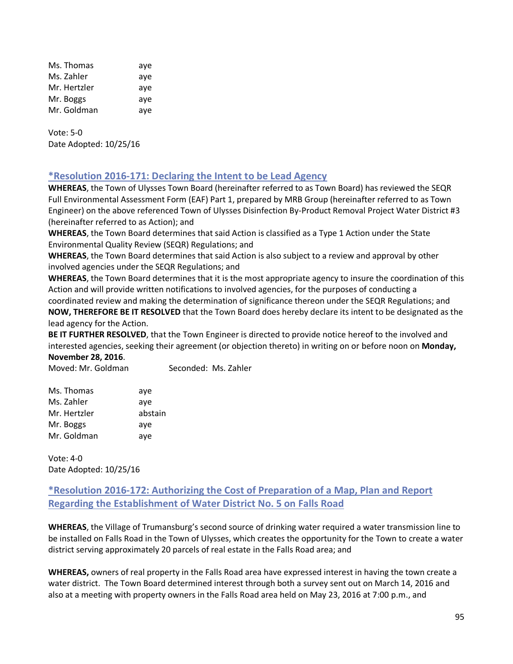| Ms. Thomas   | aye |
|--------------|-----|
| Ms. Zahler   | aye |
| Mr. Hertzler | aye |
| Mr. Boggs    | aye |
| Mr. Goldman  | aye |

Vote: 5-0 Date Adopted: 10/25/16

# **\*Resolution 2016-171: Declaring the Intent to be Lead Agency**

**WHEREAS**, the Town of Ulysses Town Board (hereinafter referred to as Town Board) has reviewed the SEQR Full Environmental Assessment Form (EAF) Part 1, prepared by MRB Group (hereinafter referred to as Town Engineer) on the above referenced Town of Ulysses Disinfection By-Product Removal Project Water District #3 (hereinafter referred to as Action); and

**WHEREAS**, the Town Board determines that said Action is classified as a Type 1 Action under the State Environmental Quality Review (SEQR) Regulations; and

**WHEREAS**, the Town Board determines that said Action is also subject to a review and approval by other involved agencies under the SEQR Regulations; and

**WHEREAS**, the Town Board determines that it is the most appropriate agency to insure the coordination of this Action and will provide written notifications to involved agencies, for the purposes of conducting a

coordinated review and making the determination of significance thereon under the SEQR Regulations; and **NOW, THEREFORE BE IT RESOLVED** that the Town Board does hereby declare its intent to be designated as the lead agency for the Action.

**BE IT FURTHER RESOLVED**, that the Town Engineer is directed to provide notice hereof to the involved and interested agencies, seeking their agreement (or objection thereto) in writing on or before noon on **Monday,** 

**November 28, 2016**. Moved: Mr. Goldman Seconded: Ms. Zahler

| Ms. Thomas   | aye     |
|--------------|---------|
| Ms. Zahler   | aye     |
| Mr. Hertzler | abstain |
| Mr. Boggs    | aye     |
| Mr. Goldman  | aye     |

Vote: 4-0 Date Adopted: 10/25/16

# **\*Resolution 2016-172: Authorizing the Cost of Preparation of a Map, Plan and Report Regarding the Establishment of Water District No. 5 on Falls Road**

**WHEREAS**, the Village of Trumansburg's second source of drinking water required a water transmission line to be installed on Falls Road in the Town of Ulysses, which creates the opportunity for the Town to create a water district serving approximately 20 parcels of real estate in the Falls Road area; and

**WHEREAS,** owners of real property in the Falls Road area have expressed interest in having the town create a water district. The Town Board determined interest through both a survey sent out on March 14, 2016 and also at a meeting with property owners in the Falls Road area held on May 23, 2016 at 7:00 p.m., and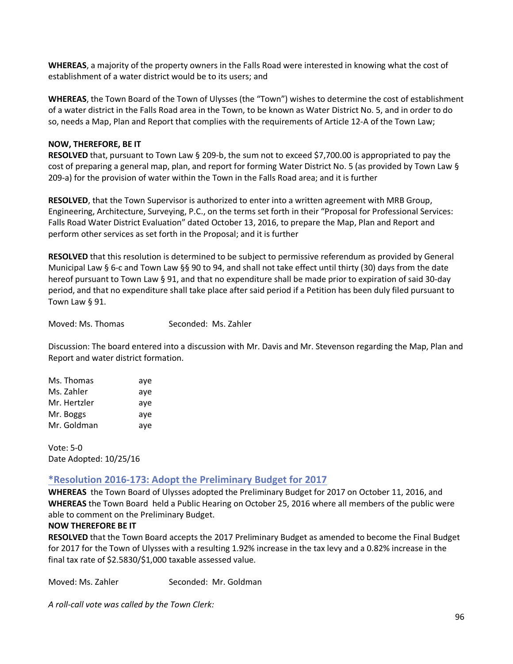**WHEREAS**, a majority of the property owners in the Falls Road were interested in knowing what the cost of establishment of a water district would be to its users; and

**WHEREAS**, the Town Board of the Town of Ulysses (the "Town") wishes to determine the cost of establishment of a water district in the Falls Road area in the Town, to be known as Water District No. 5, and in order to do so, needs a Map, Plan and Report that complies with the requirements of Article 12-A of the Town Law;

#### **NOW, THEREFORE, BE IT**

**RESOLVED** that, pursuant to Town Law § 209-b, the sum not to exceed \$7,700.00 is appropriated to pay the cost of preparing a general map, plan, and report for forming Water District No. 5 (as provided by Town Law § 209-a) for the provision of water within the Town in the Falls Road area; and it is further

**RESOLVED**, that the Town Supervisor is authorized to enter into a written agreement with MRB Group, Engineering, Architecture, Surveying, P.C., on the terms set forth in their "Proposal for Professional Services: Falls Road Water District Evaluation" dated October 13, 2016, to prepare the Map, Plan and Report and perform other services as set forth in the Proposal; and it is further

**RESOLVED** that this resolution is determined to be subject to permissive referendum as provided by General Municipal Law § 6-c and Town Law §§ 90 to 94, and shall not take effect until thirty (30) days from the date hereof pursuant to Town Law § 91, and that no expenditure shall be made prior to expiration of said 30-day period, and that no expenditure shall take place after said period if a Petition has been duly filed pursuant to Town Law § 91.

Moved: Ms. Thomas Seconded: Ms. Zahler

Discussion: The board entered into a discussion with Mr. Davis and Mr. Stevenson regarding the Map, Plan and Report and water district formation.

| Ms. Thomas   | aye |
|--------------|-----|
| Ms. Zahler   | aye |
| Mr. Hertzler | ave |
| Mr. Boggs    | ave |
| Mr. Goldman  | ave |

Vote: 5-0 Date Adopted: 10/25/16

# **\*Resolution 2016-173: Adopt the Preliminary Budget for 2017**

**WHEREAS** the Town Board of Ulysses adopted the Preliminary Budget for 2017 on October 11, 2016, and **WHEREAS** the Town Board held a Public Hearing on October 25, 2016 where all members of the public were able to comment on the Preliminary Budget.

# **NOW THEREFORE BE IT**

**RESOLVED** that the Town Board accepts the 2017 Preliminary Budget as amended to become the Final Budget for 2017 for the Town of Ulysses with a resulting 1.92% increase in the tax levy and a 0.82% increase in the final tax rate of \$2.5830/\$1,000 taxable assessed value.

Moved: Ms. Zahler Seconded: Mr. Goldman

*A roll-call vote was called by the Town Clerk:*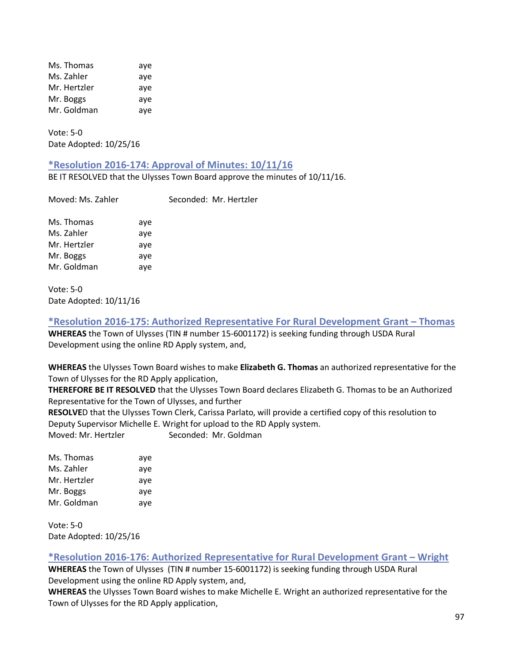| Ms. Thomas   | aye |
|--------------|-----|
| Ms. Zahler   | aye |
| Mr. Hertzler | aye |
| Mr. Boggs    | aye |
| Mr. Goldman  | aye |

Vote: 5-0 Date Adopted: 10/25/16

# **\*Resolution 2016-174: Approval of Minutes: 10/11/16**

BE IT RESOLVED that the Ulysses Town Board approve the minutes of 10/11/16.

| Moved: Ms. Zahler |     | Seconded: Mr. |
|-------------------|-----|---------------|
| Ms. Thomas        | aye |               |
| Ms. Zahler        | aye |               |
| Mr. Hertzler      | aye |               |
| Mr. Boggs         | ave |               |
| Mr. Goldman       | aye |               |
|                   |     |               |

Vote: 5-0 Date Adopted: 10/11/16

**\*Resolution 2016-175: Authorized Representative For Rural Development Grant – Thomas WHEREAS** the Town of Ulysses (TIN # number 15-6001172) is seeking funding through USDA Rural Development using the online RD Apply system, and,

Hertzler

**WHEREAS** the Ulysses Town Board wishes to make **Elizabeth G. Thomas** an authorized representative for the Town of Ulysses for the RD Apply application,

**THEREFORE BE IT RESOLVED** that the Ulysses Town Board declares Elizabeth G. Thomas to be an Authorized Representative for the Town of Ulysses, and further

**RESOLVE**D that the Ulysses Town Clerk, Carissa Parlato, will provide a certified copy of this resolution to Deputy Supervisor Michelle E. Wright for upload to the RD Apply system. Moved: Mr. Hertzler Seconded: Mr. Goldman

Ms. Thomas aye

| ivis. Thomas | aye |
|--------------|-----|
| Ms. Zahler   | aye |
| Mr. Hertzler | aye |
| Mr. Boggs    | aye |
| Mr. Goldman  | aye |
|              |     |

Vote: 5-0 Date Adopted: 10/25/16

# **\*Resolution 2016-176: Authorized Representative for Rural Development Grant – Wright**

**WHEREAS** the Town of Ulysses (TIN # number 15-6001172) is seeking funding through USDA Rural Development using the online RD Apply system, and,

**WHEREAS** the Ulysses Town Board wishes to make Michelle E. Wright an authorized representative for the Town of Ulysses for the RD Apply application,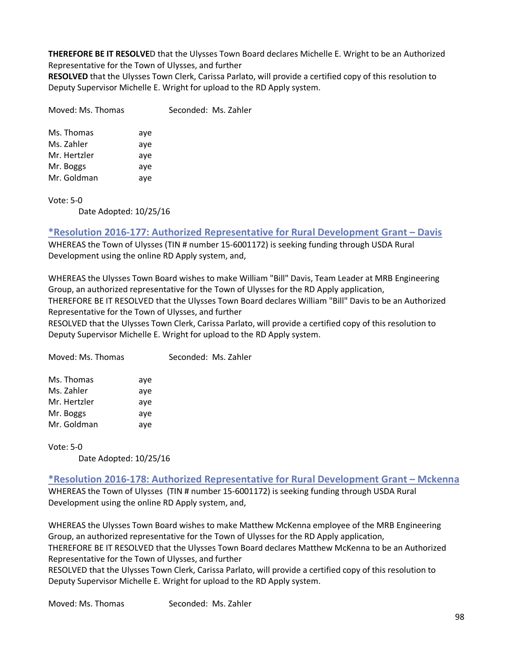**THEREFORE BE IT RESOLVE**D that the Ulysses Town Board declares Michelle E. Wright to be an Authorized Representative for the Town of Ulysses, and further

**RESOLVED** that the Ulysses Town Clerk, Carissa Parlato, will provide a certified copy of this resolution to Deputy Supervisor Michelle E. Wright for upload to the RD Apply system.

| Moved: Ms. Thomas |     | Seconded: Ms. Zahler |
|-------------------|-----|----------------------|
| Ms. Thomas        | aye |                      |
| Ms. Zahler        | ave |                      |
| Mr. Hertzler      | aye |                      |
| Mr. Boggs         | ave |                      |
| Mr. Goldman       | ave |                      |

Vote: 5-0

Date Adopted: 10/25/16

# **\*Resolution 2016-177: Authorized Representative for Rural Development Grant – Davis**

WHEREAS the Town of Ulysses (TIN # number 15-6001172) is seeking funding through USDA Rural Development using the online RD Apply system, and,

WHEREAS the Ulysses Town Board wishes to make William "Bill" Davis, Team Leader at MRB Engineering Group, an authorized representative for the Town of Ulysses for the RD Apply application, THEREFORE BE IT RESOLVED that the Ulysses Town Board declares William "Bill" Davis to be an Authorized Representative for the Town of Ulysses, and further

RESOLVED that the Ulysses Town Clerk, Carissa Parlato, will provide a certified copy of this resolution to Deputy Supervisor Michelle E. Wright for upload to the RD Apply system.

| Moved: Ms. Thomas |     | Seconded: Ms. Zahler |
|-------------------|-----|----------------------|
| Ms. Thomas        | aye |                      |
| Ms. Zahler        | aye |                      |
| Mr. Hertzler      | aye |                      |
| Mr. Boggs         | ave |                      |
| Mr. Goldman       | aye |                      |
|                   |     |                      |

Vote: 5-0

Date Adopted: 10/25/16

# **\*Resolution 2016-178: Authorized Representative for Rural Development Grant – Mckenna**

WHEREAS the Town of Ulysses (TIN # number 15-6001172) is seeking funding through USDA Rural Development using the online RD Apply system, and,

WHEREAS the Ulysses Town Board wishes to make Matthew McKenna employee of the MRB Engineering Group, an authorized representative for the Town of Ulysses for the RD Apply application, THEREFORE BE IT RESOLVED that the Ulysses Town Board declares Matthew McKenna to be an Authorized Representative for the Town of Ulysses, and further

RESOLVED that the Ulysses Town Clerk, Carissa Parlato, will provide a certified copy of this resolution to Deputy Supervisor Michelle E. Wright for upload to the RD Apply system.

Moved: Ms. Thomas Seconded: Ms. Zahler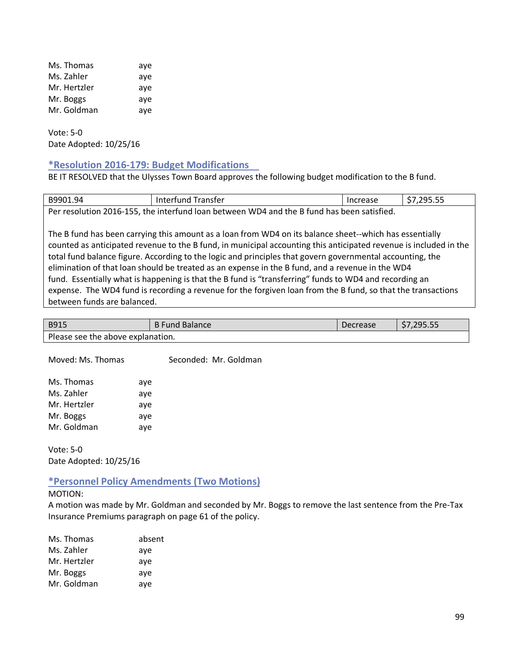| Ms. Thomas   | aye |
|--------------|-----|
| Ms. Zahler   | aye |
| Mr. Hertzler | aye |
| Mr. Boggs    | aye |
| Mr. Goldman  | aye |

Vote: 5-0 Date Adopted: 10/25/16

# **\*Resolution 2016-179: Budget Modifications**

BE IT RESOLVED that the Ulysses Town Board approves the following budget modification to the B fund.

| B9901.94                                                                                                          | Interfund Transfer | Increase | \$7,295.55 |
|-------------------------------------------------------------------------------------------------------------------|--------------------|----------|------------|
| Per resolution 2016-155, the interfund loan between WD4 and the B fund has been satisfied.                        |                    |          |            |
|                                                                                                                   |                    |          |            |
| The B fund has been carrying this amount as a loan from WD4 on its balance sheet--which has essentially           |                    |          |            |
| counted as anticipated revenue to the B fund, in municipal accounting this anticipated revenue is included in the |                    |          |            |
| total fund balance figure. According to the logic and principles that govern governmental accounting, the         |                    |          |            |
| elimination of that loan should be treated as an expense in the B fund, and a revenue in the WD4                  |                    |          |            |
| fund. Essentially what is happening is that the B fund is "transferring" funds to WD4 and recording an            |                    |          |            |
| expense. The WD4 fund is recording a revenue for the forgiven loan from the B fund, so that the transactions      |                    |          |            |
| between funds are balanced.                                                                                       |                    |          |            |

| <b>B915</b>                       | <b>B</b> Fund Balance | Decrease | \$7,295.55 |
|-----------------------------------|-----------------------|----------|------------|
| Please see the above explanation. |                       |          |            |

| Moved: Ms. Thomas |     | Seconded: Mr. Goldman |
|-------------------|-----|-----------------------|
| Ms. Thomas        | aye |                       |
| Ms. Zahler        | aye |                       |
| Mr. Hertzler      | aye |                       |
| Mr. Boggs         | aye |                       |
| Mr. Goldman       | aye |                       |

Vote: 5-0 Date Adopted: 10/25/16

# **\*Personnel Policy Amendments (Two Motions)**

#### MOTION:

A motion was made by Mr. Goldman and seconded by Mr. Boggs to remove the last sentence from the Pre-Tax Insurance Premiums paragraph on page 61 of the policy.

| Ms. Thomas   | absent |
|--------------|--------|
| Ms. Zahler   | aye    |
| Mr. Hertzler | aye    |
| Mr. Boggs    | aye    |
| Mr. Goldman  | aye    |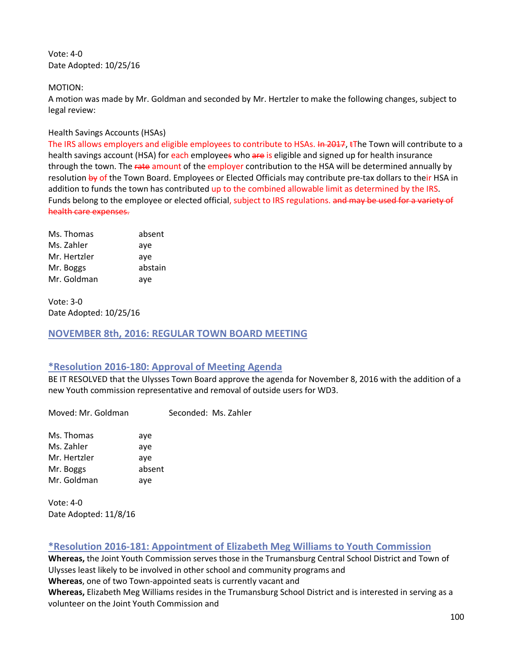Vote: 4-0 Date Adopted: 10/25/16

#### MOTION:

A motion was made by Mr. Goldman and seconded by Mr. Hertzler to make the following changes, subject to legal review:

#### Health Savings Accounts (HSAs)

The IRS allows employers and eligible employees to contribute to HSAs. In 2017, tThe Town will contribute to a health savings account (HSA) for each employees who are is eligible and signed up for health insurance through the town. The rate amount of the employer contribution to the HSA will be determined annually by resolution by of the Town Board. Employees or Elected Officials may contribute pre-tax dollars to their HSA in addition to funds the town has contributed up to the combined allowable limit as determined by the IRS. Funds belong to the employee or elected official, subject to IRS regulations. and may be used for a variety of health care expenses.

| Ms. Thomas   | absent  |
|--------------|---------|
| Ms. Zahler   | aye     |
| Mr. Hertzler | ave     |
| Mr. Boggs    | abstain |
| Mr. Goldman  | aye     |

Vote: 3-0 Date Adopted: 10/25/16

**NOVEMBER 8th, 2016: REGULAR TOWN BOARD MEETING**

# **\*Resolution 2016-180: Approval of Meeting Agenda**

BE IT RESOLVED that the Ulysses Town Board approve the agenda for November 8, 2016 with the addition of a new Youth commission representative and removal of outside users for WD3.

Moved: Mr. Goldman Seconded: Ms. Zahler

Ms. Thomas aye Ms. Zahler aye Mr. Hertzler ave Mr. Boggs absent Mr. Goldman aye

Vote: 4-0 Date Adopted: 11/8/16

# **\*Resolution 2016-181: Appointment of Elizabeth Meg Williams to Youth Commission**

**Whereas,** the Joint Youth Commission serves those in the Trumansburg Central School District and Town of Ulysses least likely to be involved in other school and community programs and **Whereas**, one of two Town-appointed seats is currently vacant and **Whereas,** Elizabeth Meg Williams resides in the Trumansburg School District and is interested in serving as a volunteer on the Joint Youth Commission and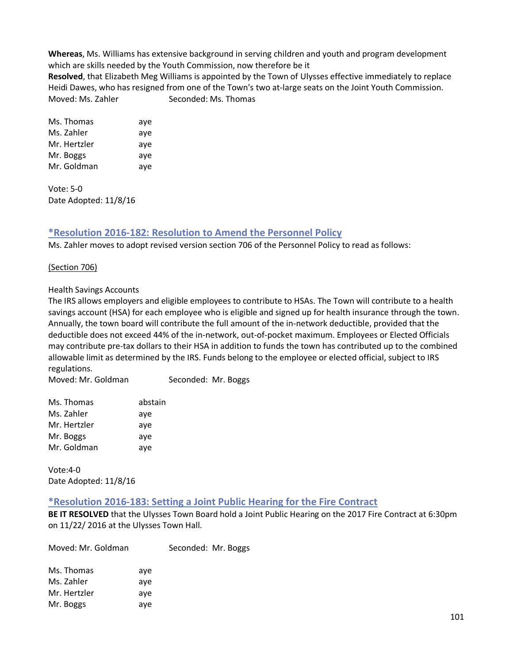**Whereas**, Ms. Williams has extensive background in serving children and youth and program development which are skills needed by the Youth Commission, now therefore be it **Resolved**, that Elizabeth Meg Williams is appointed by the Town of Ulysses effective immediately to replace

Heidi Dawes, who has resigned from one of the Town's two at-large seats on the Joint Youth Commission. Moved: Ms. Zahler Seconded: Ms. Thomas

| Ms. Thomas   | aye |
|--------------|-----|
| Ms. Zahler   | aye |
| Mr. Hertzler | aye |
| Mr. Boggs    | aye |
| Mr. Goldman  | aye |

Vote: 5-0 Date Adopted: 11/8/16

# **\*Resolution 2016-182: Resolution to Amend the Personnel Policy**

Ms. Zahler moves to adopt revised version section 706 of the Personnel Policy to read as follows:

# (Section 706)

# Health Savings Accounts

The IRS allows employers and eligible employees to contribute to HSAs. The Town will contribute to a health savings account (HSA) for each employee who is eligible and signed up for health insurance through the town. Annually, the town board will contribute the full amount of the in-network deductible, provided that the deductible does not exceed 44% of the in-network, out-of-pocket maximum. Employees or Elected Officials may contribute pre-tax dollars to their HSA in addition to funds the town has contributed up to the combined allowable limit as determined by the IRS. Funds belong to the employee or elected official, subject to IRS regulations.

Moved: Mr. Goldman Seconded: Mr. Boggs

| Ms. Thomas   | abstain |
|--------------|---------|
| Ms. Zahler   | aye     |
| Mr. Hertzler | aye     |
| Mr. Boggs    | aye     |
| Mr. Goldman  | aye     |

Vote:4-0 Date Adopted: 11/8/16

# **\*Resolution 2016-183: Setting a Joint Public Hearing for the Fire Contract**

**BE IT RESOLVED** that the Ulysses Town Board hold a Joint Public Hearing on the 2017 Fire Contract at 6:30pm on 11/22/ 2016 at the Ulysses Town Hall.

| Moved: Mr. Goldman |     | Seconded: Mr. Boggs |
|--------------------|-----|---------------------|
| Ms. Thomas         | ave |                     |
| Ms. Zahler         | ave |                     |
| Mr. Hertzler       | aye |                     |
| Mr. Boggs          | aye |                     |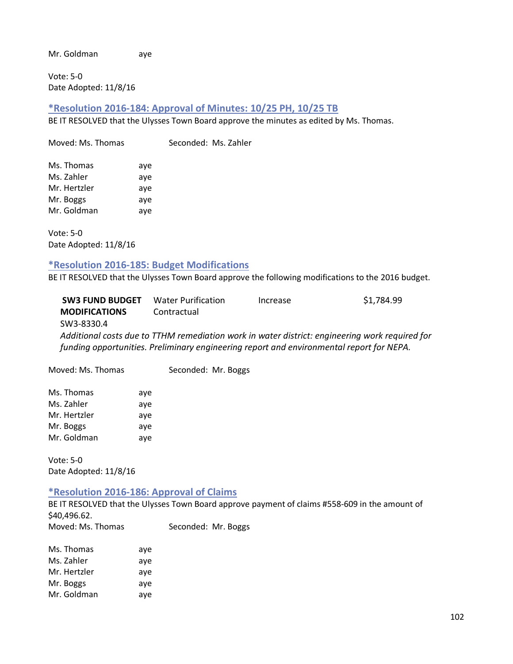Mr. Goldman aye

Vote: 5-0 Date Adopted: 11/8/16

#### **\*Resolution 2016-184: Approval of Minutes: 10/25 PH, 10/25 TB**

BE IT RESOLVED that the Ulysses Town Board approve the minutes as edited by Ms. Thomas.

Moved: Ms. Thomas Seconded: Ms. Zahler

| Ms. Thomas   | aye |
|--------------|-----|
| Ms. Zahler   | aye |
| Mr. Hertzler | aye |
| Mr. Boggs    | aye |
| Mr. Goldman  | aye |

Vote: 5-0 Date Adopted: 11/8/16

# **\*Resolution 2016-185: Budget Modifications**

BE IT RESOLVED that the Ulysses Town Board approve the following modifications to the 2016 budget.

| <b>SW3 FUND BUDGET</b>                                                                         | <b>Water Purification</b> | Increase | \$1,784.99 |
|------------------------------------------------------------------------------------------------|---------------------------|----------|------------|
| <b>MODIFICATIONS</b>                                                                           | Contractual               |          |            |
| SW3-8330.4                                                                                     |                           |          |            |
| Additional costs due to TTHM remediation work in water district: engineering work required for |                           |          |            |
| funding opportunities. Preliminary engineering report and environmental report for NEPA.       |                           |          |            |
|                                                                                                |                           |          |            |

Moved: Ms. Thomas Seconded: Mr. Boggs

| Ms. Thomas   | aye |
|--------------|-----|
| Ms. Zahler   | aye |
| Mr. Hertzler | aye |
| Mr. Boggs    | aye |
| Mr. Goldman  | aye |

Vote: 5-0 Date Adopted: 11/8/16

#### **\*Resolution 2016-186: Approval of Claims**

BE IT RESOLVED that the Ulysses Town Board approve payment of claims #558-609 in the amount of \$40,496.62. Moved: Ms. Thomas Seconded: Mr. Boggs

| Ms. Thomas   | aye |
|--------------|-----|
| Ms. Zahler   | aye |
| Mr. Hertzler | aye |
| Mr. Boggs    | aye |
| Mr. Goldman  | aye |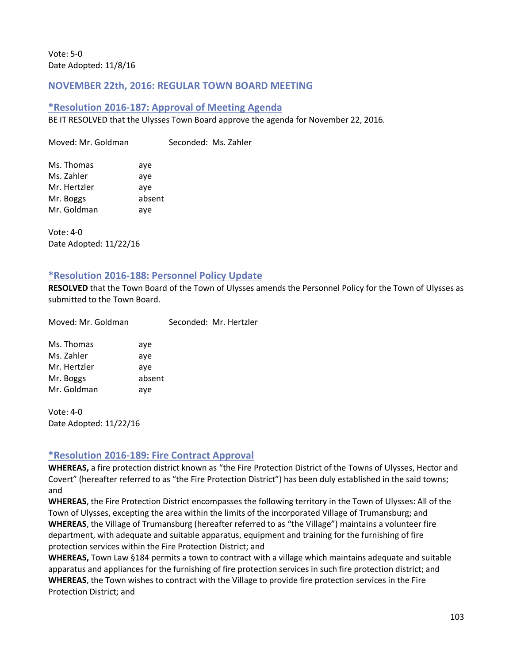Vote: 5-0 Date Adopted: 11/8/16

# **NOVEMBER 22th, 2016: REGULAR TOWN BOARD MEETING**

### **\*Resolution 2016-187: Approval of Meeting Agenda**

BE IT RESOLVED that the Ulysses Town Board approve the agenda for November 22, 2016.

Moved: Mr. Goldman Seconded: Ms. Zahler Ms. Thomas aye Ms. Zahler aye Mr. Hertzler aye Mr. Boggs absent Mr. Goldman aye

Vote: 4-0 Date Adopted: 11/22/16

#### **\*Resolution 2016-188: Personnel Policy Update**

**RESOLVED** that the Town Board of the Town of Ulysses amends the Personnel Policy for the Town of Ulysses as submitted to the Town Board.

Moved: Mr. Goldman Seconded: Mr. Hertzler Ms. Thomas aye

Ms. Zahler aye Mr. Hertzler ave Mr. Boggs absent Mr. Goldman aye

Vote: 4-0 Date Adopted: 11/22/16

# **\*Resolution 2016-189: Fire Contract Approval**

**WHEREAS,** a fire protection district known as "the Fire Protection District of the Towns of Ulysses, Hector and Covert" (hereafter referred to as "the Fire Protection District") has been duly established in the said towns; and

**WHEREAS**, the Fire Protection District encompasses the following territory in the Town of Ulysses: All of the Town of Ulysses, excepting the area within the limits of the incorporated Village of Trumansburg; and **WHEREAS**, the Village of Trumansburg (hereafter referred to as "the Village") maintains a volunteer fire department, with adequate and suitable apparatus, equipment and training for the furnishing of fire protection services within the Fire Protection District; and

**WHEREAS,** Town Law §184 permits a town to contract with a village which maintains adequate and suitable apparatus and appliances for the furnishing of fire protection services in such fire protection district; and **WHEREAS**, the Town wishes to contract with the Village to provide fire protection services in the Fire Protection District; and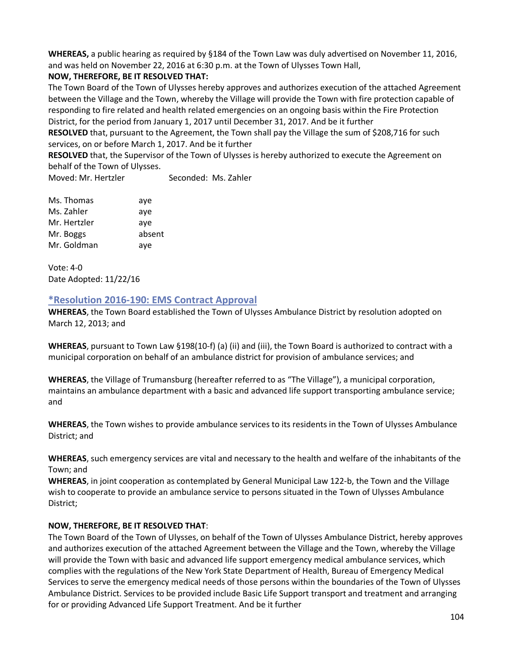**WHEREAS,** a public hearing as required by §184 of the Town Law was duly advertised on November 11, 2016, and was held on November 22, 2016 at 6:30 p.m. at the Town of Ulysses Town Hall,

# **NOW, THEREFORE, BE IT RESOLVED THAT:**

The Town Board of the Town of Ulysses hereby approves and authorizes execution of the attached Agreement between the Village and the Town, whereby the Village will provide the Town with fire protection capable of responding to fire related and health related emergencies on an ongoing basis within the Fire Protection District, for the period from January 1, 2017 until December 31, 2017. And be it further

**RESOLVED** that, pursuant to the Agreement, the Town shall pay the Village the sum of \$208,716 for such services, on or before March 1, 2017. And be it further

**RESOLVED** that, the Supervisor of the Town of Ulysses is hereby authorized to execute the Agreement on behalf of the Town of Ulysses.

Moved: Mr. Hertzler Seconded: Ms. Zahler

| Ms. Thomas   | aye    |
|--------------|--------|
| Ms. Zahler   | aye    |
| Mr. Hertzler | aye    |
| Mr. Boggs    | absent |
| Mr. Goldman  | aye    |

Vote: 4-0 Date Adopted: 11/22/16

# **\*Resolution 2016-190: EMS Contract Approval**

**WHEREAS**, the Town Board established the Town of Ulysses Ambulance District by resolution adopted on March 12, 2013; and

**WHEREAS**, pursuant to Town Law §198(10-f) (a) (ii) and (iii), the Town Board is authorized to contract with a municipal corporation on behalf of an ambulance district for provision of ambulance services; and

**WHEREAS**, the Village of Trumansburg (hereafter referred to as "The Village"), a municipal corporation, maintains an ambulance department with a basic and advanced life support transporting ambulance service; and

**WHEREAS**, the Town wishes to provide ambulance services to its residents in the Town of Ulysses Ambulance District; and

**WHEREAS**, such emergency services are vital and necessary to the health and welfare of the inhabitants of the Town; and

**WHEREAS**, in joint cooperation as contemplated by General Municipal Law 122-b, the Town and the Village wish to cooperate to provide an ambulance service to persons situated in the Town of Ulysses Ambulance District;

# **NOW, THEREFORE, BE IT RESOLVED THAT**:

The Town Board of the Town of Ulysses, on behalf of the Town of Ulysses Ambulance District, hereby approves and authorizes execution of the attached Agreement between the Village and the Town, whereby the Village will provide the Town with basic and advanced life support emergency medical ambulance services, which complies with the regulations of the New York State Department of Health, Bureau of Emergency Medical Services to serve the emergency medical needs of those persons within the boundaries of the Town of Ulysses Ambulance District. Services to be provided include Basic Life Support transport and treatment and arranging for or providing Advanced Life Support Treatment. And be it further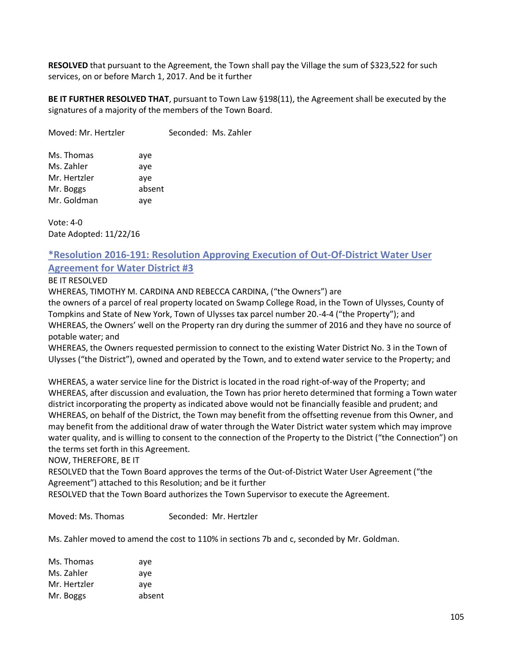**RESOLVED** that pursuant to the Agreement, the Town shall pay the Village the sum of \$323,522 for such services, on or before March 1, 2017. And be it further

**BE IT FURTHER RESOLVED THAT**, pursuant to Town Law §198(11), the Agreement shall be executed by the signatures of a majority of the members of the Town Board.

Moved: Mr. Hertzler Seconded: Ms. Zahler

| Ms. Thomas   |        |
|--------------|--------|
|              | aye    |
| Ms. Zahler   | aye    |
| Mr. Hertzler | aye    |
| Mr. Boggs    | absent |
| Mr. Goldman  | aye    |

Vote: 4-0 Date Adopted: 11/22/16

# **\*Resolution 2016-191: Resolution Approving Execution of Out-Of-District Water User Agreement for Water District #3**

#### BE IT RESOLVED

WHEREAS, TIMOTHY M. CARDINA AND REBECCA CARDINA, ("the Owners") are

the owners of a parcel of real property located on Swamp College Road, in the Town of Ulysses, County of Tompkins and State of New York, Town of Ulysses tax parcel number 20.-4-4 ("the Property"); and WHEREAS, the Owners' well on the Property ran dry during the summer of 2016 and they have no source of potable water; and

WHEREAS, the Owners requested permission to connect to the existing Water District No. 3 in the Town of Ulysses ("the District"), owned and operated by the Town, and to extend water service to the Property; and

WHEREAS, a water service line for the District is located in the road right-of-way of the Property; and WHEREAS, after discussion and evaluation, the Town has prior hereto determined that forming a Town water district incorporating the property as indicated above would not be financially feasible and prudent; and WHEREAS, on behalf of the District, the Town may benefit from the offsetting revenue from this Owner, and may benefit from the additional draw of water through the Water District water system which may improve water quality, and is willing to consent to the connection of the Property to the District ("the Connection") on the terms set forth in this Agreement.

NOW, THEREFORE, BE IT

RESOLVED that the Town Board approves the terms of the Out-of-District Water User Agreement ("the Agreement") attached to this Resolution; and be it further

RESOLVED that the Town Board authorizes the Town Supervisor to execute the Agreement.

Moved: Ms. Thomas Seconded: Mr. Hertzler

Ms. Zahler moved to amend the cost to 110% in sections 7b and c, seconded by Mr. Goldman.

| Ms. Thomas   | aye    |
|--------------|--------|
| Ms. Zahler   | ave    |
| Mr. Hertzler | ave    |
| Mr. Boggs    | absent |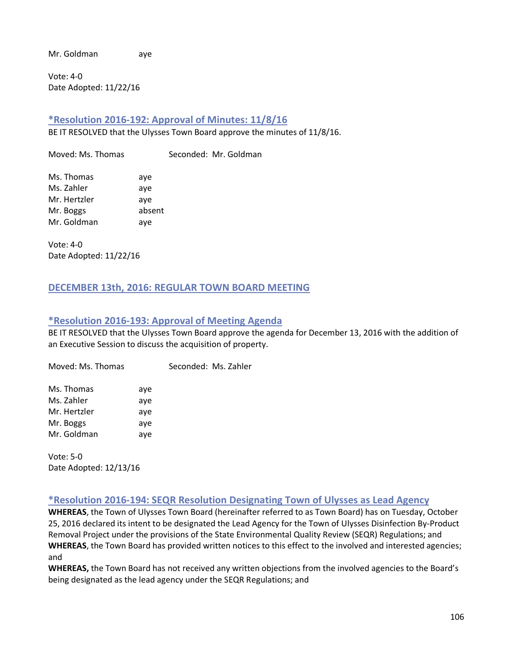Mr. Goldman aye

Vote: 4-0 Date Adopted: 11/22/16

# **\*Resolution 2016-192: Approval of Minutes: 11/8/16**

BE IT RESOLVED that the Ulysses Town Board approve the minutes of 11/8/16.

Moved: Ms. Thomas Seconded: Mr. Goldman Ms. Thomas aye Ms. Zahler aye Mr. Hertzler aye Mr. Boggs absent Mr. Goldman aye

Vote: 4-0 Date Adopted: 11/22/16

# **DECEMBER 13th, 2016: REGULAR TOWN BOARD MEETING**

# **\*Resolution 2016-193: Approval of Meeting Agenda**

BE IT RESOLVED that the Ulysses Town Board approve the agenda for December 13, 2016 with the addition of an Executive Session to discuss the acquisition of property.

Moved: Ms. Thomas Seconded: Ms. Zahler

| Ms. Thomas   | aye |
|--------------|-----|
| Ms. Zahler   | aye |
| Mr. Hertzler | aye |
| Mr. Boggs    | aye |
| Mr. Goldman  | aye |

Vote: 5-0 Date Adopted: 12/13/16

# **\*Resolution 2016-194: SEQR Resolution Designating Town of Ulysses as Lead Agency**

**WHEREAS**, the Town of Ulysses Town Board (hereinafter referred to as Town Board) has on Tuesday, October 25, 2016 declared its intent to be designated the Lead Agency for the Town of Ulysses Disinfection By-Product Removal Project under the provisions of the State Environmental Quality Review (SEQR) Regulations; and **WHEREAS**, the Town Board has provided written notices to this effect to the involved and interested agencies; and

**WHEREAS,** the Town Board has not received any written objections from the involved agencies to the Board's being designated as the lead agency under the SEQR Regulations; and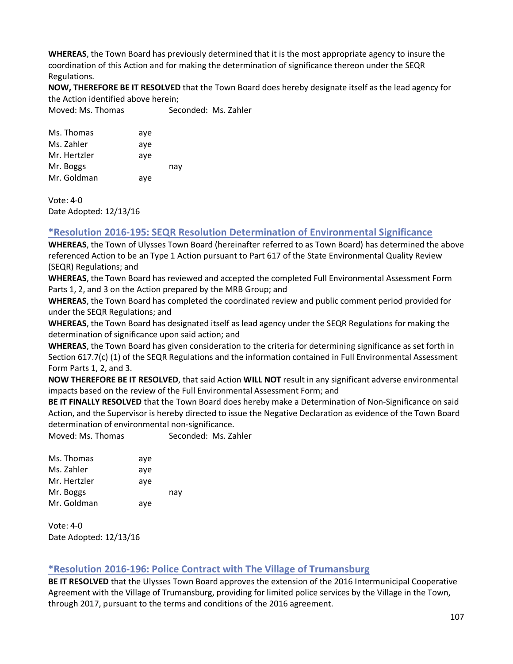**WHEREAS**, the Town Board has previously determined that it is the most appropriate agency to insure the coordination of this Action and for making the determination of significance thereon under the SEQR Regulations.

**NOW, THEREFORE BE IT RESOLVED** that the Town Board does hereby designate itself as the lead agency for the Action identified above herein;

Moved: Ms. Thomas Seconded: Ms. Zahler

| Ms. Thomas   | aye |     |
|--------------|-----|-----|
| Ms. Zahler   | aye |     |
| Mr. Hertzler | ave |     |
| Mr. Boggs    |     | nay |
| Mr. Goldman  | aye |     |

Vote: 4-0 Date Adopted: 12/13/16

# **\*Resolution 2016-195: SEQR Resolution Determination of Environmental Significance**

**WHEREAS**, the Town of Ulysses Town Board (hereinafter referred to as Town Board) has determined the above referenced Action to be an Type 1 Action pursuant to Part 617 of the State Environmental Quality Review (SEQR) Regulations; and

**WHEREAS**, the Town Board has reviewed and accepted the completed Full Environmental Assessment Form Parts 1, 2, and 3 on the Action prepared by the MRB Group; and

**WHEREAS**, the Town Board has completed the coordinated review and public comment period provided for under the SEQR Regulations; and

**WHEREAS**, the Town Board has designated itself as lead agency under the SEQR Regulations for making the determination of significance upon said action; and

**WHEREAS**, the Town Board has given consideration to the criteria for determining significance as set forth in Section 617.7(c) (1) of the SEQR Regulations and the information contained in Full Environmental Assessment Form Parts 1, 2, and 3.

**NOW THEREFORE BE IT RESOLVED**, that said Action **WILL NOT** result in any significant adverse environmental impacts based on the review of the Full Environmental Assessment Form; and

**BE IT FINALLY RESOLVED** that the Town Board does hereby make a Determination of Non-Significance on said Action, and the Supervisor is hereby directed to issue the Negative Declaration as evidence of the Town Board determination of environmental non-significance.

Moved: Ms. Thomas Seconded: Ms. Zahler

| Ms. Thomas   | aye |     |
|--------------|-----|-----|
| Ms. Zahler   | aye |     |
| Mr. Hertzler | aye |     |
| Mr. Boggs    |     | nav |
| Mr. Goldman  | aye |     |

Vote: 4-0 Date Adopted: 12/13/16

# **\*Resolution 2016-196: Police Contract with The Village of Trumansburg**

**BE IT RESOLVED** that the Ulysses Town Board approves the extension of the 2016 Intermunicipal Cooperative Agreement with the Village of Trumansburg, providing for limited police services by the Village in the Town, through 2017, pursuant to the terms and conditions of the 2016 agreement.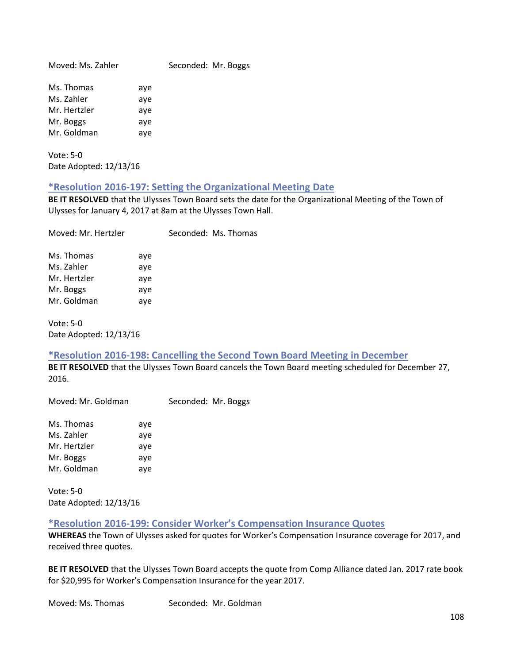Moved: Ms. Zahler Seconded: Mr. Boggs

| Ms. Thomas   | aye |
|--------------|-----|
| Ms. Zahler   | aye |
| Mr. Hertzler | aye |
| Mr. Boggs    | aye |
| Mr. Goldman  | aye |

Vote: 5-0 Date Adopted: 12/13/16

# **\*Resolution 2016-197: Setting the Organizational Meeting Date**

**BE IT RESOLVED** that the Ulysses Town Board sets the date for the Organizational Meeting of the Town of Ulysses for January 4, 2017 at 8am at the Ulysses Town Hall.

| Moved: Mr. Hertzler |     | Seconded: Ms. Thomas |
|---------------------|-----|----------------------|
| Ms. Thomas          | aye |                      |
| Ms. Zahler          | aye |                      |
| Mr. Hertzler        | aye |                      |
| Mr. Boggs           | aye |                      |
| Mr. Goldman         | aye |                      |
|                     |     |                      |

Vote: 5-0 Date Adopted: 12/13/16

# **\*Resolution 2016-198: Cancelling the Second Town Board Meeting in December**

**BE IT RESOLVED** that the Ulysses Town Board cancels the Town Board meeting scheduled for December 27, 2016.

| Ms. Thomas   | aye |
|--------------|-----|
| Ms. Zahler   | aye |
| Mr. Hertzler | aye |
| Mr. Boggs    | aye |
| Mr. Goldman  | aye |

Vote: 5-0 Date Adopted: 12/13/16

**\*Resolution 2016-199: Consider Worker's Compensation Insurance Quotes**

**WHEREAS** the Town of Ulysses asked for quotes for Worker's Compensation Insurance coverage for 2017, and received three quotes.

**BE IT RESOLVED** that the Ulysses Town Board accepts the quote from Comp Alliance dated Jan. 2017 rate book for \$20,995 for Worker's Compensation Insurance for the year 2017.

Moved: Ms. Thomas Seconded: Mr. Goldman

Moved: Mr. Goldman Seconded: Mr. Boggs